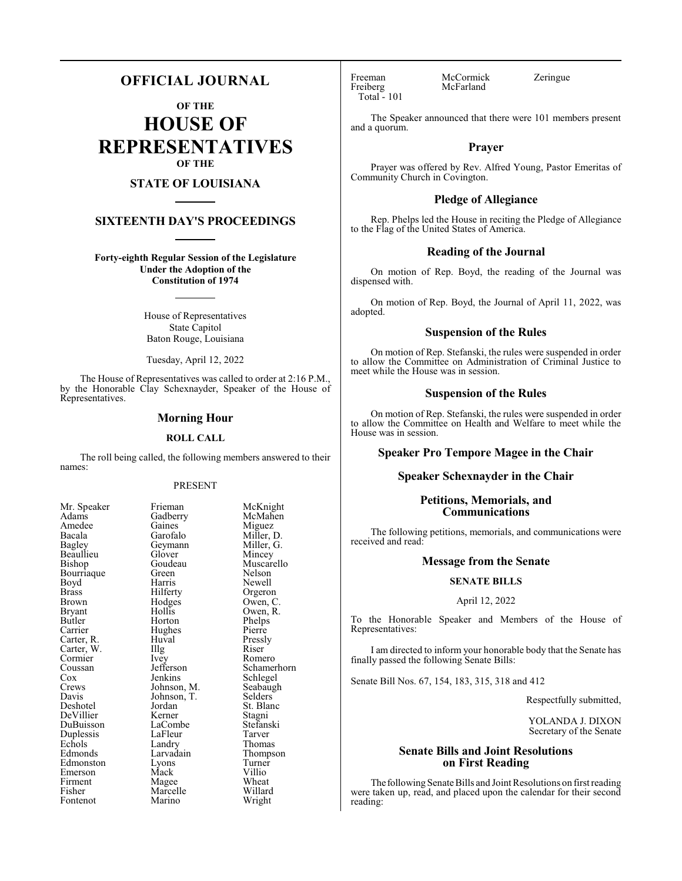# **OFFICIAL JOURNAL**

**OF THE**

**HOUSE OF REPRESENTATIVES OF THE**

# **STATE OF LOUISIANA**

# **SIXTEENTH DAY'S PROCEEDINGS**

**Forty-eighth Regular Session of the Legislature Under the Adoption of the Constitution of 1974**

> House of Representatives State Capitol Baton Rouge, Louisiana

Tuesday, April 12, 2022

The House of Representatives was called to order at 2:16 P.M., by the Honorable Clay Schexnayder, Speaker of the House of Representatives.

# **Morning Hour**

# **ROLL CALL**

The roll being called, the following members answered to their names:

# PRESENT

McMahen<br>Miguez

Miller, D.<br>Miller, G.

Phelps<br>Pierre

Schlegel<br>Seabaugh

Stagni<br>Stefanski

Thompson<br>Turner

| Mr. Speaker                         |
|-------------------------------------|
| Adams                               |
| Amedee                              |
| Bacala                              |
| <b>Bagley</b>                       |
| Beaullieu                           |
| Bishop                              |
| Bourriaque                          |
| Boyd                                |
| <b>Brass</b>                        |
| Brown                               |
| Bryant                              |
| <b>Butler</b>                       |
|                                     |
|                                     |
| Carrier<br>Carter, R.<br>Carter, W. |
| Cormier<br>Coussan                  |
|                                     |
| Cox                                 |
| C <sub>rows</sub>                   |
| Davis                               |
| Deshotel                            |
| DeVillier                           |
| DuBuisson                           |
| Duplessis                           |
| Echols                              |
| Edmonds                             |
| Edmonston                           |
| Emerson                             |
| Firment                             |
| Fisher                              |
| Fontenot                            |

Frieman McKnight<br>Gadberry McMahen Gaines<br>Garofalo Geymann Miller, Glover Mincey Glover<br>Goudeau Goudeau Muscarello<br>Green Nelson Green Nelson<br>Bourris Newell Harris Newell<br>Hilferty Orgero Hilferty Orgeron<br>Hodges Owen, C Hodges Owen, C.<br>Hollis Owen, R. Hollis Owen, R.<br>Horton Phelps Huval Pressly<br>
Illg Riser Carter, W. Illg Riser Ivey Romero<br>Jefferson Schame Jefferson Schamerhorn<br>Jenkins Schlegel Johnson, M.<br>Johnson, T. Selders Johnson, T.<br>Jordan Jordan St. Blanc<br>Kerner Staoni LaCombe Stefans<br>LaFleur Tarver LaFleur<br>Landrv Landry Thomas<br>Larvadain Thomps Lyons Turner<br>Mack Villio Mack Villio<br>Magee Wheat Firment Magee Wheat Marcelle Willard<br>
Marino Wright

Hughes<br>Huval

Marino

Total - 101

Freeman McCormick Zeringue<br>
Freiberg McFarland Zeringue McFarland

The Speaker announced that there were 101 members present and a quorum.

# **Prayer**

Prayer was offered by Rev. Alfred Young, Pastor Emeritas of Community Church in Covington.

# **Pledge of Allegiance**

Rep. Phelps led the House in reciting the Pledge of Allegiance to the Flag of the United States of America.

# **Reading of the Journal**

On motion of Rep. Boyd, the reading of the Journal was dispensed with.

On motion of Rep. Boyd, the Journal of April 11, 2022, was adopted.

# **Suspension of the Rules**

On motion of Rep. Stefanski, the rules were suspended in order to allow the Committee on Administration of Criminal Justice to meet while the House was in session.

# **Suspension of the Rules**

On motion of Rep. Stefanski, the rules were suspended in order to allow the Committee on Health and Welfare to meet while the House was in session.

# **Speaker Pro Tempore Magee in the Chair**

# **Speaker Schexnayder in the Chair**

# **Petitions, Memorials, and Communications**

The following petitions, memorials, and communications were received and read:

# **Message from the Senate**

# **SENATE BILLS**

# April 12, 2022

To the Honorable Speaker and Members of the House of Representatives:

I am directed to inform your honorable body that the Senate has finally passed the following Senate Bills:

Senate Bill Nos. 67, 154, 183, 315, 318 and 412

Respectfully submitted,

YOLANDA J. DIXON Secretary of the Senate

# **Senate Bills and Joint Resolutions on First Reading**

The following Senate Bills and Joint Resolutions on first reading were taken up, read, and placed upon the calendar for their second reading: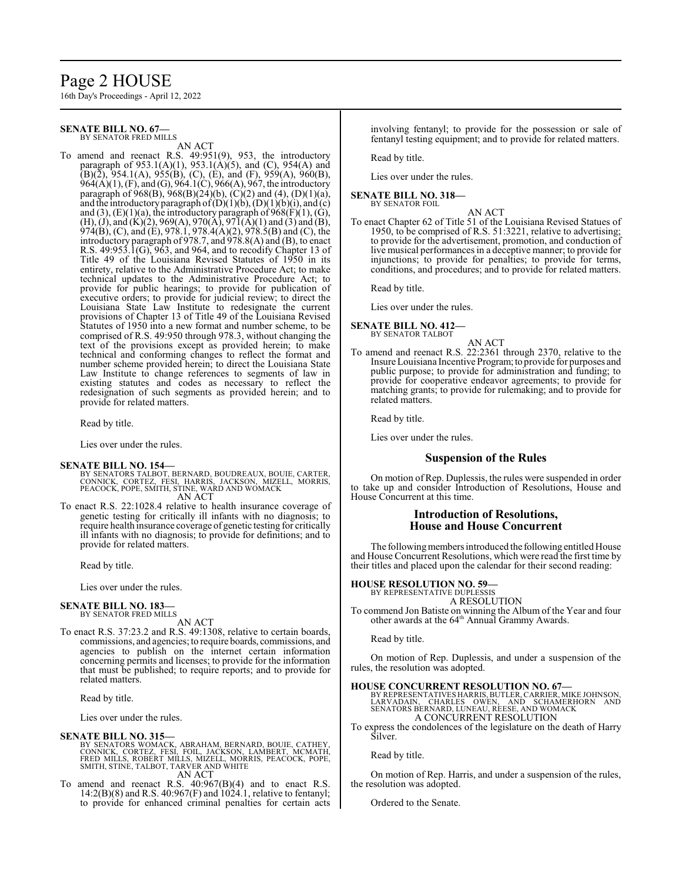# Page 2 HOUSE

16th Day's Proceedings - April 12, 2022

### **SENATE BILL NO. 67—** BY SENATOR FRED MILLS

AN ACT

To amend and reenact R.S. 49:951(9), 953, the introductory paragraph of 953.1(A)(1), 953.1(A)(5), and (C), 954(A) and  $(B)(\tilde{2})$ , 954.1(A), 955(B), (C), (E), and (F), 959(A), 960(B), 964(A)(1), (F), and (G), 964.1(C), 966(A), 967, the introductory paragraph of 968(B), 968(B)(24)(b), (C)(2) and (4), (D)(1)(a), and the introductory paragraph of  $(D)(1)(b)$ ,  $(D)(1)(b)(i)$ , and  $(c)$ and (3),  $(E)(1)(a)$ , the introductory paragraph of  $968(F)(1)$ ,  $(G)$ , (H), (J), and (K)(2), 969(A), 970(A), 971(A)(1) and (3) and (B), 974(B), (C), and (E), 978.1, 978.4(A)(2), 978.5(B) and (C), the introductory paragraph of 978.7, and 978.8(A) and (B), to enact R.S. 49:953.1(G), 963, and 964, and to recodify Chapter 13 of Title 49 of the Louisiana Revised Statutes of 1950 in its entirety, relative to the Administrative Procedure Act; to make technical updates to the Administrative Procedure Act; to provide for public hearings; to provide for publication of executive orders; to provide for judicial review; to direct the Louisiana State Law Institute to redesignate the current provisions of Chapter 13 of Title 49 of the Louisiana Revised Statutes of 1950 into a new format and number scheme, to be comprised of R.S. 49:950 through 978.3, without changing the text of the provisions except as provided herein; to make technical and conforming changes to reflect the format and number scheme provided herein; to direct the Louisiana State Law Institute to change references to segments of law in existing statutes and codes as necessary to reflect the redesignation of such segments as provided herein; and to provide for related matters.

Read by title.

Lies over under the rules.

# **SENATE BILL NO. 154—**

- BY SENATORS TALBOT, BERNARD, BOUDREAUX, BOUIE, CARTER,<br>CONNICK, CORTEZ, FESI, HARRIS, JACKSON, MIZELL, MORRIS,<br>PEACOCK, POPE, SMITH, STINE, WARD AND WOMACK AN ACT
- To enact R.S. 22:1028.4 relative to health insurance coverage of genetic testing for critically ill infants with no diagnosis; to require health insurance coverage of genetic testing for critically ill infants with no diagnosis; to provide for definitions; and to provide for related matters.

Read by title.

Lies over under the rules.

### **SENATE BILL NO. 183—** BY SENATOR FRED MILLS

AN ACT

To enact R.S. 37:23.2 and R.S. 49:1308, relative to certain boards, commissions, and agencies; to require boards, commissions, and agencies to publish on the internet certain information concerning permits and licenses; to provide for the information that must be published; to require reports; and to provide for related matters.

Read by title.

Lies over under the rules.

# **SENATE BILL NO. 315—**

BY SENATORS WOMACK, ABRAHAM, BERNARD, BOUIE, CATHEY,<br>CONNICK, CORTEZ, FESI, FOIL, JACKSON, LAMBERT, MCMATH,<br>FRED MILLS, ROBERT MILLS, MIZELL, MORRIS, PEACOCK, POPE,<br>SMITH, STINE, TALBOT, TARVER AND WHITE AN ACT

To amend and reenact R.S. 40:967(B)(4) and to enact R.S.  $14:2(B)(8)$  and R.S.  $40:967(F)$  and  $1024.1$ , relative to fentanyl; to provide for enhanced criminal penalties for certain acts involving fentanyl; to provide for the possession or sale of fentanyl testing equipment; and to provide for related matters.

Read by title.

Lies over under the rules.

### **SENATE BILL NO. 318—** BY SENATOR FOIL

AN ACT

To enact Chapter 62 of Title 51 of the Louisiana Revised Statues of 1950, to be comprised of R.S. 51:3221, relative to advertising; to provide for the advertisement, promotion, and conduction of live musical performances in a deceptive manner; to provide for injunctions; to provide for penalties; to provide for terms, conditions, and procedures; and to provide for related matters.

Read by title.

Lies over under the rules.

### **SENATE BILL NO. 412—** BY SENATOR TALBOT

AN ACT To amend and reenact R.S. 22:2361 through 2370, relative to the Insure Louisiana Incentive Program; to provide for purposes and public purpose; to provide for administration and funding; to provide for cooperative endeavor agreements; to provide for matching grants; to provide for rulemaking; and to provide for related matters.

Read by title.

Lies over under the rules.

# **Suspension of the Rules**

On motion of Rep. Duplessis, the rules were suspended in order to take up and consider Introduction of Resolutions, House and House Concurrent at this time.

# **Introduction of Resolutions, House and House Concurrent**

The following members introduced the following entitled House and House Concurrent Resolutions, which were read the first time by their titles and placed upon the calendar for their second reading:

# **HOUSE RESOLUTION NO. 59—**

BY REPRESENTATIVE DUPLESSI A RESOLUTION

To commend Jon Batiste on winning the Album of the Year and four other awards at the 64 th Annual Grammy Awards.

Read by title.

On motion of Rep. Duplessis, and under a suspension of the rules, the resolution was adopted.

# **HOUSE CONCURRENT RESOLUTION NO. 67—**

BY REPRESENTATIVES HARRIS, BUTLER, CARRIER, MIKE JOHNSON,<br>LARVADAIN, CHARLES OWEN, AND SCHAMERHORN AND<br>SENATORS BERNARD, LUNEAU, REESE, AND WOMACK A CONCURRENT RESOLUTION

To express the condolences of the legislature on the death of Harry Silver.

Read by title.

On motion of Rep. Harris, and under a suspension of the rules, the resolution was adopted.

Ordered to the Senate.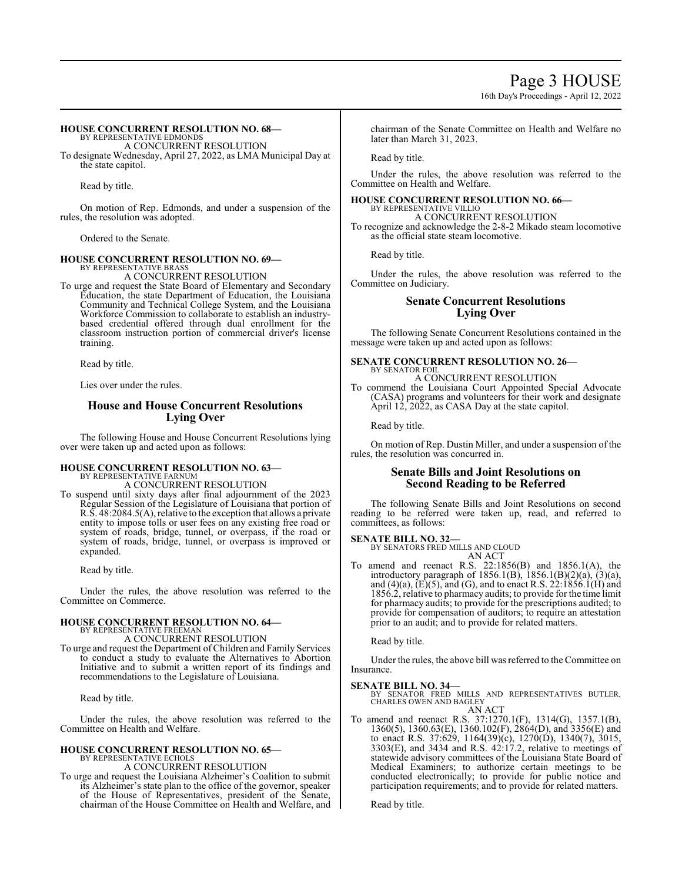# Page 3 HOUSE

16th Day's Proceedings - April 12, 2022

# **HOUSE CONCURRENT RESOLUTION NO. 68—**

BY REPRESENTATIVE EDMONDS A CONCURRENT RESOLUTION

To designate Wednesday, April 27, 2022, as LMA Municipal Day at the state capitol.

Read by title.

On motion of Rep. Edmonds, and under a suspension of the rules, the resolution was adopted.

Ordered to the Senate.

# **HOUSE CONCURRENT RESOLUTION NO. 69—** BY REPRESENTATIVE BRASS

A CONCURRENT RESOLUTION

To urge and request the State Board of Elementary and Secondary Education, the state Department of Education, the Louisiana Community and Technical College System, and the Louisiana Workforce Commission to collaborate to establish an industrybased credential offered through dual enrollment for the classroom instruction portion of commercial driver's license training.

Read by title.

Lies over under the rules.

# **House and House Concurrent Resolutions Lying Over**

The following House and House Concurrent Resolutions lying over were taken up and acted upon as follows:

# **HOUSE CONCURRENT RESOLUTION NO. 63—** BY REPRESENTATIVE FARNUM

A CONCURRENT RESOLUTION

To suspend until sixty days after final adjournment of the 2023 Regular Session of the Legislature of Louisiana that portion of R.S. 48:2084.5(A), relative to the exception that allows a private entity to impose tolls or user fees on any existing free road or system of roads, bridge, tunnel, or overpass, if the road or system of roads, bridge, tunnel, or overpass is improved or expanded.

Read by title.

Under the rules, the above resolution was referred to the Committee on Commerce.

# **HOUSE CONCURRENT RESOLUTION NO. 64—**

BY REPRESENTATIVE FREEMAN A CONCURRENT RESOLUTION

To urge and request the Department ofChildren and Family Services to conduct a study to evaluate the Alternatives to Abortion Initiative and to submit a written report of its findings and recommendations to the Legislature of Louisiana.

Read by title.

Under the rules, the above resolution was referred to the Committee on Health and Welfare.

# **HOUSE CONCURRENT RESOLUTION NO. 65—** BY REPRESENTATIVE ECHOLS

A CONCURRENT RESOLUTION

To urge and request the Louisiana Alzheimer's Coalition to submit its Alzheimer's state plan to the office of the governor, speaker of the House of Representatives, president of the Senate, chairman of the House Committee on Health and Welfare, and chairman of the Senate Committee on Health and Welfare no later than March 31, 2023.

Read by title.

Under the rules, the above resolution was referred to the Committee on Health and Welfare.

### **HOUSE CONCURRENT RESOLUTION NO. 66—** BY REPRESENTATIVE VILLIO

A CONCURRENT RESOLUTION To recognize and acknowledge the 2-8-2 Mikado steam locomotive

as the official state steam locomotive.

Read by title.

Under the rules, the above resolution was referred to the Committee on Judiciary.

# **Senate Concurrent Resolutions Lying Over**

The following Senate Concurrent Resolutions contained in the message were taken up and acted upon as follows:

### **SENATE CONCURRENT RESOLUTION NO. 26—** BY SENATOR FOIL

A CONCURRENT RESOLUTION

To commend the Louisiana Court Appointed Special Advocate (CASA) programs and volunteers for their work and designate April 12, 2022, as CASA Day at the state capitol.

Read by title.

On motion of Rep. Dustin Miller, and under a suspension of the rules, the resolution was concurred in.

# **Senate Bills and Joint Resolutions on Second Reading to be Referred**

The following Senate Bills and Joint Resolutions on second reading to be referred were taken up, read, and referred to committees, as follows:

**SENATE BILL NO. 32—** BY SENATORS FRED MILLS AND CLOUD AN ACT

To amend and reenact R.S. 22:1856(B) and 1856.1(A), the introductory paragraph of 1856.1(B), 1856.1(B)(2)(a), (3)(a), and  $(4)(a)$ ,  $(E)(5)$ , and  $(G)$ , and to enact R.S. 22:1856.1(H) and 1856.2, relative to pharmacy audits; to provide for the time limit for pharmacy audits; to provide for the prescriptions audited; to provide for compensation of auditors; to require an attestation prior to an audit; and to provide for related matters.

Read by title.

Under the rules, the above bill was referred to the Committee on Insurance.

# **SENATE BILL NO. 34—**

BY SENATOR FRED MILLS AND REPRESENTATIVES BUTLER, CHARLES OWEN AND BAGLEY AN ACT

To amend and reenact R.S. 37:1270.1(F), 1314(G), 1357.1(B), 1360(5), 1360.63(E), 1360.102(F), 2864(D), and 3356(E) and to enact R.S. 37:629, 1164(39)(c), 1270(D), 1340(7), 3015, 3303(E), and 3434 and R.S. 42:17.2, relative to meetings of statewide advisory committees of the Louisiana State Board of Medical Examiners; to authorize certain meetings to be conducted electronically; to provide for public notice and participation requirements; and to provide for related matters.

Read by title.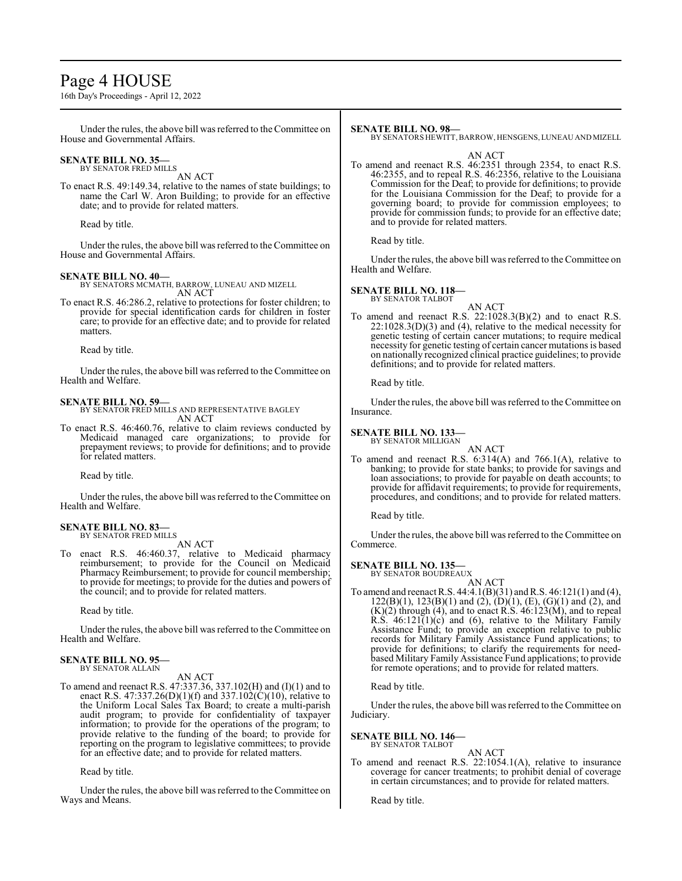# Page 4 HOUSE

16th Day's Proceedings - April 12, 2022

Under the rules, the above bill was referred to the Committee on House and Governmental Affairs.

### **SENATE BILL NO. 35—** BY SENATOR FRED MILLS

AN ACT

To enact R.S. 49:149.34, relative to the names of state buildings; to name the Carl W. Aron Building; to provide for an effective date; and to provide for related matters.

Read by title.

Under the rules, the above bill was referred to the Committee on House and Governmental Affairs.

# **SENATE BILL NO. 40—**

BY SENATORS MCMATH, BARROW, LUNEAU AND MIZELL AN ACT

To enact R.S. 46:286.2, relative to protections for foster children; to provide for special identification cards for children in foster care; to provide for an effective date; and to provide for related matters.

Read by title.

Under the rules, the above bill was referred to the Committee on Health and Welfare.

# **SENATE BILL NO. 59—**

BY SENATOR FRED MILLS AND REPRESENTATIVE BAGLEY AN ACT

To enact R.S. 46:460.76, relative to claim reviews conducted by Medicaid managed care organizations; to provide for prepayment reviews; to provide for definitions; and to provide for related matters.

Read by title.

Under the rules, the above bill was referred to the Committee on Health and Welfare.

### **SENATE BILL NO. 83—** BY SENATOR FRED MILLS

AN ACT

To enact R.S. 46:460.37, relative to Medicaid pharmacy reimbursement; to provide for the Council on Medicaid Pharmacy Reimbursement; to provide for council membership; to provide for meetings; to provide for the duties and powers of the council; and to provide for related matters.

Read by title.

Under the rules, the above bill was referred to the Committee on Health and Welfare.

# **SENATE BILL NO. 95—** BY SENATOR ALLAIN

AN ACT

To amend and reenact R.S. 47:337.36, 337.102(H) and (I)(1) and to enact R.S. 47:337.26(D)(1)(f) and 337.102(C)(10), relative to the Uniform Local Sales Tax Board; to create a multi-parish audit program; to provide for confidentiality of taxpayer information; to provide for the operations of the program; to provide relative to the funding of the board; to provide for reporting on the program to legislative committees; to provide for an effective date; and to provide for related matters.

Read by title.

Under the rules, the above bill was referred to theCommittee on Ways and Means.

# **SENATE BILL NO. 98—**

BY SENATORS HEWITT, BARROW, HENSGENS, LUNEAU AND MIZELL

AN ACT

To amend and reenact R.S. 46:2351 through 2354, to enact R.S. 46:2355, and to repeal R.S. 46:2356, relative to the Louisiana Commission for the Deaf; to provide for definitions; to provide for the Louisiana Commission for the Deaf; to provide for a governing board; to provide for commission employees; to provide for commission funds; to provide for an effective date; and to provide for related matters.

Read by title.

Under the rules, the above bill was referred to the Committee on Health and Welfare.

### **SENATE BILL NO. 118—** BY SENATOR TALBOT

AN ACT

To amend and reenact R.S. 22:1028.3(B)(2) and to enact R.S. 22:1028.3(D)(3) and (4), relative to the medical necessity for genetic testing of certain cancer mutations; to require medical necessity for genetic testing of certain cancer mutations is based on nationally recognized clinical practice guidelines; to provide definitions; and to provide for related matters.

Read by title.

Under the rules, the above bill was referred to the Committee on Insurance.

# **SENATE BILL NO. 133—** BY SENATOR MILLIGAN

AN ACT To amend and reenact R.S. 6:314(A) and 766.1(A), relative to banking; to provide for state banks; to provide for savings and loan associations; to provide for payable on death accounts; to

provide for affidavit requirements; to provide for requirements, procedures, and conditions; and to provide for related matters.

Read by title.

Under the rules, the above bill was referred to the Committee on Commerce.

# **SENATE BILL NO. 135—**

BY SENATOR BOUDREAUX

AN ACT To amend and reenact R.S. 44:4.1(B)(31) and R.S. 46:121(1) and (4),  $122(B)(1)$ ,  $123(B)(1)$  and  $(2)$ ,  $(D)(1)$ ,  $(E)$ ,  $(G)(1)$  and  $(2)$ , and  $(K)(2)$  through  $(4)$ , and to enact R.S.  $46:123(M)$ , and to repeal R.S.  $46:121(1)(c)$  and (6), relative to the Military Family Assistance Fund; to provide an exception relative to public records for Military Family Assistance Fund applications; to provide for definitions; to clarify the requirements for needbased Military Family Assistance Fund applications; to provide for remote operations; and to provide for related matters.

Read by title.

Under the rules, the above bill was referred to the Committee on Judiciary.

**SENATE BILL NO. 146—**

BY SENATOR TALBOT AN ACT

To amend and reenact R.S. 22:1054.1(A), relative to insurance coverage for cancer treatments; to prohibit denial of coverage in certain circumstances; and to provide for related matters.

Read by title.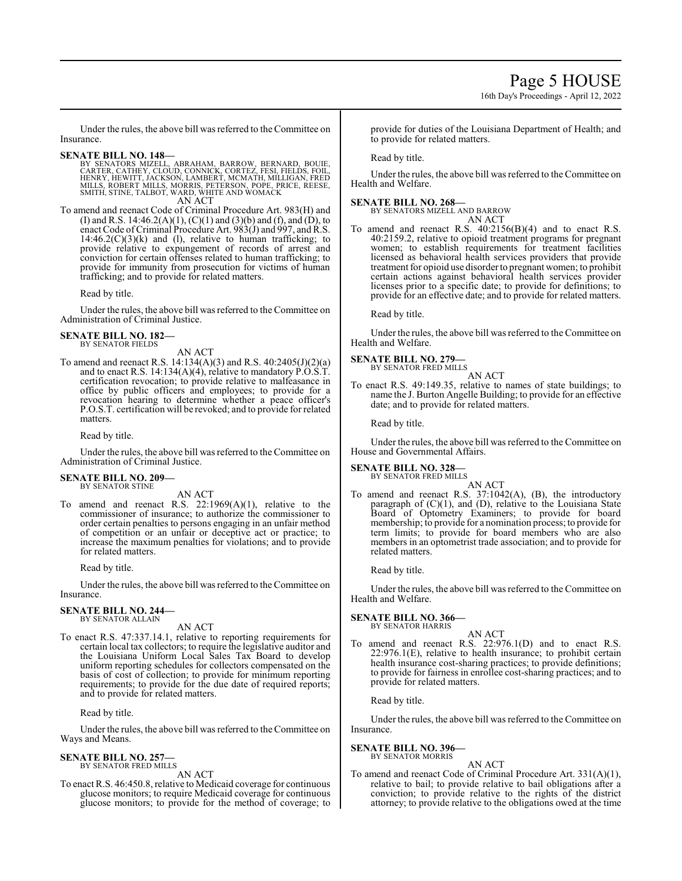16th Day's Proceedings - April 12, 2022

Under the rules, the above bill was referred to the Committee on Insurance.

- **SENATE BILL NO. 148—**<br>BY SENATORS MIZELL, ABRAHAM, BARROW, BERNARD, BOUIE, CARTER, CATHEY, CLOUD, CONNICK, CORTEZ, FESI, FIELDS, FOIL,<br>HENRY, HEWITT, JACKSON, LAMBERT, MCMATH, MILLIGAN, FRED<br>MILLS, ROBERT MILLS, MORRIS, P SMITH, STINE, TALBOT, WARD, WHITE AND WOMACK AN ACT
- To amend and reenact Code of Criminal Procedure Art. 983(H) and (I) and R.S. 14:46.2(A)(1), (C)(1) and (3)(b) and (f), and (D), to enact Code of Criminal Procedure Art.  $983(1)$  and  $997$ , and  $\hat{R}$ . S.  $14:46.2(C)(3)(k)$  and (l), relative to human trafficking; to provide relative to expungement of records of arrest and conviction for certain offenses related to human trafficking; to provide for immunity from prosecution for victims of human trafficking; and to provide for related matters.

Read by title.

Under the rules, the above bill was referred to the Committee on Administration of Criminal Justice.

### **SENATE BILL NO. 182—** BY SENATOR FIELDS

AN ACT

To amend and reenact R.S. 14:134(A)(3) and R.S. 40:2405(J)(2)(a) and to enact R.S. 14:134(A)(4), relative to mandatory P.O.S.T. certification revocation; to provide relative to malfeasance in office by public officers and employees; to provide for a revocation hearing to determine whether a peace officer's P.O.S.T. certification will be revoked; and to provide for related matters.

Read by title.

Under the rules, the above bill was referred to the Committee on Administration of Criminal Justice.

### **SENATE BILL NO. 209—** BY SENATOR STINE

AN ACT

To amend and reenact R.S.  $22:1969(A)(1)$ , relative to the commissioner of insurance; to authorize the commissioner to order certain penalties to persons engaging in an unfair method of competition or an unfair or deceptive act or practice; to increase the maximum penalties for violations; and to provide for related matters.

Read by title.

Under the rules, the above bill was referred to the Committee on Insurance.

### **SENATE BILL NO. 244—** BY SENATOR ALLAIN

AN ACT

To enact R.S. 47:337.14.1, relative to reporting requirements for certain local tax collectors; to require the legislative auditor and the Louisiana Uniform Local Sales Tax Board to develop uniform reporting schedules for collectors compensated on the basis of cost of collection; to provide for minimum reporting requirements; to provide for the due date of required reports; and to provide for related matters.

Read by title.

Under the rules, the above bill was referred to the Committee on Ways and Means.

### **SENATE BILL NO. 257—** BY SENATOR FRED MILLS

AN ACT

To enact R.S. 46:450.8, relative to Medicaid coverage for continuous glucose monitors; to require Medicaid coverage for continuous glucose monitors; to provide for the method of coverage; to provide for duties of the Louisiana Department of Health; and to provide for related matters.

Read by title.

Under the rules, the above bill was referred to the Committee on Health and Welfare.

# **SENATE BILL NO. 268—**

BY SENATORS MIZELL AND BARROW AN ACT

To amend and reenact R.S. 40:2156(B)(4) and to enact R.S. 40:2159.2, relative to opioid treatment programs for pregnant women; to establish requirements for treatment facilities licensed as behavioral health services providers that provide treatment for opioid use disorder to pregnant women; to prohibit certain actions against behavioral health services provider licenses prior to a specific date; to provide for definitions; to provide for an effective date; and to provide for related matters.

Read by title.

Under the rules, the above bill was referred to the Committee on Health and Welfare.

# **SENATE BILL NO. 279—** BY SENATOR FRED MILLS

AN ACT

To enact R.S. 49:149.35, relative to names of state buildings; to name the J. Burton Angelle Building; to provide for an effective date; and to provide for related matters.

Read by title.

Under the rules, the above bill was referred to the Committee on House and Governmental Affairs.

### **SENATE BILL NO. 328—** BY SENATOR FRED MILLS

AN ACT

To amend and reenact R.S. 37:1042(A), (B), the introductory paragraph of (C)(1), and (D), relative to the Louisiana State Board of Optometry Examiners; to provide for board membership; to provide for a nomination process; to provide for term limits; to provide for board members who are also members in an optometrist trade association; and to provide for related matters.

Read by title.

Under the rules, the above bill was referred to the Committee on Health and Welfare.

# **SENATE BILL NO. 366—** BY SENATOR HARRIS

AN ACT To amend and reenact R.S. 22:976.1(D) and to enact R.S. 22:976.1(E), relative to health insurance; to prohibit certain health insurance cost-sharing practices; to provide definitions; to provide for fairness in enrollee cost-sharing practices; and to provide for related matters.

Read by title.

Under the rules, the above bill was referred to the Committee on Insurance.

### **SENATE BILL NO. 396—** BY SENATOR MORRIS

AN ACT

To amend and reenact Code of Criminal Procedure Art. 331(A)(1), relative to bail; to provide relative to bail obligations after a conviction; to provide relative to the rights of the district attorney; to provide relative to the obligations owed at the time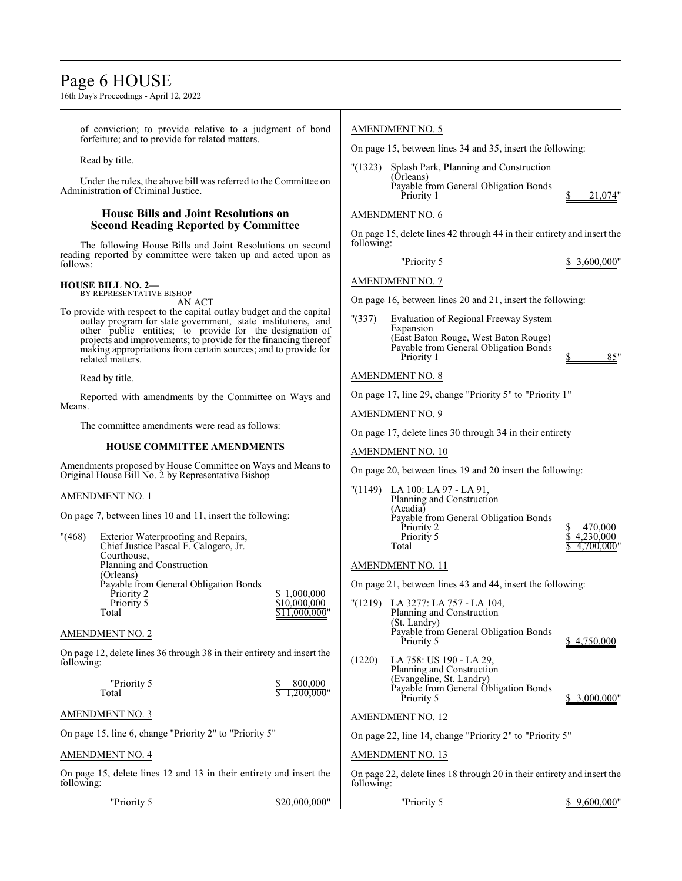# Page 6 HOUSE

16th Day's Proceedings - April 12, 2022

of conviction; to provide relative to a judgment of bond forfeiture; and to provide for related matters.

Read by title.

Under the rules, the above bill was referred to the Committee on Administration of Criminal Justice.

# **House Bills and Joint Resolutions on Second Reading Reported by Committee**

The following House Bills and Joint Resolutions on second reading reported by committee were taken up and acted upon as follows:

### **HOUSE BILL NO. 2—** BY REPRESENTATIVE BISHOP

AN ACT

To provide with respect to the capital outlay budget and the capital outlay program for state government, state institutions, and other public entities; to provide for the designation of projects and improvements; to provide for the financing thereof making appropriations from certain sources; and to provide for related matters.

Read by title.

Reported with amendments by the Committee on Ways and Means.

The committee amendments were read as follows:

# **HOUSE COMMITTEE AMENDMENTS**

Amendments proposed by House Committee on Ways and Means to Original House Bill No. 2 by Representative Bishop

# AMENDMENT NO. 1

On page 7, between lines 10 and 11, insert the following:

| " (468) | Exterior Waterproofing and Repairs,   |               |
|---------|---------------------------------------|---------------|
|         | Chief Justice Pascal F. Calogero, Jr. |               |
|         | Courthouse,                           |               |
|         | Planning and Construction             |               |
|         | (Orleans)                             |               |
|         | Payable from General Obligation Bonds |               |
|         | Priority 2                            | \$1,000,000   |
|         | Priority 5                            | \$10,000,000  |
|         | Total                                 | \$11,000,000" |
|         |                                       |               |

# AMENDMENT NO. 2

On page 12, delete lines 36 through 38 in their entirety and insert the following:

| "Priority 5 | 800,000      |
|-------------|--------------|
| Total       | \$1,200,000" |

# AMENDMENT NO. 3

On page 15, line 6, change "Priority 2" to "Priority 5"

# AMENDMENT NO. 4

On page 15, delete lines 12 and 13 in their entirety and insert the following:

"Priority 5 \$20,000,000"

# AMENDMENT NO. 5

On page 15, between lines 34 and 35, insert the following:

"(1323) Splash Park, Planning and Construction (Orleans) Payable from General Obligation Bonds Priority 1  $\frac{\$}{21,074}$ "

# AMENDMENT NO. 6

On page 15, delete lines 42 through 44 in their entirety and insert the following:

"Priority 5 \$ 3,600,000"

AMENDMENT NO. 7

On page 16, between lines 20 and 21, insert the following:

"(337) Evaluation of Regional Freeway System Expansion (East Baton Rouge, West Baton Rouge) Payable from General Obligation Bonds Priority 1 \$ 85"

# AMENDMENT NO. 8

On page 17, line 29, change "Priority 5" to "Priority 1"

AMENDMENT NO. 9

On page 17, delete lines 30 through 34 in their entirety

# AMENDMENT NO. 10

On page 20, between lines 19 and 20 insert the following:

"(1149) LA 100: LA 97 - LA 91, Planning and Construction (Acadia) Payable from General Obligation Bonds Priority 2 <br>
Priority 5 <br>
S 4,230,000 Priority 5 <br>
Total  $\frac{$4,230,000}{$4,700,000}$  $4,700,000$ 

# AMENDMENT NO. 11

On page 21, between lines 43 and 44, insert the following:

"(1219) LA 3277: LA 757 - LA 104, Planning and Construction (St. Landry) Payable from General Obligation Bonds \$ 4,750,000 (1220) LA 758: US 190 - LA 29, Planning and Construction (Evangeline, St. Landry) Payable from General Obligation Bonds<br>Priority 5  $$3,000,000"$ 

# AMENDMENT NO. 12

On page 22, line 14, change "Priority 2" to "Priority 5"

# AMENDMENT NO. 13

On page 22, delete lines 18 through 20 in their entirety and insert the following:

| "Priority 5 |  | \$9,600,000" |  |
|-------------|--|--------------|--|
|             |  |              |  |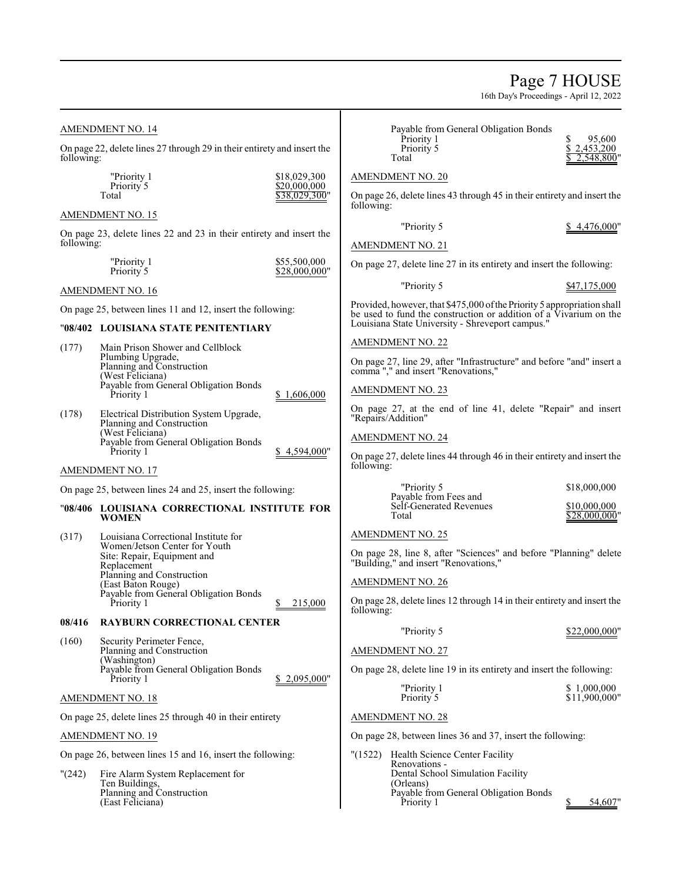Page 7 HOUSE 16th Day's Proceedings - April 12, 2022 "Priority 1 \$18,029,300  $$20,000,000$  $$38,029,300"$  $$1,606,000$  $$4,594,000"$ Payable from General Obligation Bonds Priority 1  $\begin{array}{ccc} 5 & 95,600 \\ \text{Priority 5} & \text{S} & 2,453,200 \end{array}$ Priority 5 <br>
Total  $\frac{$2,453,200}{$2,548,800}$  $2,548,800$ " AMENDMENT NO. 20 On page 26, delete lines 43 through 45 in their entirety and insert the following: "Priority 5 \$4,476,000" AMENDMENT NO. 21 On page 27, delete line 27 in its entirety and insert the following: "Priority 5 \$47,175,000 Provided, however, that \$475,000 of the Priority 5 appropriation shall be used to fund the construction or addition of a Vivarium on the Louisiana State University - Shreveport campus." AMENDMENT NO. 22 On page 27, line 29, after "Infrastructure" and before "and" insert a comma "," and insert "Renovations," AMENDMENT NO. 23 On page 27, at the end of line 41, delete "Repair" and insert "Repairs/Addition" AMENDMENT NO. 24 On page 27, delete lines 44 through 46 in their entirety and insert the following: "Priority 5 \$18,000,000 Payable from Fees and Self-Generated Revenues  $\frac{$10,000,000}{28,000,000}$ \$28,000,000" AMENDMENT NO. 25 On page 28, line 8, after "Sciences" and before "Planning" delete "Building," and insert "Renovations," AMENDMENT NO. 26

On page 28, delete lines 12 through 14 in their entirety and insert the following:

| "Priority 5                                                          | \$22,000,000" |
|----------------------------------------------------------------------|---------------|
| <b>AMENDMENT NO. 27</b>                                              |               |
| On page 28, delete line 19 in its entirety and insert the following: |               |

| "Priority 1 | \$1,000,000   |
|-------------|---------------|
| Priority 5  | \$11,900,000" |
|             |               |

# AMENDMENT NO. 28

On page 28, between lines 36 and 37, insert the following:

"(1522) Health Science Center Facility Renovations - Dental School Simulation Facility (Orleans) Payable from General Obligation Bonds Priority 1  $\qquad$   $\qquad$   $\qquad$  54,607"

# AMENDMENT NO. 14

On page 22, delete lines 27 through 29 in their entirety and insert the following:

| THUITH T<br>Priority 5 |  |
|------------------------|--|
| Total                  |  |

# AMENDMENT NO. 15

On page 23, delete lines 22 and 23 in their entirety and insert the following:

| "Priority 1 | \$55,500,000  |
|-------------|---------------|
| Priority 5  | \$28,000,000" |

# AMENDMENT NO. 16

On page 25, between lines 11 and 12, insert the following:

# "**08/402 LOUISIANA STATE PENITENTIARY**

- (177) Main Prison Shower and Cellblock Plumbing Upgrade, Planning and Construction (West Feliciana) Payable from General Obligation Bonds<br>Priority 1
- (178) Electrical Distribution System Upgrade, Planning and Construction (West Feliciana) Payable from General Obligation Bonds

# AMENDMENT NO. 17

On page 25, between lines 24 and 25, insert the following:

# "**08/406 LOUISIANA CORRECTIONAL INSTITUTE FOR WOMEN**

(317) Louisiana Correctional Institute for Women/Jetson Center for Youth Site: Repair, Equipment and Replacement Planning and Construction (East Baton Rouge) Payable from General Obligation Bonds 215,000

# **08/416 RAYBURN CORRECTIONAL CENTER**

(160) Security Perimeter Fence, Planning and Construction (Washington) Payable from General Obligation Bonds Priority 1  $\frac{$2,095,000}{$2,095,000"$ 

AMENDMENT NO. 18

On page 25, delete lines 25 through 40 in their entirety

# AMENDMENT NO. 19

On page 26, between lines 15 and 16, insert the following:

"(242) Fire Alarm System Replacement for Ten Buildings, Planning and Construction (East Feliciana)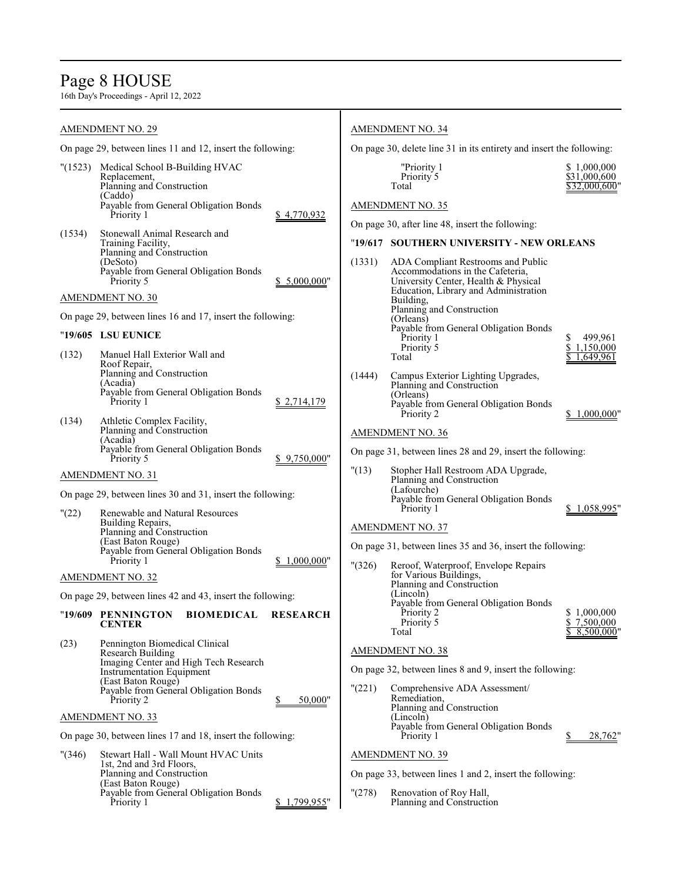# Page 8 HOUSE

|         | AMENDMENT NO. 29                                                                                                                                    |                 |                         | <b>AMENDMENT NO. 34</b>                                                                                                                                                                                                                                  |                                              |
|---------|-----------------------------------------------------------------------------------------------------------------------------------------------------|-----------------|-------------------------|----------------------------------------------------------------------------------------------------------------------------------------------------------------------------------------------------------------------------------------------------------|----------------------------------------------|
|         | On page 29, between lines 11 and 12, insert the following:                                                                                          |                 |                         | On page 30, delete line 31 in its entirety and insert the following:                                                                                                                                                                                     |                                              |
| "(1523) | Medical School B-Building HVAC<br>Replacement,<br>Planning and Construction<br>(Caddo)<br>Payable from General Obligation Bonds<br>Priority 1       | \$4,770,932     |                         | "Priority 1<br>Priority 5<br>Total<br><b>AMENDMENT NO. 35</b>                                                                                                                                                                                            | \$1,000,000<br>\$31,000,600<br>\$32,000,600" |
| (1534)  | Stonewall Animal Research and<br>Training Facility,<br>Planning and Construction<br>(DeSoto)<br>Payable from General Obligation Bonds<br>Priority 5 | \$ 5,000,000"   | (1331)                  | On page 30, after line 48, insert the following:<br>"19/617 SOUTHERN UNIVERSITY - NEW ORLEANS<br>ADA Compliant Restrooms and Public<br>Accommodations in the Cafeteria,<br>University Center, Health & Physical<br>Education, Library and Administration |                                              |
|         | <b>AMENDMENT NO. 30</b><br>On page 29, between lines 16 and 17, insert the following:                                                               |                 |                         | Building,<br>Planning and Construction<br>(Orleans)                                                                                                                                                                                                      |                                              |
|         | "19/605 LSU EUNICE                                                                                                                                  |                 |                         | Payable from General Obligation Bonds<br>Priority 1<br>Priority 5                                                                                                                                                                                        | \$<br>499.961<br>\$1,150,000                 |
| (132)   | Manuel Hall Exterior Wall and<br>Roof Repair,<br>Planning and Construction<br>(Acadia)<br>Payable from General Obligation Bonds<br>Priority 1       | \$2,714,179     | (1444)                  | Total<br>Campus Exterior Lighting Upgrades,<br>Planning and Construction<br>(Orleans)<br>Payable from General Obligation Bonds<br>Priority 2                                                                                                             | 1,649,961<br>1,000,000"                      |
| (134)   | Athletic Complex Facility,<br>Planning and Construction<br>(Acadia)<br>Payable from General Obligation Bonds                                        |                 |                         | <b>AMENDMENT NO. 36</b>                                                                                                                                                                                                                                  |                                              |
|         | Priority 5                                                                                                                                          | 9,750,000"      |                         | On page 31, between lines 28 and 29, insert the following:                                                                                                                                                                                               |                                              |
| "(22)   | AMENDMENT NO. 31<br>On page 29, between lines 30 and 31, insert the following:<br>Renewable and Natural Resources<br>Building Repairs,              |                 | "(13)                   | Stopher Hall Restroom ADA Upgrade,<br>Planning and Construction<br>(Lafourche)<br>Payable from General Obligation Bonds<br>Priority 1                                                                                                                    | \$1,058,995"                                 |
|         | Planning and Construction<br>(East Baton Rouge)<br>Payable from General Obligation Bonds<br>Priority 1                                              | \$1,000,000"    | $^{\prime\prime}$ (326) | <b>AMENDMENT NO. 37</b><br>On page 31, between lines 35 and 36, insert the following:<br>Reroof, Waterproof, Envelope Repairs                                                                                                                            |                                              |
|         | <b>AMENDMENT NO. 32</b>                                                                                                                             |                 |                         | for Various Buildings,<br>Planning and Construction                                                                                                                                                                                                      |                                              |
|         | On page 29, between lines 42 and 43, insert the following:<br>"19/609 PENNINGTON<br><b>BIOMEDICAL</b><br><b>CENTER</b>                              | <b>RESEARCH</b> |                         | (Lincoln)<br>Payable from General Obligation Bonds<br>Priority 2<br>Priority 5<br>Total                                                                                                                                                                  | \$1,000,000<br>\$7,500,000<br>8,500,000"     |
| (23)    | Pennington Biomedical Clinical<br><b>Research Building</b>                                                                                          |                 |                         | <b>AMENDMENT NO. 38</b>                                                                                                                                                                                                                                  |                                              |
|         | Imaging Center and High Tech Research<br>Instrumentation Equipment<br>(East Baton Rouge)                                                            |                 |                         | On page 32, between lines 8 and 9, insert the following:                                                                                                                                                                                                 |                                              |
|         | Payable from General Obligation Bonds<br>Priority 2                                                                                                 | 50,000"         | "(221)                  | Comprehensive ADA Assessment/<br>Remediation,<br>Planning and Construction                                                                                                                                                                               |                                              |
|         | AMENDMENT NO. 33                                                                                                                                    |                 |                         | (Lincoln)<br>Payable from General Obligation Bonds                                                                                                                                                                                                       |                                              |
|         | On page 30, between lines 17 and 18, insert the following:                                                                                          |                 |                         | Priority 1                                                                                                                                                                                                                                               | 28,762"                                      |
| "(346)  | Stewart Hall - Wall Mount HVAC Units<br>1st, 2nd and 3rd Floors,<br>Planning and Construction                                                       |                 |                         | <b>AMENDMENT NO. 39</b><br>On page 33, between lines 1 and 2, insert the following:                                                                                                                                                                      |                                              |
|         | (East Baton Rouge)<br>Payable from General Obligation Bonds<br>Priority 1                                                                           | \$1,799,955"    | "(278)                  | Renovation of Roy Hall,<br>Planning and Construction                                                                                                                                                                                                     |                                              |
|         |                                                                                                                                                     |                 |                         |                                                                                                                                                                                                                                                          |                                              |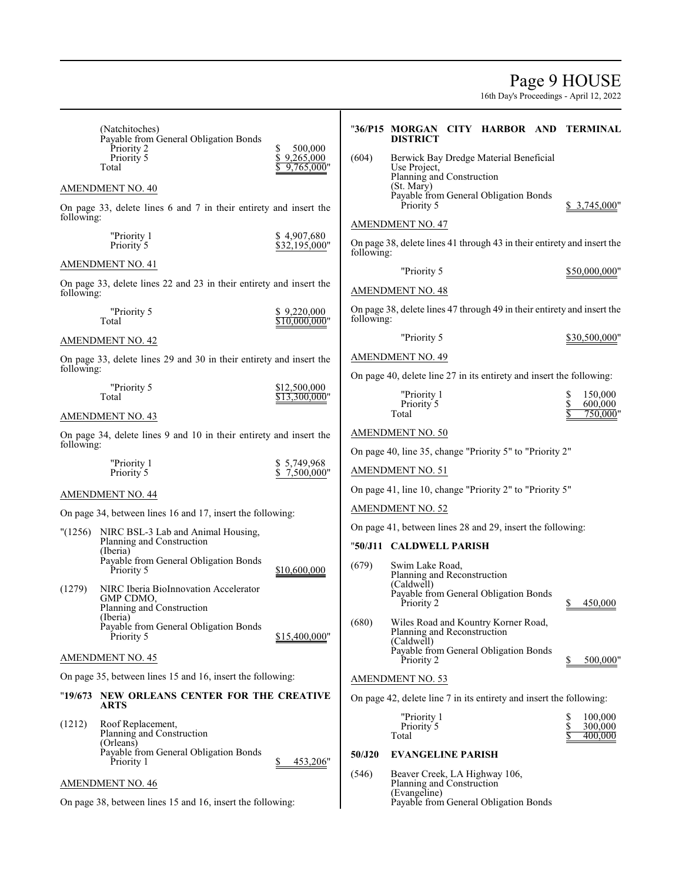# Page 9 HOUSE

|            | (Natchitoches)<br>Payable from General Obligation Bonds<br>Priority 2<br>Priority 5 | 500,000<br>S<br>\$<br>9,265,000 | (604)      | "36/P15 MORGAN CITY HARBOR AND TERMINAL<br><b>DISTRICT</b><br>Berwick Bay Dredge Material Beneficial |  |                               |
|------------|-------------------------------------------------------------------------------------|---------------------------------|------------|------------------------------------------------------------------------------------------------------|--|-------------------------------|
|            | Total                                                                               | 9,765,000"                      |            | Use Project,<br>Planning and Construction                                                            |  |                               |
|            | <b>AMENDMENT NO. 40</b>                                                             |                                 |            | (St. Mary)<br>Payable from General Obligation Bonds                                                  |  |                               |
| following: | On page 33, delete lines 6 and 7 in their entirety and insert the                   |                                 |            | Priority 5                                                                                           |  | \$ 3,745,000"                 |
|            | "Priority 1<br>Priority <sup>5</sup>                                                | \$4,907,680<br>\$32,195,000"    | following: | <b>AMENDMENT NO. 47</b><br>On page 38, delete lines 41 through 43 in their entirety and insert the   |  |                               |
|            | <b>AMENDMENT NO. 41</b>                                                             |                                 |            | "Priority 5                                                                                          |  | \$50,000,000"                 |
| following: | On page 33, delete lines 22 and 23 in their entirety and insert the                 |                                 |            | <b>AMENDMENT NO. 48</b>                                                                              |  |                               |
|            | "Priority 5<br>Total                                                                | \$9,220,000<br>\$10.000.000"    | following: | On page 38, delete lines 47 through 49 in their entirety and insert the                              |  |                               |
|            | <b>AMENDMENT NO. 42</b>                                                             |                                 |            | "Priority 5                                                                                          |  | \$30,500,000"                 |
|            | On page 33, delete lines 29 and 30 in their entirety and insert the                 |                                 |            | <b>AMENDMENT NO. 49</b>                                                                              |  |                               |
| following: |                                                                                     |                                 |            | On page 40, delete line 27 in its entirety and insert the following:                                 |  |                               |
|            | "Priority 5<br>Total                                                                | \$12,500,000<br>\$13.300.000"   |            | "Priority 1<br>Priority 5<br>Total                                                                   |  | 150,000<br>600,000<br>750,000 |
|            | AMENDMENT NO. 43                                                                    |                                 |            |                                                                                                      |  |                               |
| following: | On page 34, delete lines 9 and 10 in their entirety and insert the                  |                                 |            | AMENDMENT NO. 50                                                                                     |  |                               |
|            | "Priority 1                                                                         | \$5,749,968                     |            | On page 40, line 35, change "Priority 5" to "Priority 2"                                             |  |                               |
|            | Priority 5                                                                          | \$7,500,000"                    |            | <b>AMENDMENT NO. 51</b>                                                                              |  |                               |
|            | <b>AMENDMENT NO. 44</b>                                                             |                                 |            | On page 41, line 10, change "Priority 2" to "Priority 5"                                             |  |                               |
|            | On page 34, between lines 16 and 17, insert the following:                          |                                 |            | <b>AMENDMENT NO. 52</b>                                                                              |  |                               |
| "(1256)    | NIRC BSL-3 Lab and Animal Housing,<br>Planning and Construction                     |                                 |            | On page 41, between lines 28 and 29, insert the following:                                           |  |                               |
|            | (Iberia)<br>Payable from General Obligation Bonds                                   |                                 |            | "50/J11 CALDWELL PARISH                                                                              |  |                               |
|            | Priority 5                                                                          | \$10,600,000                    | (679)      | Swim Lake Road,<br>Planning and Reconstruction                                                       |  |                               |
| (1279)     | NIRC Iberia BioInnovation Accelerator<br>GMP CDMO,<br>Planning and Construction     |                                 |            | (Caldwell)<br>Payable from General Obligation Bonds<br>Priority 2                                    |  | 450,000<br>\$                 |
|            | (Iberia)<br>Payable from General Obligation Bonds<br>Priority 5                     | \$15,400,000"                   | (680)      | Wiles Road and Kountry Korner Road,<br>Planning and Reconstruction<br>(Caldwell)                     |  |                               |
|            | AMENDMENT NO. 45                                                                    |                                 |            | Payable from General Obligation Bonds<br>Priority 2                                                  |  | 500,000"                      |
|            | On page 35, between lines 15 and 16, insert the following:                          |                                 |            | <b>AMENDMENT NO. 53</b>                                                                              |  |                               |
|            | "19/673 NEW ORLEANS CENTER FOR THE CREATIVE                                         |                                 |            | On page 42, delete line 7 in its entirety and insert the following:                                  |  |                               |
|            | <b>ARTS</b>                                                                         |                                 |            | "Priority 1                                                                                          |  | 100,000                       |
| (1212)     | Roof Replacement,<br>Planning and Construction<br>(Orleans)                         |                                 |            | Priority 5<br>Total                                                                                  |  | \$<br>300,000<br>400,000      |
|            | Payable from General Obligation Bonds<br>Priority 1                                 | 453,206"                        | 50/J20     | <b>EVANGELINE PARISH</b>                                                                             |  |                               |
|            | <b>AMENDMENT NO. 46</b>                                                             |                                 | (546)      | Beaver Creek, LA Highway 106,<br>Planning and Construction                                           |  |                               |
|            | On page 38, between lines 15 and 16, insert the following:                          |                                 |            | (Evangeline)<br>Payable from General Obligation Bonds                                                |  |                               |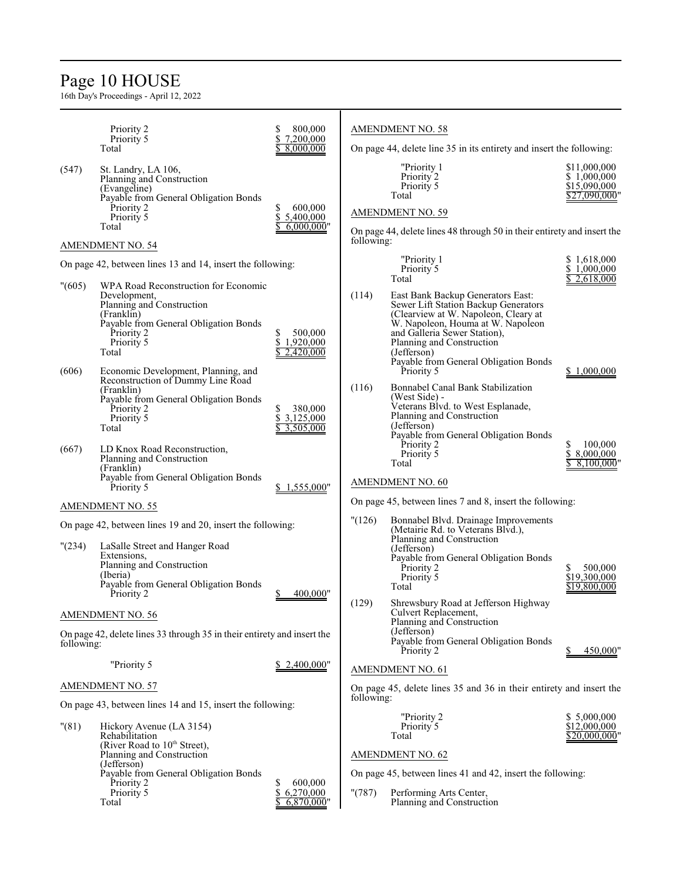# Page 10 HOUSE

|            | Priority 2                                                                                                                                                                                                       | \$<br>800,000                                  |            | <b>AMENDMENT NO. 58</b>                                                                                                                                                                                                                                                     |                                                              |
|------------|------------------------------------------------------------------------------------------------------------------------------------------------------------------------------------------------------------------|------------------------------------------------|------------|-----------------------------------------------------------------------------------------------------------------------------------------------------------------------------------------------------------------------------------------------------------------------------|--------------------------------------------------------------|
|            | Priority 5<br>Total                                                                                                                                                                                              | \$<br>7,200,000<br>8,000,000                   |            | On page 44, delete line 35 in its entirety and insert the following:                                                                                                                                                                                                        |                                                              |
| (547)      | St. Landry, LA 106,<br>Planning and Construction<br>(Evangeline)<br>Payable from General Obligation Bonds<br>Priority 2<br>Priority 5<br>Total                                                                   | 600,000<br>\$<br>\$<br>5,400,000<br>6,000,000" |            | "Priority 1<br>Priority 2<br>Priority 5<br>Total<br><b>AMENDMENT NO. 59</b><br>On page 44, delete lines 48 through 50 in their entirety and insert the                                                                                                                      | \$11,000,000<br>\$1,000,000<br>\$15,090,000<br>\$27,090,000" |
|            | <b>AMENDMENT NO. 54</b>                                                                                                                                                                                          |                                                | following: |                                                                                                                                                                                                                                                                             |                                                              |
|            | On page 42, between lines 13 and 14, insert the following:                                                                                                                                                       |                                                |            | "Priority 1<br>Priority 5<br>Total                                                                                                                                                                                                                                          | \$1,618,000<br>\$1,000,000<br>2,618,000                      |
| "(605)     | WPA Road Reconstruction for Economic<br>Development,<br>Planning and Construction<br>(Franklin)<br>Payable from General Obligation Bonds<br>Priority 2<br>Priority 5<br>Total                                    | \$<br>500,000<br>\$<br>1,920,000<br>2,420,000  | (114)      | East Bank Backup Generators East:<br>Sewer Lift Station Backup Generators<br>(Clearview at W. Napoleon, Cleary at<br>W. Napoleon, Houma at W. Napoleon<br>and Galleria Sewer Station),<br>Planning and Construction<br>(Jefferson)<br>Payable from General Obligation Bonds |                                                              |
| (606)      | Economic Development, Planning, and<br>Reconstruction of Dummy Line Road<br>(Franklin)<br>Payable from General Obligation Bonds<br>Priority 2<br>Priority 5<br>Total                                             | \$<br>380,000<br>\$<br>3,125,000<br>3,505,000  | (116)      | Priority 5<br>Bonnabel Canal Bank Stabilization<br>(West Side) -<br>Veterans Blvd. to West Esplanade,<br>Planning and Construction<br>(Jefferson)<br>Payable from General Obligation Bonds                                                                                  | \$1,000,000                                                  |
| (667)      | LD Knox Road Reconstruction,<br>Planning and Construction<br>(Franklin)<br>Payable from General Obligation Bonds<br>Priority 5                                                                                   | 1,555,000"                                     |            | Priority 2<br>Priority 5<br>Total<br>AMENDMENT NO. 60                                                                                                                                                                                                                       | 100,000<br>S<br>8,000,000<br>\$<br>8,100,000                 |
|            | <b>AMENDMENT NO. 55</b>                                                                                                                                                                                          |                                                |            | On page 45, between lines 7 and 8, insert the following:                                                                                                                                                                                                                    |                                                              |
| "(234)     | On page 42, between lines 19 and 20, insert the following:<br>LaSalle Street and Hanger Road<br>Extensions,<br>Planning and Construction<br>(Iberia)<br>Payable from General Obligation Bonds<br>Priority 2      | 400.000"                                       | "(126)     | Bonnabel Blvd. Drainage Improvements<br>(Metairie Rd. to Veterans Blvd.),<br>Planning and Construction<br>(Jefferson)<br>Payable from General Obligation Bonds<br>Priority 2<br>Priority 5<br>Total                                                                         | 500,000<br>\$19,300,000<br>\$19,800,000                      |
|            | <b>AMENDMENT NO. 56</b>                                                                                                                                                                                          |                                                | (129)      | Shrewsbury Road at Jefferson Highway<br>Culvert Replacement,<br>Planning and Construction                                                                                                                                                                                   |                                                              |
| following: | On page 42, delete lines 33 through 35 in their entirety and insert the                                                                                                                                          |                                                |            | (Jefferson)<br>Payable from General Obligation Bonds<br>Priority 2                                                                                                                                                                                                          | 450,000"                                                     |
|            | "Priority 5                                                                                                                                                                                                      | \$2,400,000"                                   |            | <b>AMENDMENT NO. 61</b>                                                                                                                                                                                                                                                     |                                                              |
|            | AMENDMENT NO. 57                                                                                                                                                                                                 |                                                |            | On page 45, delete lines 35 and 36 in their entirety and insert the                                                                                                                                                                                                         |                                                              |
|            | On page 43, between lines 14 and 15, insert the following:                                                                                                                                                       |                                                | following: |                                                                                                                                                                                                                                                                             |                                                              |
| "(81)      | Hickory Avenue (LA 3154)<br>Rehabilitation<br>(River Road to 10 <sup>th</sup> Street),<br>Planning and Construction<br>(Jefferson)<br>Payable from General Obligation Bonds<br>Priority 2<br>Priority 5<br>Total | \$<br>600,000<br>\$<br>6,270,000<br>6,870,000" | "(787)     | "Priority 2<br>Priority 5<br>Total<br><b>AMENDMENT NO. 62</b><br>On page 45, between lines 41 and 42, insert the following:<br>Performing Arts Center,<br>Planning and Construction                                                                                         | \$ 5,000,000<br>\$12,000,000<br>\$20,000,000'                |
|            |                                                                                                                                                                                                                  |                                                |            |                                                                                                                                                                                                                                                                             |                                                              |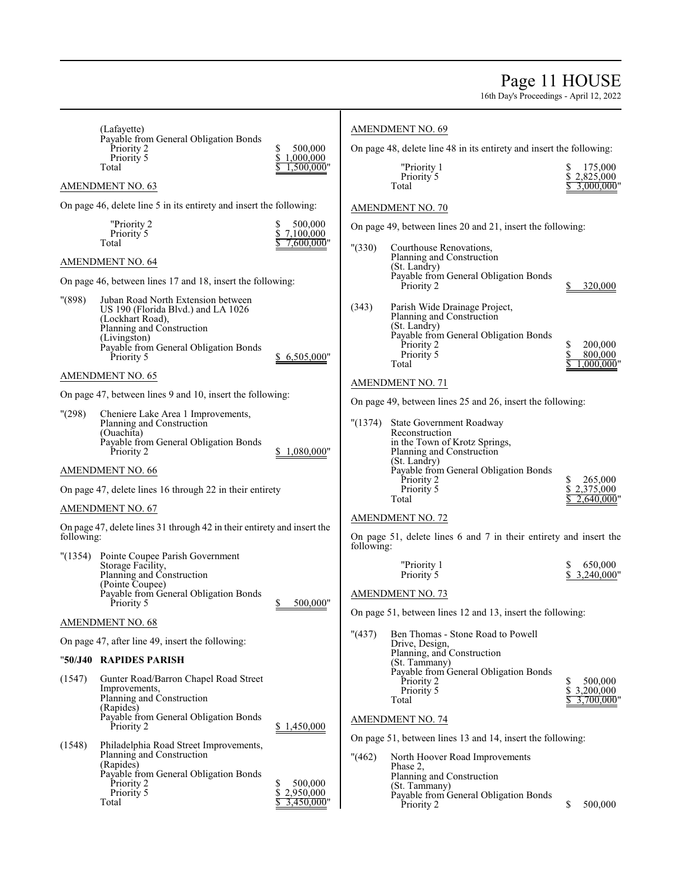# Page 11 HOUSE

|            | (Lafayette)<br>Payable from General Obligation Bonds                                                                                                                                             |                                          |            | <b>AMENDMENT NO. 69</b>                                                                                                                                                  |                                               |
|------------|--------------------------------------------------------------------------------------------------------------------------------------------------------------------------------------------------|------------------------------------------|------------|--------------------------------------------------------------------------------------------------------------------------------------------------------------------------|-----------------------------------------------|
|            | Priority 2<br>Priority 5                                                                                                                                                                         | 500,000<br>S<br>\$<br>1,000,000          |            | On page 48, delete line 48 in its entirety and insert the following:                                                                                                     |                                               |
|            | Total                                                                                                                                                                                            | .500.000"                                |            | "Priority 1<br>Priority 5                                                                                                                                                | 175,000<br>\$2,825,000                        |
|            | AMENDMENT NO. 63                                                                                                                                                                                 |                                          |            | Total                                                                                                                                                                    | $3,000,000$ "                                 |
|            | On page 46, delete line 5 in its entirety and insert the following:                                                                                                                              |                                          |            | <b>AMENDMENT NO. 70</b>                                                                                                                                                  |                                               |
|            | "Priority 2<br>Priority 5<br>Total                                                                                                                                                               | 500,000<br>\$<br>7.100.000<br>7,600,000" |            | On page 49, between lines 20 and 21, insert the following:                                                                                                               |                                               |
|            | AMENDMENT NO. 64                                                                                                                                                                                 |                                          | " (330)    | Courthouse Renovations,<br>Planning and Construction<br>(St. Landry)                                                                                                     |                                               |
|            | On page 46, between lines 17 and 18, insert the following:                                                                                                                                       |                                          |            | Payable from General Obligation Bonds<br>Priority 2                                                                                                                      | 320,000                                       |
| "(898)     | Juban Road North Extension between<br>US 190 (Florida Blvd.) and LA 1026<br>(Lockhart Road),<br>Planning and Construction<br>(Livingston)<br>Payable from General Obligation Bonds<br>Priority 5 | \$6,505,000"                             | (343)      | Parish Wide Drainage Project,<br>Planning and Construction<br>(St. Landry)<br>Payable from General Obligation Bonds<br>Priority 2<br>Priority 5<br>Total                 | \$<br>200,000<br>\$<br>800,000<br>.000.000"   |
|            | AMENDMENT NO. 65                                                                                                                                                                                 |                                          |            |                                                                                                                                                                          |                                               |
|            | On page 47, between lines 9 and 10, insert the following:                                                                                                                                        |                                          |            | <b>AMENDMENT NO. 71</b>                                                                                                                                                  |                                               |
| "(298)     | Cheniere Lake Area 1 Improvements,                                                                                                                                                               |                                          |            | On page 49, between lines 25 and 26, insert the following:                                                                                                               |                                               |
|            | Planning and Construction<br>(Ouachita)<br>Payable from General Obligation Bonds<br>Priority 2<br>AMENDMENT NO. 66                                                                               | 1,080,000"                               | "(1374)    | <b>State Government Roadway</b><br>Reconstruction<br>in the Town of Krotz Springs,<br>Planning and Construction<br>(St. Landry)<br>Payable from General Obligation Bonds |                                               |
|            |                                                                                                                                                                                                  |                                          |            | Priority 2                                                                                                                                                               | \$<br>265,000                                 |
|            | On page 47, delete lines 16 through 22 in their entirety                                                                                                                                         |                                          |            | Priority 5<br>Total                                                                                                                                                      | \$2,375,000<br>2,640,000'                     |
|            | AMENDMENT NO. 67                                                                                                                                                                                 |                                          |            | AMENDMENT NO. 72                                                                                                                                                         |                                               |
| following: | On page 47, delete lines 31 through 42 in their entirety and insert the                                                                                                                          |                                          | following: | On page 51, delete lines 6 and 7 in their entirety and insert the                                                                                                        |                                               |
| "(1354)    | Pointe Coupee Parish Government<br>Storage Facility,<br>Planning and Construction<br>(Pointe Coupee)<br>Payable from General Obligation Bonds<br>Priority 5                                      | 500,000"<br>\$                           |            | "Priority 1<br>Priority 5<br>AMENDMENT NO. 73                                                                                                                            | 650,000<br>S<br>3,240,000"                    |
|            | AMENDMENT NO. 68                                                                                                                                                                                 |                                          |            | On page 51, between lines 12 and 13, insert the following:                                                                                                               |                                               |
|            | On page 47, after line 49, insert the following:                                                                                                                                                 |                                          | " (437)    | Ben Thomas - Stone Road to Powell<br>Drive, Design,                                                                                                                      |                                               |
|            | "50/J40 RAPIDES PARISH                                                                                                                                                                           |                                          |            | Planning, and Construction<br>(St. Tammany)                                                                                                                              |                                               |
| (1547)     | Gunter Road/Barron Chapel Road Street<br>Improvements,<br>Planning and Construction<br>(Rapides)<br>Payable from General Obligation Bonds<br>Priority 2                                          | \$1,450,000                              |            | Payable from General Obligation Bonds<br>Priority 2<br>Priority 5<br>Total<br><b>AMENDMENT NO. 74</b>                                                                    | \$<br>500,000<br>\$3,200,000<br>$3,700,000$ " |
|            |                                                                                                                                                                                                  |                                          |            | On page 51, between lines 13 and 14, insert the following:                                                                                                               |                                               |
| (1548)     | Philadelphia Road Street Improvements,<br>Planning and Construction<br>(Rapides)<br>Payable from General Obligation Bonds<br>Priority 2<br>Priority 5<br>Total                                   | 500,000<br>\$<br>2,950,000<br>3,450,000" | " (462)    | North Hoover Road Improvements<br>Phase 2,<br>Planning and Construction<br>(St. Tammany)<br>Payable from General Obligation Bonds<br>Priority 2                          | \$<br>500,000                                 |
|            |                                                                                                                                                                                                  |                                          |            |                                                                                                                                                                          |                                               |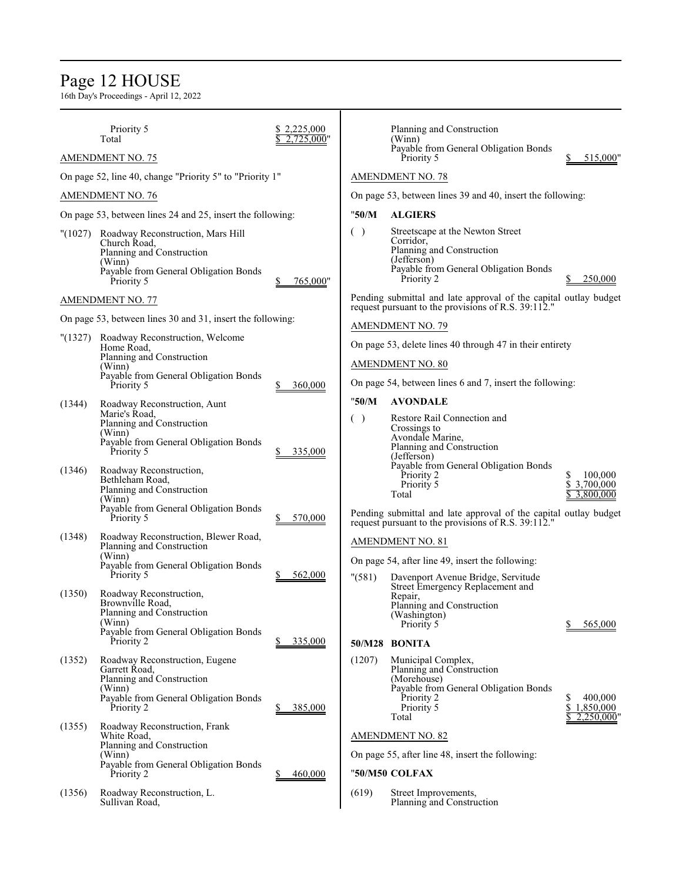# Page 12 HOUSE

|         | Priority 5<br>Total                                                                                                                                     | 2,225,000<br>2.725.000" |         | Planning and Construction<br>(Winn)<br>Payable from General Obligation Bonds                                                                     |                                     |
|---------|---------------------------------------------------------------------------------------------------------------------------------------------------------|-------------------------|---------|--------------------------------------------------------------------------------------------------------------------------------------------------|-------------------------------------|
|         | <b>AMENDMENT NO. 75</b>                                                                                                                                 |                         |         | Priority 5                                                                                                                                       | 515,000"                            |
|         | On page 52, line 40, change "Priority 5" to "Priority 1"                                                                                                |                         |         | <b>AMENDMENT NO. 78</b>                                                                                                                          |                                     |
|         | <b>AMENDMENT NO. 76</b>                                                                                                                                 |                         |         | On page 53, between lines 39 and 40, insert the following:                                                                                       |                                     |
|         | On page 53, between lines 24 and 25, insert the following:                                                                                              |                         | "50/M   | <b>ALGIERS</b>                                                                                                                                   |                                     |
|         | "(1027) Roadway Reconstruction, Mars Hill<br>Church Road.<br>Planning and Construction<br>(Winn)<br>Payable from General Obligation Bonds<br>Priority 5 | 765,000"                | $($ )   | Streetscape at the Newton Street<br>Corridor,<br>Planning and Construction<br>(Jefferson)<br>Payable from General Obligation Bonds<br>Priority 2 | 250,000                             |
|         | <b>AMENDMENT NO. 77</b>                                                                                                                                 |                         |         | Pending submittal and late approval of the capital outlay budget<br>request pursuant to the provisions of R.S. 39:112."                          |                                     |
|         | On page 53, between lines 30 and 31, insert the following:                                                                                              |                         |         | <b>AMENDMENT NO. 79</b>                                                                                                                          |                                     |
| "(1327) | Roadway Reconstruction, Welcome<br>Home Road,                                                                                                           |                         |         | On page 53, delete lines 40 through 47 in their entirety                                                                                         |                                     |
|         | Planning and Construction<br>(Winn)                                                                                                                     |                         |         | <b>AMENDMENT NO. 80</b>                                                                                                                          |                                     |
|         | Payable from General Obligation Bonds<br>Priority 5                                                                                                     | 360,000                 |         | On page 54, between lines 6 and 7, insert the following:                                                                                         |                                     |
| (1344)  | Roadway Reconstruction, Aunt                                                                                                                            |                         | "50/M   | <b>AVONDALE</b>                                                                                                                                  |                                     |
|         | Marie's Road,<br>Planning and Construction<br>(Winn)<br>Payable from General Obligation Bonds<br>Priority 5                                             | 335,000                 | ( )     | Restore Rail Connection and<br>Crossings to<br>Avondale Marine,<br>Planning and Construction<br>(Jefferson)                                      |                                     |
| (1346)  | Roadway Reconstruction,<br>Bethleham Road,<br>Planning and Construction<br>(Winn)<br>Payable from General Obligation Bonds                              |                         |         | Payable from General Obligation Bonds<br>Priority 2<br>Priority 5<br>Total                                                                       | 100,000<br>\$3,700,000<br>3,800,000 |
|         | Priority 5                                                                                                                                              | 570,000                 |         | Pending submittal and late approval of the capital outlay budget<br>request pursuant to the provisions of R.S. 39:112."                          |                                     |
| (1348)  | Roadway Reconstruction, Blewer Road,<br>Planning and Construction                                                                                       |                         |         | <b>AMENDMENT NO. 81</b>                                                                                                                          |                                     |
|         | (Winn)<br>Payable from General Obligation Bonds<br>Priority 5                                                                                           | 562,000                 | " (581) | On page 54, after line 49, insert the following:<br>Davenport Avenue Bridge, Servitude                                                           |                                     |
| (1350)  | Roadway Reconstruction,<br>Brownville Road,<br>Planning and Construction<br>(Winn)<br>Payable from General Obligation Bonds                             |                         |         | Street Emergency Replacement and<br>Repair,<br>Planning and Construction<br>(Washington)<br>Priority 5                                           | 565,000                             |
|         | Priority 2                                                                                                                                              | 335,000                 |         | 50/M28 BONITA                                                                                                                                    |                                     |
| (1352)  | Roadway Reconstruction, Eugene<br>Garrett Road,<br>Planning and Construction<br>(Winn)<br>Payable from General Obligation Bonds<br>Priority 2           | 385,000                 | (1207)  | Municipal Complex,<br>Planning and Construction<br>(Morehouse)<br>Payable from General Obligation Bonds<br>Priority 2<br>Priority 5<br>Total     | 400,000<br>\$1,850,000<br>2,250,000 |
| (1355)  | Roadway Reconstruction, Frank<br>White Road,                                                                                                            |                         |         | <b>AMENDMENT NO. 82</b>                                                                                                                          |                                     |
|         | Planning and Construction<br>(Winn)                                                                                                                     |                         |         | On page 55, after line 48, insert the following:                                                                                                 |                                     |
|         | Payable from General Obligation Bonds<br>Priority 2                                                                                                     | 460,000                 |         | "50/M50 COLFAX                                                                                                                                   |                                     |
| (1356)  | Roadway Reconstruction, L.<br>Sullivan Road,                                                                                                            |                         | (619)   | Street Improvements,<br>Planning and Construction                                                                                                |                                     |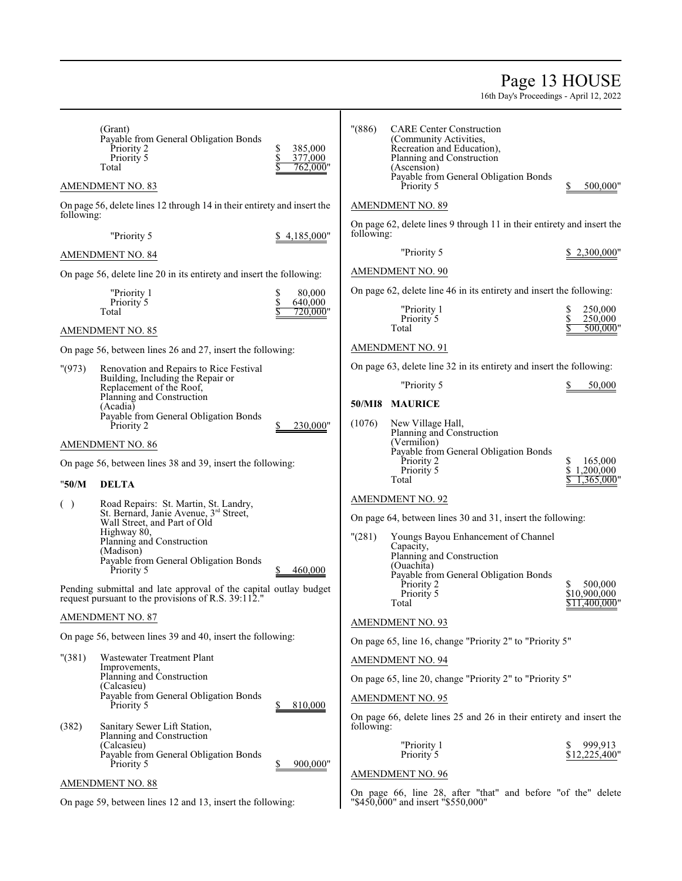# Page 13 HOUSE

16th Day's Proceedings - April 12, 2022

|            | (Grant)<br>Payable from General Obligation Bonds<br>Priority 2<br>Priority 5<br>Total                                   | \$<br>385,000<br>\$<br>377,000<br>762.000" | $"({886})"$ | <b>CARE Center Construction</b><br>(Community Activities,<br>Recreation and Education),<br>Planning and Construction<br>(Ascension) |                                          |
|------------|-------------------------------------------------------------------------------------------------------------------------|--------------------------------------------|-------------|-------------------------------------------------------------------------------------------------------------------------------------|------------------------------------------|
|            | <b>AMENDMENT NO. 83</b>                                                                                                 |                                            |             | Payable from General Obligation Bonds<br>Priority 5                                                                                 | 500,000"                                 |
| following: | On page 56, delete lines 12 through 14 in their entirety and insert the                                                 |                                            |             | <b>AMENDMENT NO. 89</b>                                                                                                             |                                          |
|            | "Priority 5                                                                                                             | \$4,185,000"                               | following:  | On page 62, delete lines 9 through 11 in their entirety and insert the                                                              |                                          |
|            | <b>AMENDMENT NO. 84</b>                                                                                                 |                                            |             | "Priority 5                                                                                                                         | \$ 2,300,000"                            |
|            | On page 56, delete line 20 in its entirety and insert the following:                                                    |                                            |             | <b>AMENDMENT NO. 90</b>                                                                                                             |                                          |
|            | "Priority 1                                                                                                             | 80,000<br>\$                               |             | On page 62, delete line 46 in its entirety and insert the following:                                                                |                                          |
|            | Priority 5<br>Total                                                                                                     | \$<br>640,000<br>720.000"                  |             | "Priority 1<br>Priority 5                                                                                                           | 250,000<br>\$<br>250,000                 |
|            | <b>AMENDMENT NO. 85</b>                                                                                                 |                                            |             | Total                                                                                                                               | 500,000"                                 |
|            | On page 56, between lines 26 and 27, insert the following:                                                              |                                            |             | <b>AMENDMENT NO. 91</b>                                                                                                             |                                          |
| "(973)     | Renovation and Repairs to Rice Festival                                                                                 |                                            |             | On page 63, delete line 32 in its entirety and insert the following:                                                                |                                          |
|            | Building, Including the Repair or<br>Replacement of the Roof,                                                           |                                            |             | "Priority 5                                                                                                                         | 50,000                                   |
|            | Planning and Construction<br>(Acadia)                                                                                   |                                            | 50/MI8      | <b>MAURICE</b>                                                                                                                      |                                          |
|            | Payable from General Obligation Bonds<br>Priority 2                                                                     | 230,000"<br>\$                             | (1076)      | New Village Hall,<br>Planning and Construction                                                                                      |                                          |
|            | <b>AMENDMENT NO. 86</b>                                                                                                 |                                            |             | (Vermilion)                                                                                                                         |                                          |
|            | On page 56, between lines 38 and 39, insert the following:                                                              |                                            |             | Payable from General Obligation Bonds<br>Priority 2                                                                                 | \$<br>165,000<br>\$<br>1,200,000         |
| "50/M      | <b>DELTA</b>                                                                                                            |                                            |             | Priority 5<br>Total                                                                                                                 | .365,000'                                |
| ( )        | Road Repairs: St. Martin, St. Landry,                                                                                   |                                            |             | <b>AMENDMENT NO. 92</b>                                                                                                             |                                          |
|            | St. Bernard, Janie Avenue, 3rd Street,<br>Wall Street, and Part of Old                                                  |                                            |             | On page 64, between lines 30 and 31, insert the following:                                                                          |                                          |
|            | Highway 80,<br>Planning and Construction                                                                                |                                            | "(281)      | Youngs Bayou Enhancement of Channel                                                                                                 |                                          |
|            | (Madison)<br>Payable from General Obligation Bonds                                                                      |                                            |             | Capacity,<br>Planning and Construction                                                                                              |                                          |
|            | Priority 5                                                                                                              | 460,000                                    |             | (Ouachita)<br>Payable from General Obligation Bonds                                                                                 |                                          |
|            | Pending submittal and late approval of the capital outlay budget<br>request pursuant to the provisions of R.S. 39:112." |                                            |             | Priority 2<br>Priority 5<br>Total                                                                                                   | 500,000<br>\$10,900,000<br>\$11,400,000' |
|            | <b>AMENDMENT NO. 87</b>                                                                                                 |                                            |             | AMENDMENT NO. 93                                                                                                                    |                                          |
|            | On page 56, between lines 39 and 40, insert the following:                                                              |                                            |             | On page 65, line 16, change "Priority 2" to "Priority 5"                                                                            |                                          |
| " (381)    | Wastewater Treatment Plant                                                                                              |                                            |             | <b>AMENDMENT NO. 94</b>                                                                                                             |                                          |
|            | Improvements,<br>Planning and Construction                                                                              |                                            |             | On page 65, line 20, change "Priority 2" to "Priority 5"                                                                            |                                          |
|            | (Calcasieu)<br>Payable from General Obligation Bonds                                                                    |                                            |             | <u>AMENDMENT NO. 95</u>                                                                                                             |                                          |
|            | Priority 5                                                                                                              | 810,000                                    |             | On page 66, delete lines 25 and 26 in their entirety and insert the                                                                 |                                          |
| (382)      | Sanitary Sewer Lift Station,<br>Planning and Construction                                                               |                                            | following:  |                                                                                                                                     |                                          |
|            | (Calcasieu)<br>Payable from General Obligation Bonds                                                                    |                                            |             | "Priority 1<br>Priority 5                                                                                                           | 999,913<br>\$<br>\$12,225,400"           |
|            | Priority 5                                                                                                              | 900,000"                                   |             | <b>AMENDMENT NO. 96</b>                                                                                                             |                                          |
|            | <b>AMENDMENT NO. 88</b>                                                                                                 |                                            |             | On page 66, line 28, after "that" and before "of the" delete                                                                        |                                          |
|            | On page 59, between lines 12 and 13, insert the following:                                                              |                                            |             | "\$450,000" and insert "\$550,000"                                                                                                  |                                          |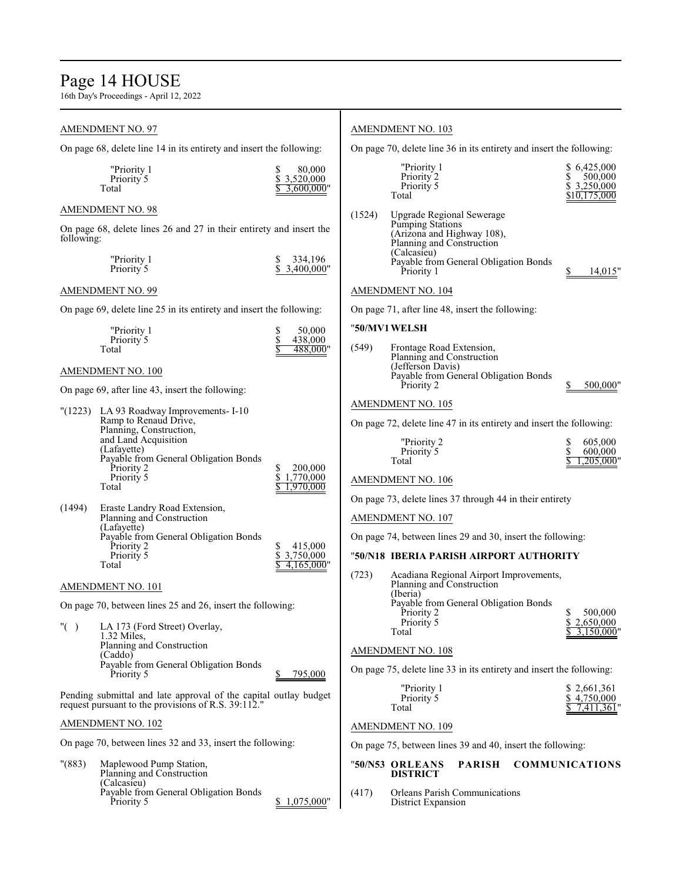# Page 14 HOUSE

16th Day's Proceedings - April 12, 2022

# AMENDMENT NO. 97

On page 68, delete line 14 in its entirety and insert the following:

| "Priority 1 | 80,000       |  |
|-------------|--------------|--|
| Priority 5  | \$3.520.000  |  |
| Total       | \$3,600,000" |  |

# AMENDMENT NO. 98

On page 68, delete lines 26 and 27 in their entirety and insert the following:

| "Priority 1 | \$334,196    |
|-------------|--------------|
| Priority 5  | \$3,400,000" |

# AMENDMENT NO. 99

On page 69, delete line 25 in its entirety and insert the following:

| "Priority 1 | 50,000   |
|-------------|----------|
| Priority 5  | 438,000  |
| Total       | 488,000" |

# AMENDMENT NO. 100

On page 69, after line 43, insert the following:

|          | "(1223) LA 93 Roadway Improvements- I-10<br>Ramp to Renaud Drive,<br>Planning, Construction,<br>and Land Acquisition<br>(Lafayette)<br>Payable from General Obligation Bonds |                                   |
|----------|------------------------------------------------------------------------------------------------------------------------------------------------------------------------------|-----------------------------------|
|          | Priority 2<br>Priority 5<br>Total                                                                                                                                            | 200,000<br>1,770,000<br>1,970,000 |
| (1.40.4) | $P_{\rm eff}$ is the state of $P_{\rm eff}$ in the state of $P_{\rm eff}$                                                                                                    |                                   |

| (1494) | ETASIC LATION ROAD EXICIISION,        |               |
|--------|---------------------------------------|---------------|
|        | Planning and Construction             |               |
|        | (Lafavette)                           |               |
|        | Payable from General Obligation Bonds |               |
|        | Priority 2                            | 415,000       |
|        | Priority 5                            | \$ 3,750,000  |
|        | Total                                 | $4,165,000$ " |
|        |                                       |               |

# AMENDMENT NO. 101

On page 70, between lines 25 and 26, insert the following:

"( ) LA 173 (Ford Street) Overlay, 1.32 Miles, Planning and Construction (Caddo) Payable from General Obligation Bonds Priority 5 \$ 795,000

Pending submittal and late approval of the capital outlay budget request pursuant to the provisions of R.S. 39:112."

# AMENDMENT NO. 102

On page 70, between lines 32 and 33, insert the following:

"(883) Maplewood Pump Station, Planning and Construction (Calcasieu) Payable from General Obligation Bonds \$ 1,075,000

# AMENDMENT NO. 103

On page 70, delete line 36 in its entirety and insert the following:

|        | "Priority 1<br>Priority 2<br>Priority 5<br>Total                                                                                                                               | \$6,425,000<br>500,000<br>\$3,250,000<br>\$10,175,000 |
|--------|--------------------------------------------------------------------------------------------------------------------------------------------------------------------------------|-------------------------------------------------------|
| (1524) | Upgrade Regional Sewerage<br>Pumping Stations<br>(Arizona and Highway 108),<br>Planning and Construction<br>(Calcasieu)<br>Payable from General Obligation Bonds<br>Priority 1 | 14,015"                                               |

# AMENDMENT NO. 104

On page 71, after line 48, insert the following:

# "**50/MV1WELSH**

| (549) | Frontage Road Extension,<br>Planning and Construction |          |
|-------|-------------------------------------------------------|----------|
|       | (Jefferson Davis)                                     |          |
|       | Payable from General Obligation Bonds<br>Priority 2   | 500,000" |

# AMENDMENT NO. 105

On page 72, delete line 47 in its entirety and insert the following:

| "Priority 2 | 605,000      |
|-------------|--------------|
| Priority 5  | 600,000      |
| Total       | \$1,205,000" |

# AMENDMENT NO. 106

On page 73, delete lines 37 through 44 in their entirety

# AMENDMENT NO. 107

On page 74, between lines 29 and 30, insert the following:

# "**50/N18 IBERIA PARISH AIRPORT AUTHORITY**

| (723) | Acadiana Regional Airport Improvements,<br>Planning and Construction<br>(Iberia) |           |
|-------|----------------------------------------------------------------------------------|-----------|
|       | Payable from General Obligation Bonds                                            |           |
|       | Priority 2                                                                       | 500,000   |
|       | Priority 5                                                                       | 2,650,000 |
|       | Total                                                                            |           |

# AMENDMENT NO. 108

On page 75, delete line 33 in its entirety and insert the following:

| "Priority 1 | \$2,661,361  |
|-------------|--------------|
| Priority 5  | \$4.750,000  |
| Total       | \$7,411,361" |

# AMENDMENT NO. 109

On page 75, between lines 39 and 40, insert the following:

# "**50/N53 ORLEANS PARISH COMMUNICATIONS DISTRICT**

(417) Orleans Parish Communications District Expansion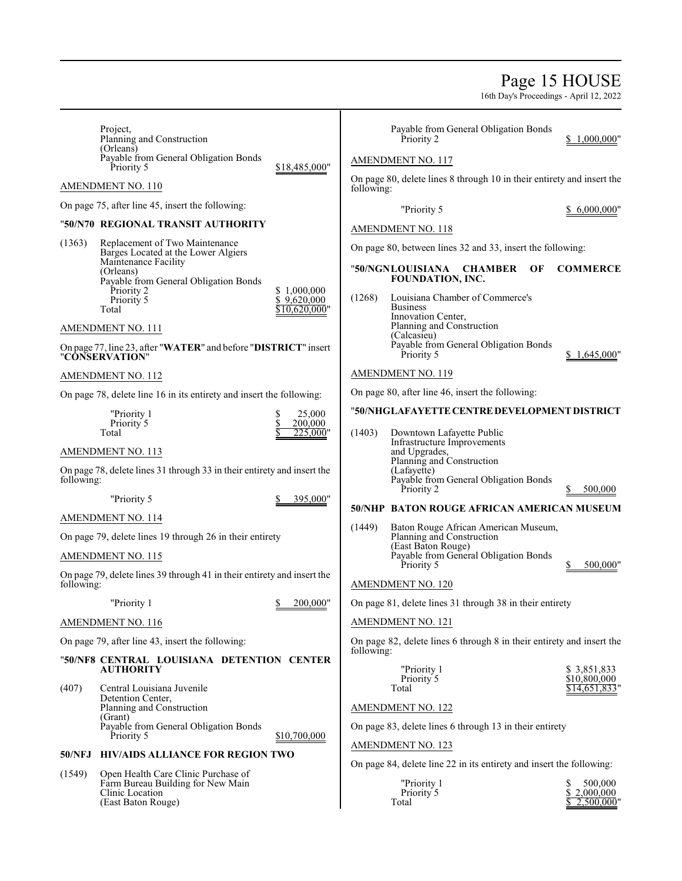# Page 15 HOUSE

16th Day's Proceedings - April 12, 2022

|            | Project,<br>Planning and Construction                                             |                            |            | Payable from General Obligation Bonds<br>Priority 2                               | 1,000,000"                   |
|------------|-----------------------------------------------------------------------------------|----------------------------|------------|-----------------------------------------------------------------------------------|------------------------------|
|            | (Orleans)<br>Payable from General Obligation Bonds<br>Priority 5                  | \$18,485,000"              |            | AMENDMENT NO. 117                                                                 |                              |
|            | AMENDMENT NO. 110                                                                 |                            | following: | On page 80, delete lines 8 through 10 in their entirety and insert the            |                              |
|            | On page 75, after line 45, insert the following:                                  |                            |            | "Priority 5                                                                       | 6,000,000"                   |
|            | "50/N70_REGIONAL TRANSIT AUTHORITY                                                |                            |            | AMENDMENT NO. 118                                                                 |                              |
| (1363)     | Replacement of Two Maintenance                                                    |                            |            |                                                                                   |                              |
|            | Barges Located at the Lower Algiers<br>Maintenance Facility                       |                            |            | On page 80, between lines 32 and 33, insert the following:                        |                              |
|            | (Orleans)<br>Payable from General Obligation Bonds                                |                            |            | "50/NGNLOUISIANA CHAMBER<br>OF<br><b>FOUNDATION, INC.</b>                         | <b>COMMERCE</b>              |
|            | Priority 2<br>Priority 5                                                          | \$1,000,000<br>\$9,620,000 | (1268)     | Louisiana Chamber of Commerce's                                                   |                              |
|            | Total                                                                             | 10,620,000"                |            | <b>Business</b><br>Innovation Center,                                             |                              |
|            | AMENDMENT NO. 111                                                                 |                            |            | Planning and Construction<br>(Calcasieu)                                          |                              |
|            | On page 77, line 23, after "WATER" and before "DISTRICT" insert<br>"CÔNSERVATION" |                            |            | Payable from General Obligation Bonds<br>Priority 5                               | 1,645,000                    |
|            | <b>AMENDMENT NO. 112</b>                                                          |                            |            | <b>AMENDMENT NO. 119</b>                                                          |                              |
|            | On page 78, delete line 16 in its entirety and insert the following:              |                            |            | On page 80, after line 46, insert the following:                                  |                              |
|            | "Priority 1                                                                       | \$<br>25,000               |            | "50/NHGLAFAYETTE CENTRE DEVELOPMENT DISTRICT                                      |                              |
|            | Priority 5<br>Total                                                               | \$<br>200,000<br>225,000"  | (1403)     | Downtown Lafayette Public                                                         |                              |
|            | <b>AMENDMENT NO. 113</b>                                                          |                            |            | Infrastructure Improvements<br>and Upgrades,                                      |                              |
| following: | On page 78, delete lines 31 through 33 in their entirety and insert the           |                            |            | Planning and Construction<br>(Lafayette)<br>Payable from General Obligation Bonds |                              |
|            | "Priority 5                                                                       | 395,000"                   |            | Priority 2                                                                        | 500,000                      |
|            | <b>AMENDMENT NO. 114</b>                                                          |                            |            | <b>50/NHP BATON ROUGE AFRICAN AMERICAN MUSEUM</b>                                 |                              |
|            | On page 79, delete lines 19 through 26 in their entirety                          |                            | (1449)     | Baton Rouge African American Museum,<br>Planning and Construction                 |                              |
|            | <b>AMENDMENT NO. 115</b>                                                          |                            |            | (East Baton Rouge)<br>Payable from General Obligation Bonds                       |                              |
|            |                                                                                   |                            |            | Priority 5                                                                        | 500,000"                     |
| following: | On page 79, delete lines 39 through 41 in their entirety and insert the           |                            |            | <b>AMENDMENT NO. 120</b>                                                          |                              |
|            | "Priority 1                                                                       | 200,000"<br>\$             |            | On page 81, delete lines 31 through 38 in their entirety                          |                              |
|            | <b>AMENDMENT NO. 116</b>                                                          |                            |            | <b>AMENDMENT NO. 121</b>                                                          |                              |
|            | On page 79, after line 43, insert the following:                                  |                            | following: | On page 82, delete lines 6 through 8 in their entirety and insert the             |                              |
|            | "50/NF8 CENTRAL LOUISIANA DETENTION CENTER<br><b>AUTHORITY</b>                    |                            |            | "Priority 1                                                                       | \$3,851,833                  |
|            | Central Louisiana Juvenile                                                        |                            |            | Priority 5<br>Total                                                               | \$10,800,000<br>\$14,651,833 |
| (407)      | Detention Center,<br>Planning and Construction                                    |                            |            | AMENDMENT NO. 122                                                                 |                              |
|            | (Grant)                                                                           |                            |            |                                                                                   |                              |
|            | Payable from General Obligation Bonds<br>Priority 5                               | \$10,700,000               |            | On page 83, delete lines 6 through 13 in their entirety                           |                              |
| 50/NFJ     | <b>HIV/AIDS ALLIANCE FOR REGION TWO</b>                                           |                            |            | <b>AMENDMENT NO. 123</b>                                                          |                              |
| (1549)     | Open Health Care Clinic Purchase of                                               |                            |            | On page 84, delete line 22 in its entirety and insert the following:              |                              |
|            | Farm Bureau Building for New Main<br>Clinic Location                              |                            |            | "Priority 1<br>Priority 5                                                         | 500,000<br>S<br>\$2,000,000  |
|            | (East Baton Rouge)                                                                |                            |            | Total                                                                             | $2,500,000$ "                |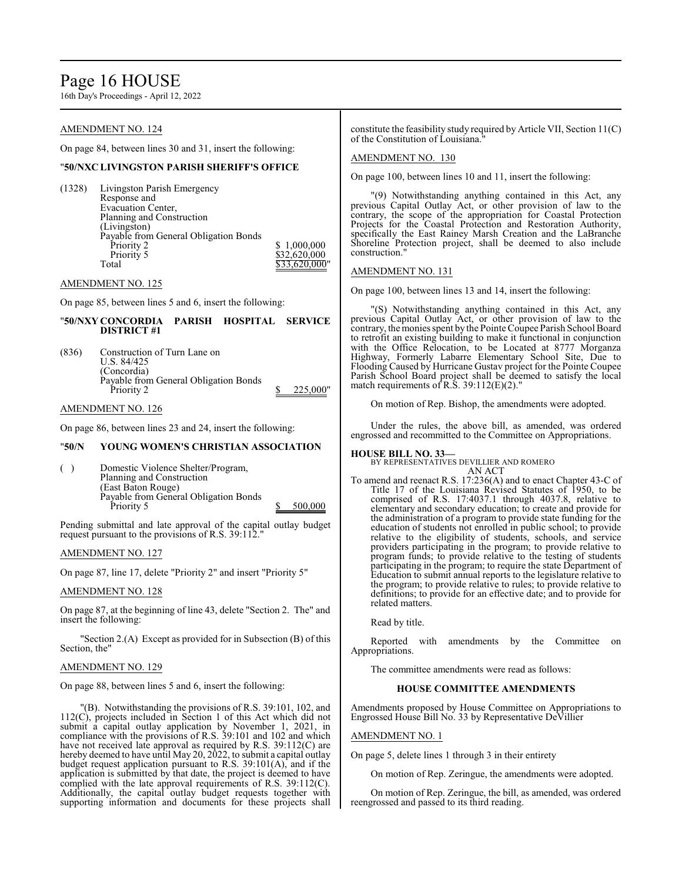# Page 16 HOUSE

16th Day's Proceedings - April 12, 2022

# AMENDMENT NO. 124

On page 84, between lines 30 and 31, insert the following:

# "**50/NXC LIVINGSTON PARISH SHERIFF'S OFFICE**

(1328) Livingston Parish Emergency Response and Evacuation Center, Planning and Construction (Livingston) Payable from General Obligation Bonds Priority 2 \$ 1,000,000<br>Priority 5 \$32,620,000 Priority 5 <br>
Total 333,620,000<br>
S33,620,000  $$33,620,000$ "

AMENDMENT NO. 125

On page 85, between lines 5 and 6, insert the following:

# "**50/NXY CONCORDIA PARISH HOSPITAL SERVICE DISTRICT #1**

(836) Construction of Turn Lane on U.S. 84/425 (Concordia) Payable from General Obligation Bonds  $\frac{1}{2}$  Priority 2  $\frac{1}{2}$   $\frac{1}{225,000}$ 

AMENDMENT NO. 126

On page 86, between lines 23 and 24, insert the following:

# "**50/N YOUNG WOMEN'S CHRISTIAN ASSOCIATION**

( ) Domestic Violence Shelter/Program, Planning and Construction (East Baton Rouge) Payable from General Obligation Bonds<br>Priority 5 500,000

Pending submittal and late approval of the capital outlay budget request pursuant to the provisions of R.S. 39:112."

AMENDMENT NO. 127

On page 87, line 17, delete "Priority 2" and insert "Priority 5"

# AMENDMENT NO. 128

On page 87, at the beginning of line 43, delete "Section 2. The" and insert the following:

"Section 2.(A) Except as provided for in Subsection (B) of this Section, the"

# AMENDMENT NO. 129

On page 88, between lines 5 and 6, insert the following:

"(B). Notwithstanding the provisions of R.S. 39:101, 102, and 112(C), projects included in Section 1 of this Act which did not submit a capital outlay application by November 1, 2021, in compliance with the provisions of R.S. 39:101 and 102 and which have not received late approval as required by R.S. 39:112(C) are hereby deemed to have until May 20, 2022, to submit a capital outlay budget request application pursuant to R.S. 39:101(A), and if the application is submitted by that date, the project is deemed to have complied with the late approval requirements of R.S. 39:112(C). Additionally, the capital outlay budget requests together with supporting information and documents for these projects shall

constitute the feasibility study required by Article VII, Section 11(C) of the Constitution of Louisiana."

# AMENDMENT NO. 130

On page 100, between lines 10 and 11, insert the following:

"(9) Notwithstanding anything contained in this Act, any previous Capital Outlay Act, or other provision of law to the contrary, the scope of the appropriation for Coastal Protection Projects for the Coastal Protection and Restoration Authority, specifically the East Rainey Marsh Creation and the LaBranche Shoreline Protection project, shall be deemed to also include construction."

# AMENDMENT NO. 131

On page 100, between lines 13 and 14, insert the following:

"(S) Notwithstanding anything contained in this Act, any previous Capital Outlay Act, or other provision of law to the contrary, the monies spent by the Pointe Coupee Parish School Board to retrofit an existing building to make it functional in conjunction with the Office Relocation, to be Located at 8777 Morganza Highway, Formerly Labarre Elementary School Site, Due to Flooding Caused by Hurricane Gustav project for the Pointe Coupee Parish School Board project shall be deemed to satisfy the local match requirements of R.S.  $39:112(E)(2)$ ."

On motion of Rep. Bishop, the amendments were adopted.

Under the rules, the above bill, as amended, was ordered engrossed and recommitted to the Committee on Appropriations.

**HOUSE BILL NO. 33—** BY REPRESENTATIVES DEVILLIER AND ROMERO AN ACT

To amend and reenact R.S. 17:236(A) and to enact Chapter 43-C of Title 17 of the Louisiana Revised Statutes of 1950, to be comprised of R.S. 17:4037.1 through 4037.8, relative to elementary and secondary education; to create and provide for the administration of a program to provide state funding for the education of students not enrolled in public school; to provide relative to the eligibility of students, schools, and service providers participating in the program; to provide relative to program funds; to provide relative to the testing of students participating in the program; to require the state Department of Education to submit annual reports to the legislature relative to the program; to provide relative to rules; to provide relative to definitions; to provide for an effective date; and to provide for related matters.

Read by title.

Reported with amendments by the Committee on Appropriations.

The committee amendments were read as follows:

# **HOUSE COMMITTEE AMENDMENTS**

Amendments proposed by House Committee on Appropriations to Engrossed House Bill No. 33 by Representative DeVillier

# AMENDMENT NO. 1

On page 5, delete lines 1 through 3 in their entirety

On motion of Rep. Zeringue, the amendments were adopted.

On motion of Rep. Zeringue, the bill, as amended, was ordered reengrossed and passed to its third reading.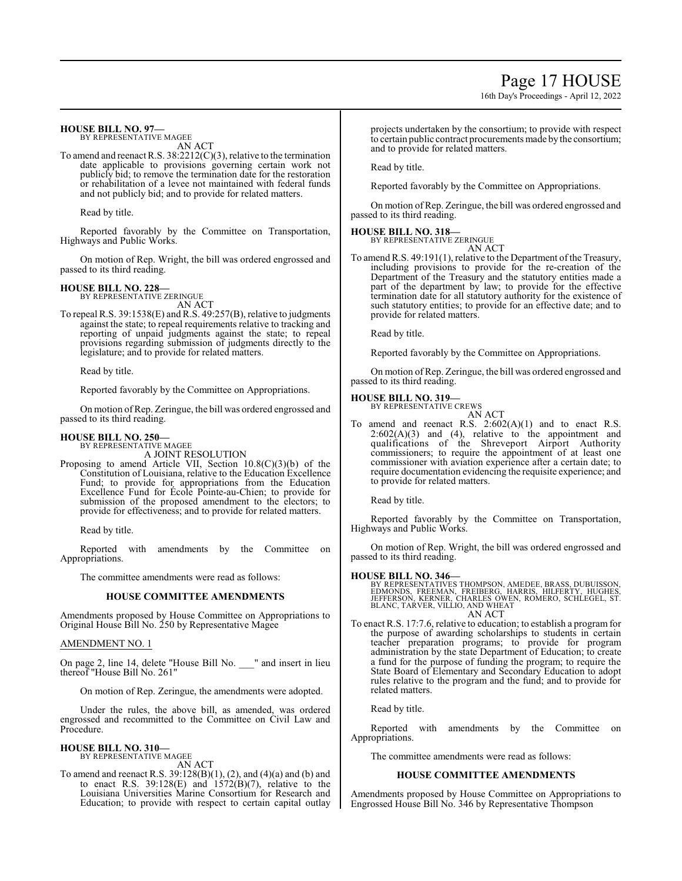# Page 17 HOUSE

16th Day's Proceedings - April 12, 2022

# **HOUSE BILL NO. 97—**

BY REPRESENTATIVE MAGEE AN ACT

To amend and reenact R.S. 38:2212(C)(3), relative to the termination date applicable to provisions governing certain work not publicly bid; to remove the termination date for the restoration or rehabilitation of a levee not maintained with federal funds and not publicly bid; and to provide for related matters.

Read by title.

Reported favorably by the Committee on Transportation, Highways and Public Works.

On motion of Rep. Wright, the bill was ordered engrossed and passed to its third reading.

# **HOUSE BILL NO. 228—**

BY REPRESENTATIVE ZERINGUE AN ACT

To repeal R.S. 39:1538(E) and R.S. 49:257(B), relative to judgments against the state; to repeal requirements relative to tracking and reporting of unpaid judgments against the state; to repeal provisions regarding submission of judgments directly to the legislature; and to provide for related matters.

Read by title.

Reported favorably by the Committee on Appropriations.

On motion ofRep. Zeringue, the bill was ordered engrossed and passed to its third reading.

# **HOUSE BILL NO. 250—**

BY REPRESENTATIVE MAGEE

A JOINT RESOLUTION

Proposing to amend Article VII, Section 10.8(C)(3)(b) of the Constitution of Louisiana, relative to the Education Excellence Fund; to provide for appropriations from the Education Excellence Fund for École Pointe-au-Chien; to provide for submission of the proposed amendment to the electors; to provide for effectiveness; and to provide for related matters.

Read by title.

Reported with amendments by the Committee on Appropriations.

The committee amendments were read as follows:

# **HOUSE COMMITTEE AMENDMENTS**

Amendments proposed by House Committee on Appropriations to Original House Bill No. 250 by Representative Magee

# AMENDMENT NO. 1

On page 2, line 14, delete "House Bill No. \_\_\_" and insert in lieu thereof "House Bill No. 261"

On motion of Rep. Zeringue, the amendments were adopted.

Under the rules, the above bill, as amended, was ordered engrossed and recommitted to the Committee on Civil Law and Procedure.

### **HOUSE BILL NO. 310—** BY REPRESENTATIVE MAGEE

AN ACT

To amend and reenact R.S. 39:128(B)(1), (2), and (4)(a) and (b) and to enact R.S.  $39:128(E)$  and  $1572(B)(7)$ , relative to the Louisiana Universities Marine Consortium for Research and Education; to provide with respect to certain capital outlay projects undertaken by the consortium; to provide with respect to certain public contract procurements made by the consortium; and to provide for related matters.

Read by title.

Reported favorably by the Committee on Appropriations.

On motion ofRep. Zeringue, the bill was ordered engrossed and passed to its third reading.

# **HOUSE BILL NO. 318—**

BY REPRESENTATIVE ZERINGUE AN ACT

To amend R.S. 49:191(1), relative to the Department of the Treasury, including provisions to provide for the re-creation of the Department of the Treasury and the statutory entities made a part of the department by law; to provide for the effective termination date for all statutory authority for the existence of such statutory entities; to provide for an effective date; and to provide for related matters.

Read by title.

Reported favorably by the Committee on Appropriations.

On motion ofRep. Zeringue, the bill was ordered engrossed and passed to its third reading.

# **HOUSE BILL NO. 319—**

BY REPRESENTATIVE CREWS AN ACT

To amend and reenact R.S.  $2:602(A)(1)$  and to enact R.S.  $2:602(A)(3)$  and  $(4)$ , relative to the appointment and qualifications of the Shreveport Airport Authority commissioners; to require the appointment of at least one commissioner with aviation experience after a certain date; to require documentation evidencing the requisite experience; and to provide for related matters.

Read by title.

Reported favorably by the Committee on Transportation, Highways and Public Works.

On motion of Rep. Wright, the bill was ordered engrossed and passed to its third reading.

# **HOUSE BILL NO. 346—**

BY REPRESENTATIVES THOMPSON, AMEDEE, BRASS, DUBUISSON,<br>EDMONDS, FREEMAN, FREIBERG, HARRIS, HILFERTY, HUGHES,<br>JEFFERSON, KERNER, CHARLES OWEN, ROMERO, SCHLEGEL, ST.<br>BLANC, TARVER, VILLIO, AND WHEAT AN ACT

To enact R.S. 17:7.6, relative to education; to establish a program for the purpose of awarding scholarships to students in certain teacher preparation programs; to provide for program administration by the state Department of Education; to create a fund for the purpose of funding the program; to require the State Board of Elementary and Secondary Education to adopt rules relative to the program and the fund; and to provide for related matters.

Read by title.

Reported with amendments by the Committee on Appropriations.

The committee amendments were read as follows:

# **HOUSE COMMITTEE AMENDMENTS**

Amendments proposed by House Committee on Appropriations to Engrossed House Bill No. 346 by Representative Thompson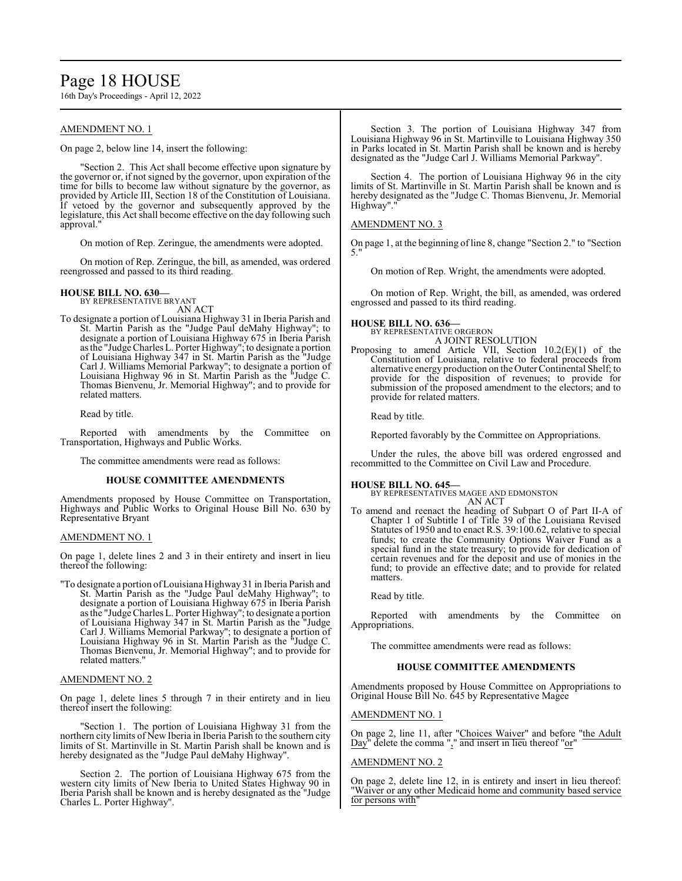# Page 18 HOUSE

16th Day's Proceedings - April 12, 2022

# AMENDMENT NO. 1

On page 2, below line 14, insert the following:

"Section 2. This Act shall become effective upon signature by the governor or, if not signed by the governor, upon expiration of the time for bills to become law without signature by the governor, as provided by Article III, Section 18 of the Constitution of Louisiana. If vetoed by the governor and subsequently approved by the legislature, this Act shall become effective on the day following such approval."

On motion of Rep. Zeringue, the amendments were adopted.

On motion of Rep. Zeringue, the bill, as amended, was ordered reengrossed and passed to its third reading.

# **HOUSE BILL NO. 630—** BY REPRESENTATIVE BRYANT

AN ACT

To designate a portion of Louisiana Highway 31 in Iberia Parish and St. Martin Parish as the "Judge Paul deMahy Highway"; to designate a portion of Louisiana Highway 675 in Iberia Parish as the "Judge Charles L. Porter Highway"; to designate a portion of Louisiana Highway 347 in St. Martin Parish as the "Judge Carl J. Williams Memorial Parkway"; to designate a portion of Louisiana Highway 96 in St. Martin Parish as the "Judge C. Thomas Bienvenu, Jr. Memorial Highway"; and to provide for related matters.

Read by title.

Reported with amendments by the Committee on Transportation, Highways and Public Works.

The committee amendments were read as follows:

# **HOUSE COMMITTEE AMENDMENTS**

Amendments proposed by House Committee on Transportation, Highways and Public Works to Original House Bill No. 630 by Representative Bryant

# AMENDMENT NO. 1

On page 1, delete lines 2 and 3 in their entirety and insert in lieu thereof the following:

"To designate a portion ofLouisiana Highway 31 in Iberia Parish and St. Martin Parish as the "Judge Paul deMahy Highway"; to designate a portion of Louisiana Highway 675 in Iberia Parish as the "Judge Charles L. Porter Highway"; to designate a portion of Louisiana Highway 347 in St. Martin Parish as the "Judge Carl J. Williams Memorial Parkway"; to designate a portion of Louisiana Highway 96 in St. Martin Parish as the "Judge C. Thomas Bienvenu, Jr. Memorial Highway"; and to provide for related matters."

# AMENDMENT NO. 2

On page 1, delete lines 5 through 7 in their entirety and in lieu thereof insert the following:

'Section 1. The portion of Louisiana Highway 31 from the northern city limits of New Iberia in Iberia Parish to the southern city limits of St. Martinville in St. Martin Parish shall be known and is hereby designated as the "Judge Paul deMahy Highway".

Section 2. The portion of Louisiana Highway 675 from the western city limits of New Iberia to United States Highway 90 in Iberia Parish shall be known and is hereby designated as the "Judge Charles L. Porter Highway".

Section 3. The portion of Louisiana Highway 347 from Louisiana Highway 96 in St. Martinville to Louisiana Highway 350 in Parks located in St. Martin Parish shall be known and is hereby designated as the "Judge Carl J. Williams Memorial Parkway".

Section 4. The portion of Louisiana Highway 96 in the city limits of St. Martinville in St. Martin Parish shall be known and is hereby designated as the "Judge C. Thomas Bienvenu, Jr. Memorial Highway".

# AMENDMENT NO. 3

On page 1, at the beginning of line 8, change "Section 2." to "Section 5."

On motion of Rep. Wright, the amendments were adopted.

On motion of Rep. Wright, the bill, as amended, was ordered engrossed and passed to its third reading.

# **HOUSE BILL NO. 636—**

BY REPRESENTATIVE ORGERON A JOINT RESOLUTION

Proposing to amend Article VII, Section 10.2(E)(1) of the Constitution of Louisiana, relative to federal proceeds from alternative energy production on the Outer Continental Shelf; to provide for the disposition of revenues; to provide for submission of the proposed amendment to the electors; and to provide for related matters.

Read by title.

Reported favorably by the Committee on Appropriations.

Under the rules, the above bill was ordered engrossed and recommitted to the Committee on Civil Law and Procedure.

# **HOUSE BILL NO. 645—**

BY REPRESENTATIVES MAGEE AND EDMONSTON AN ACT

To amend and reenact the heading of Subpart O of Part II-A of Chapter 1 of Subtitle I of Title 39 of the Louisiana Revised Statutes of 1950 and to enact R.S. 39:100.62, relative to special funds; to create the Community Options Waiver Fund as a special fund in the state treasury; to provide for dedication of certain revenues and for the deposit and use of monies in the fund; to provide an effective date; and to provide for related matters.

Read by title.

Reported with amendments by the Committee on Appropriations.

The committee amendments were read as follows:

# **HOUSE COMMITTEE AMENDMENTS**

Amendments proposed by House Committee on Appropriations to Original House Bill No. 645 by Representative Magee

### AMENDMENT NO. 1

On page 2, line 11, after "Choices Waiver" and before "the Adult Day" delete the comma "," and insert in lieu thereof "or"

# AMENDMENT NO. 2

On page 2, delete line 12, in is entirety and insert in lieu thereof: "Waiver or any other Medicaid home and community based service for persons with"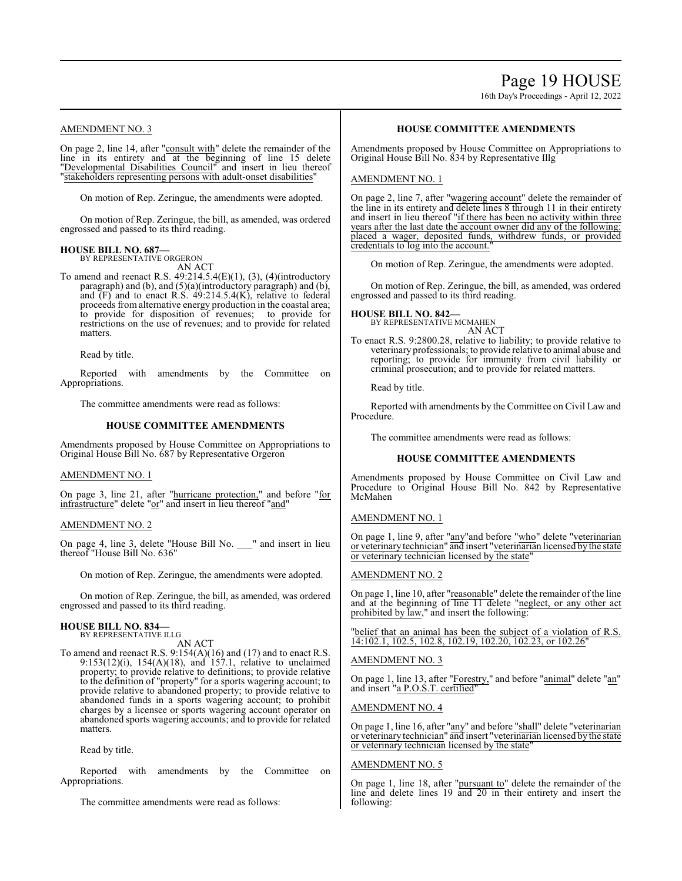# Page 19 HOUSE

16th Day's Proceedings - April 12, 2022

# AMENDMENT NO. 3

On page 2, line 14, after "consult with" delete the remainder of the line in its entirety and at the beginning of line 15 delete "Developmental Disabilities Council" and insert in lieu thereof "stakeholders representing persons with adult-onset disabilities"

On motion of Rep. Zeringue, the amendments were adopted.

On motion of Rep. Zeringue, the bill, as amended, was ordered engrossed and passed to its third reading.

# **HOUSE BILL NO. 687—**

BY REPRESENTATIVE ORGERON AN ACT

To amend and reenact R.S. 49:214.5.4(E)(1), (3), (4)(introductory paragraph) and (b), and (5)(a)(introductory paragraph) and (b), and (F) and to enact R.S. 49:214.5.4(K), relative to federal proceeds from alternative energy production in the coastal area; to provide for disposition of revenues; to provide for restrictions on the use of revenues; and to provide for related matters.

Read by title.

Reported with amendments by the Committee on Appropriations.

The committee amendments were read as follows:

# **HOUSE COMMITTEE AMENDMENTS**

Amendments proposed by House Committee on Appropriations to Original House Bill No. 687 by Representative Orgeron

# AMENDMENT NO. 1

On page 3, line 21, after "hurricane protection," and before "for infrastructure" delete "or" and insert in lieu thereof "and"

# AMENDMENT NO. 2

On page 4, line 3, delete "House Bill No. \_\_\_" and insert in lieu thereof "House Bill No. 636"

On motion of Rep. Zeringue, the amendments were adopted.

On motion of Rep. Zeringue, the bill, as amended, was ordered engrossed and passed to its third reading.

# **HOUSE BILL NO. 834—**

BY REPRESENTATIVE ILLG AN ACT

To amend and reenact R.S. 9:154(A)(16) and (17) and to enact R.S. 9:153(12)(i), 154(A)(18), and 157.1, relative to unclaimed property; to provide relative to definitions; to provide relative to the definition of "property" for a sports wagering account; to provide relative to abandoned property; to provide relative to abandoned funds in a sports wagering account; to prohibit charges by a licensee or sports wagering account operator on abandoned sports wagering accounts; and to provide for related matters.

Read by title.

Reported with amendments by the Committee on Appropriations.

The committee amendments were read as follows:

# **HOUSE COMMITTEE AMENDMENTS**

Amendments proposed by House Committee on Appropriations to Original House Bill No. 834 by Representative Illg

# AMENDMENT NO. 1

On page 2, line 7, after "wagering account" delete the remainder of the line in its entirety and delete lines 8 through 11 in their entirety and insert in lieu thereof "if there has been no activity within three years after the last date the account owner did any of the following: placed a wager, deposited funds, withdrew funds, or provided credentials to log into the account.

On motion of Rep. Zeringue, the amendments were adopted.

On motion of Rep. Zeringue, the bill, as amended, was ordered engrossed and passed to its third reading.

**HOUSE BILL NO. 842—**

BY REPRESENTATIVE MCMAHEN AN ACT

To enact R.S. 9:2800.28, relative to liability; to provide relative to veterinary professionals; to provide relative to animal abuse and reporting; to provide for immunity from civil liability or criminal prosecution; and to provide for related matters.

Read by title.

Reported with amendments by the Committee on Civil Law and Procedure.

The committee amendments were read as follows:

# **HOUSE COMMITTEE AMENDMENTS**

Amendments proposed by House Committee on Civil Law and Procedure to Original House Bill No. 842 by Representative McMahen

# AMENDMENT NO. 1

On page 1, line 9, after "any"and before "who" delete "veterinarian or veterinary technician" and insert "veterinarian licensed by the state or veterinary technician licensed by the state"

# AMENDMENT NO. 2

On page 1, line 10, after "reasonable" delete the remainder of the line and at the beginning of line 11 delete "neglect, or any other act prohibited by law," and insert the following:

"belief that an animal has been the subject of a violation of R.S. 14:102.1, 102.5, 102.8, 102.19, 102.20, 102.23, or 102.26"

# AMENDMENT NO. 3

On page 1, line 13, after "Forestry," and before "animal" delete "an" and insert "a P.O.S.T. certified"

# AMENDMENT NO. 4

On page 1, line 16, after "<u>any</u>" and before "<u>shall</u>" delete "<u>veterinarian</u> or veterinary technician" and insert "veterinarian licensed by the state or veterinary technician licensed by the state"

# AMENDMENT NO. 5

On page 1, line 18, after "pursuant to" delete the remainder of the line and delete lines 19 and 20 in their entirety and insert the following: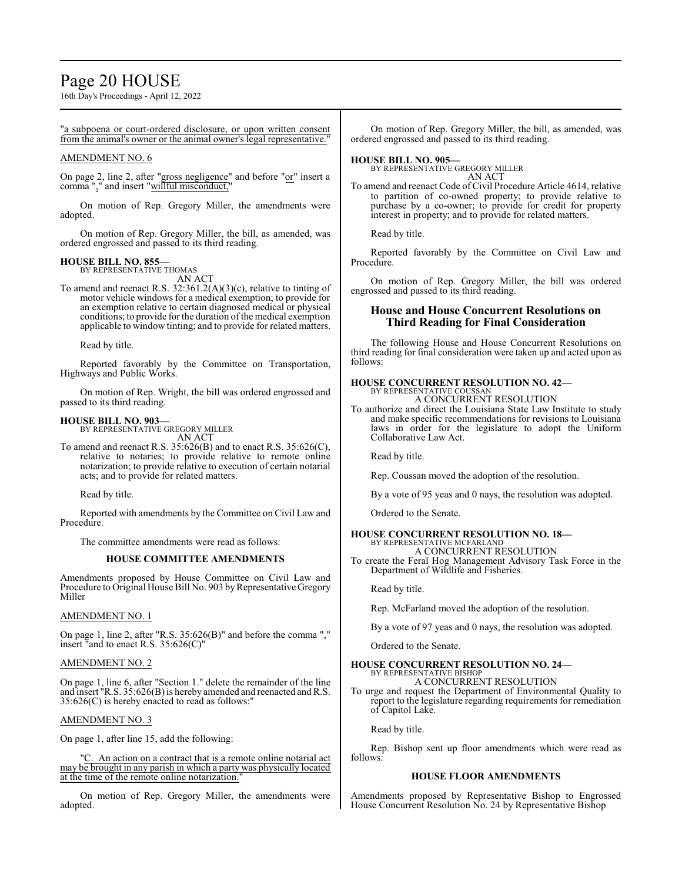# Page 20 HOUSE

16th Day's Proceedings - April 12, 2022

"a subpoena or court-ordered disclosure, or upon written consent from the animal's owner or the animal owner's legal representative."

# AMENDMENT NO. 6

On page 2, line 2, after "gross negligence" and before "or" insert a comma "," and insert "willful misconduct,"

On motion of Rep. Gregory Miller, the amendments were adopted.

On motion of Rep. Gregory Miller, the bill, as amended, was ordered engrossed and passed to its third reading.

# **HOUSE BILL NO. 855—**

BY REPRESENTATIVE THOMAS AN ACT

To amend and reenact R.S. 32:361.2(A)(3)(c), relative to tinting of motor vehicle windows for a medical exemption; to provide for an exemption relative to certain diagnosed medical or physical conditions; to provide for the duration of the medical exemption applicable to window tinting; and to provide for related matters.

Read by title.

Reported favorably by the Committee on Transportation, Highways and Public Works.

On motion of Rep. Wright, the bill was ordered engrossed and passed to its third reading.

# **HOUSE BILL NO. 903—**

BY REPRESENTATIVE GREGORY MILLER AN ACT

To amend and reenact R.S. 35:626(B) and to enact R.S. 35:626(C), relative to notaries; to provide relative to remote online notarization; to provide relative to execution of certain notarial acts; and to provide for related matters.

Read by title.

Reported with amendments by the Committee on Civil Law and Procedure.

The committee amendments were read as follows:

# **HOUSE COMMITTEE AMENDMENTS**

Amendments proposed by House Committee on Civil Law and Procedure to Original House Bill No. 903 by Representative Gregory Miller

# AMENDMENT NO. 1

On page 1, line 2, after "R.S. 35:626(B)" and before the comma "," insert "and to enact R.S. 35:626(C)"

# AMENDMENT NO. 2

On page 1, line 6, after "Section 1." delete the remainder of the line and insert "R.S. 35:626(B) is hereby amended and reenacted and R.S. 35:626(C) is hereby enacted to read as follows:"

# AMENDMENT NO. 3

On page 1, after line 15, add the following:

C. An action on a contract that is a remote online notarial act may be brought in any parish in which a party was physically located at the time of the remote online notarization.

On motion of Rep. Gregory Miller, the amendments were adopted.

On motion of Rep. Gregory Miller, the bill, as amended, was ordered engrossed and passed to its third reading.

**HOUSE BILL NO. 905—** BY REPRESENTATIVE GREGORY MILLER AN ACT

To amend and reenact Code of Civil Procedure Article 4614, relative to partition of co-owned property; to provide relative to purchase by a co-owner; to provide for credit for property interest in property; and to provide for related matters.

Read by title.

Reported favorably by the Committee on Civil Law and Procedure.

On motion of Rep. Gregory Miller, the bill was ordered engrossed and passed to its third reading.

# **House and House Concurrent Resolutions on Third Reading for Final Consideration**

The following House and House Concurrent Resolutions on third reading for final consideration were taken up and acted upon as follows:

# **HOUSE CONCURRENT RESOLUTION NO. 42—** BY REPRESENTATIVE COUSSAN

A CONCURRENT RESOLUTION

To authorize and direct the Louisiana State Law Institute to study and make specific recommendations for revisions to Louisiana laws in order for the legislature to adopt the Uniform Collaborative Law Act.

Read by title.

Rep. Coussan moved the adoption of the resolution.

By a vote of 95 yeas and 0 nays, the resolution was adopted.

Ordered to the Senate.

# **HOUSE CONCURRENT RESOLUTION NO. 18—**

BY REPRESENTATIVE MCFARLAND A CONCURRENT RESOLUTION

To create the Feral Hog Management Advisory Task Force in the Department of Wildlife and Fisheries.

Read by title.

Rep. McFarland moved the adoption of the resolution.

By a vote of 97 yeas and 0 nays, the resolution was adopted.

Ordered to the Senate.

# **HOUSE CONCURRENT RESOLUTION NO. 24—** BY REPRESENTATIVE BISHOP

A CONCURRENT RESOLUTION To urge and request the Department of Environmental Quality to report to the legislature regarding requirements for remediation of Capitol Lake.

Read by title.

Rep. Bishop sent up floor amendments which were read as follows:

# **HOUSE FLOOR AMENDMENTS**

Amendments proposed by Representative Bishop to Engrossed House Concurrent Resolution No. 24 by Representative Bishop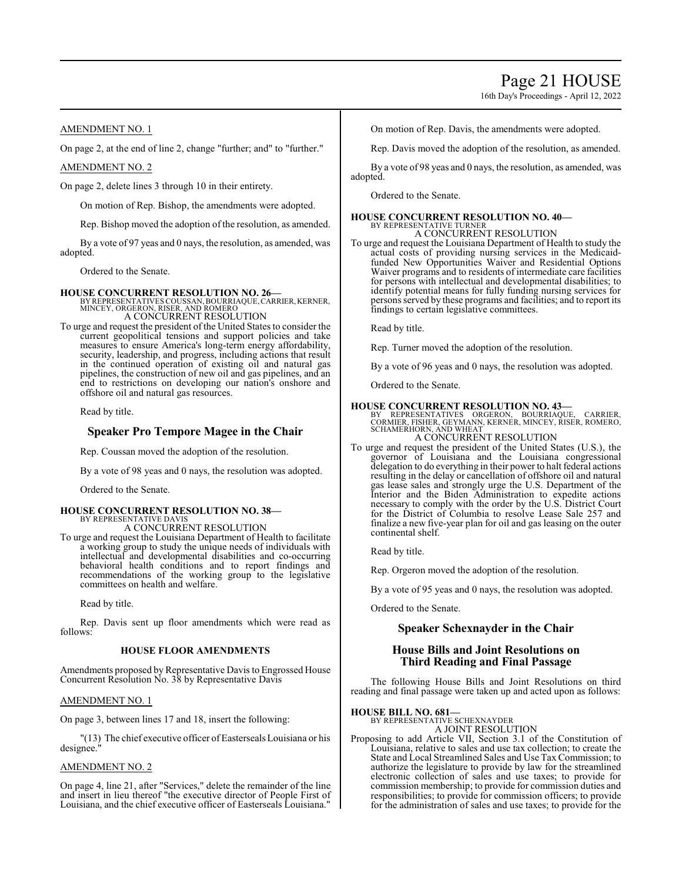16th Day's Proceedings - April 12, 2022

# AMENDMENT NO. 1

On page 2, at the end of line 2, change "further; and" to "further."

# AMENDMENT NO. 2

On page 2, delete lines 3 through 10 in their entirety.

On motion of Rep. Bishop, the amendments were adopted.

Rep. Bishop moved the adoption of the resolution, as amended.

By a vote of 97 yeas and 0 nays, the resolution, as amended, was adopted.

Ordered to the Senate.

**HOUSE CONCURRENT RESOLUTION NO. 26—**<br>BY REPRESENTATIVES COUSSAN, BOURRIAQUE, CARRIER, KERNER,<br>MINCEY, ORGERON, RISER, AND ROMERO A CONCURRENT RESOLUTION

To urge and request the president of the United States to consider the current geopolitical tensions and support policies and take measures to ensure America's long-term energy affordability, security, leadership, and progress, including actions that result in the continued operation of existing oil and natural gas pipelines, the construction of new oil and gas pipelines, and an end to restrictions on developing our nation's onshore and offshore oil and natural gas resources.

Read by title.

# **Speaker Pro Tempore Magee in the Chair**

Rep. Coussan moved the adoption of the resolution.

By a vote of 98 yeas and 0 nays, the resolution was adopted.

Ordered to the Senate.

# **HOUSE CONCURRENT RESOLUTION NO. 38—**

BY REPRESENTATIVE DAVIS A CONCURRENT RESOLUTION

To urge and request the Louisiana Department of Health to facilitate a working group to study the unique needs of individuals with intellectual and developmental disabilities and co-occurring behavioral health conditions and to report findings and recommendations of the working group to the legislative committees on health and welfare.

Read by title.

Rep. Davis sent up floor amendments which were read as follows:

# **HOUSE FLOOR AMENDMENTS**

Amendments proposed by Representative Davis to Engrossed House Concurrent Resolution No. 38 by Representative Davis

# AMENDMENT NO. 1

On page 3, between lines 17 and 18, insert the following:

"(13) The chief executive officer of Easterseals Louisiana or his designee."

# AMENDMENT NO. 2

On page 4, line 21, after "Services," delete the remainder of the line and insert in lieu thereof "the executive director of People First of Louisiana, and the chief executive officer of Easterseals Louisiana." On motion of Rep. Davis, the amendments were adopted.

Rep. Davis moved the adoption of the resolution, as amended.

By a vote of 98 yeas and 0 nays, the resolution, as amended, was adopted.

Ordered to the Senate.

# **HOUSE CONCURRENT RESOLUTION NO. 40—** BY REPRESENTATIVE TURNER

A CONCURRENT RESOLUTION

To urge and request the Louisiana Department of Health to study the actual costs of providing nursing services in the Medicaidfunded New Opportunities Waiver and Residential Options Waiver programs and to residents of intermediate care facilities for persons with intellectual and developmental disabilities; to identify potential means for fully funding nursing services for persons served by these programs and facilities; and to report its findings to certain legislative committees.

Read by title.

Rep. Turner moved the adoption of the resolution.

By a vote of 96 yeas and 0 nays, the resolution was adopted.

Ordered to the Senate.

- **HOUSE CONCURRENT RESOLUTION NO. 43—**<br>BY REPRESENTATIVES ORGERON, BOURRIAQUE, CARRIER,<br>CORMIER, FISHER, GEYMANN, KERNER, MINCEY, RISER, ROMERO,<br>SCHAMERHORN, AND WHEAT A CONCURRENT RESOLUTION
- To urge and request the president of the United States (U.S.), the governor of Louisiana and the Louisiana congressional
	- delegation to do everything in their power to halt federal actions resulting in the delay or cancellation of offshore oil and natural gas lease sales and strongly urge the U.S. Department of the Interior and the Biden Administration to expedite actions necessary to comply with the order by the U.S. District Court for the District of Columbia to resolve Lease Sale 257 and finalize a new five-year plan for oil and gas leasing on the outer continental shelf.

Read by title.

Rep. Orgeron moved the adoption of the resolution.

By a vote of 95 yeas and 0 nays, the resolution was adopted.

Ordered to the Senate.

# **Speaker Schexnayder in the Chair**

# **House Bills and Joint Resolutions on Third Reading and Final Passage**

The following House Bills and Joint Resolutions on third reading and final passage were taken up and acted upon as follows:

**HOUSE BILL NO. 681—** BY REPRESENTATIVE SCHEXNAYDER A JOINT RESOLUTION

Proposing to add Article VII, Section 3.1 of the Constitution of Louisiana, relative to sales and use tax collection; to create the State and Local Streamlined Sales and Use Tax Commission; to authorize the legislature to provide by law for the streamlined electronic collection of sales and use taxes; to provide for commission membership; to provide for commission duties and responsibilities; to provide for commission officers; to provide for the administration of sales and use taxes; to provide for the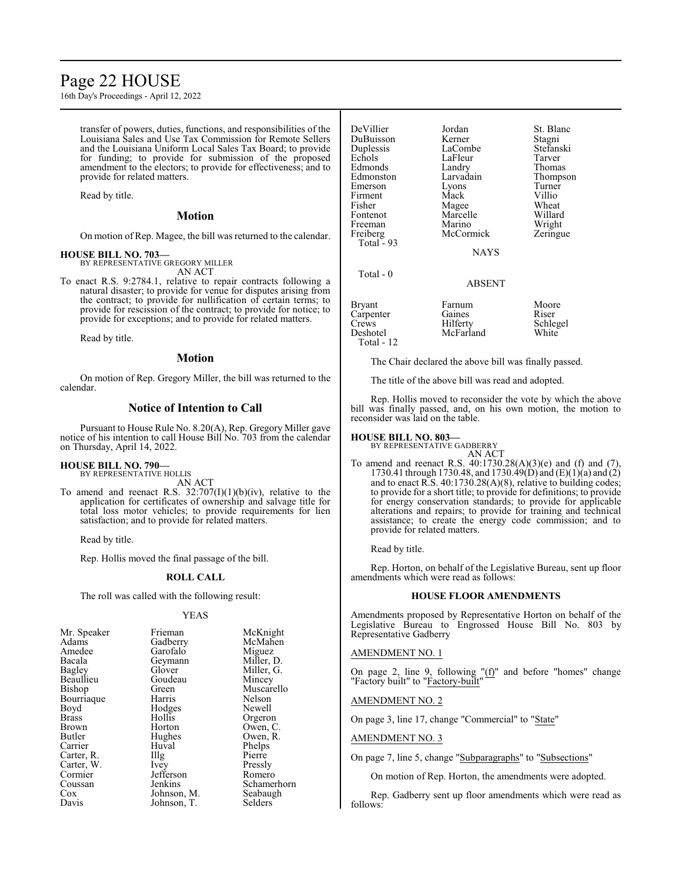# Page 22 HOUSE

16th Day's Proceedings - April 12, 2022

transfer of powers, duties, functions, and responsibilities of the Louisiana Sales and Use Tax Commission for Remote Sellers and the Louisiana Uniform Local Sales Tax Board; to provide for funding; to provide for submission of the proposed amendment to the electors; to provide for effectiveness; and to provide for related matters.

Read by title.

# **Motion**

On motion of Rep. Magee, the bill was returned to the calendar.

**HOUSE BILL NO. 703—** BY REPRESENTATIVE GREGORY MILLER AN ACT

To enact R.S. 9:2784.1, relative to repair contracts following a natural disaster; to provide for venue for disputes arising from the contract; to provide for nullification of certain terms; to provide for rescission of the contract; to provide for notice; to provide for exceptions; and to provide for related matters.

Read by title.

# **Motion**

On motion of Rep. Gregory Miller, the bill was returned to the calendar.

# **Notice of Intention to Call**

Pursuant to House Rule No. 8.20(A), Rep. Gregory Miller gave notice of his intention to call House Bill No. 703 from the calendar on Thursday, April 14, 2022.

# **HOUSE BILL NO. 790—**

BY REPRESENTATIVE HOLLIS AN ACT

To amend and reenact R.S.  $32:707(I)(1)(b)(iv)$ , relative to the application for certificates of ownership and salvage title for total loss motor vehicles; to provide requirements for lien satisfaction; and to provide for related matters.

Read by title.

Rep. Hollis moved the final passage of the bill.

### **ROLL CALL**

The roll was called with the following result:

### YEAS

| Mr. Speaker  | Frieman           | McKnight    |
|--------------|-------------------|-------------|
| Adams        | Gadberry          | McMahen     |
| Amedee       | Garofalo          | Miguez      |
| Bacala       | Geymann           | Miller, D.  |
| Bagley       | Glover            | Miller, G.  |
| Beaullieu    | Goudeau           | Mincey      |
| Bishop       | Green             | Muscarello  |
| Bourriaque   | Harris            | Nelson      |
| Boyd         | Hodges            | Newell      |
| <b>Brass</b> | Hollis            | Orgeron     |
| Brown        | Horton            | Owen, C.    |
| Butler       | Hughes            | Owen, R.    |
| Carrier      | Huval             | Phelps      |
| Carter, R.   | $\prod_{i=1}^{n}$ | Pierre      |
| Carter, W.   | Ivey              | Pressly     |
| Cormier      | Jefferson         | Romero      |
| Coussan      | Jenkins           | Schamerhorn |
| Cox          | Johnson, M.       | Seabaugh    |
| Davis        | Johnson, T.       | Selders     |

| DeVillier<br>DuBuisson<br>Duplessis<br>Echols<br>Edmonds<br>Edmonston<br>Emerson<br>Firment<br>Fisher<br>Fontenot<br>Freeman<br>Freiberg | Jordan<br>Kerner<br>LaCombe<br>LaFleur<br>Landry<br>Larvadain<br>Lyons<br>Mack<br>Magee<br>Marcelle<br>Marino<br>McCormick | St. Bla<br>Stagni<br><b>Stefans</b><br>Tarver<br>Thoma<br>Thomp<br>Turner<br>Villio<br>Wheat<br>Willard<br>Wright<br>Zering |
|------------------------------------------------------------------------------------------------------------------------------------------|----------------------------------------------------------------------------------------------------------------------------|-----------------------------------------------------------------------------------------------------------------------------|
| Total $-93$                                                                                                                              | <b>NAYS</b>                                                                                                                |                                                                                                                             |
| Total - 0                                                                                                                                |                                                                                                                            |                                                                                                                             |

ABSENT Bryant Farnum Moore Carpenter Gaines<br>Crews Hilferty Crews Hilferty Schlegel<br>
Deshotel McFarland White McFarland Total - 12

The Chair declared the above bill was finally passed.

St. Blanc Stagni Stefanski<br>Tarver

Thomas Thompson

Villio Wheat Willard Wright Zeringue

The title of the above bill was read and adopted.

Rep. Hollis moved to reconsider the vote by which the above bill was finally passed, and, on his own motion, the motion to reconsider was laid on the table.

# **HOUSE BILL NO. 803—**

BY REPRESENTATIVE GADBERRY AN ACT

To amend and reenact R.S. 40:1730.28(A)(3)(e) and (f) and (7), 1730.41 through 1730.48, and 1730.49(D) and (E)(1)(a) and (2) and to enact R.S. 40:1730.28(A)(8), relative to building codes; to provide for a short title; to provide for definitions; to provide for energy conservation standards; to provide for applicable alterations and repairs; to provide for training and technical assistance; to create the energy code commission; and to provide for related matters.

Read by title.

Rep. Horton, on behalf of the Legislative Bureau, sent up floor amendments which were read as follows:

# **HOUSE FLOOR AMENDMENTS**

Amendments proposed by Representative Horton on behalf of the Legislative Bureau to Engrossed House Bill No. 803 by Representative Gadberry

# AMENDMENT NO. 1

On page 2, line 9, following " $(f)$ " and before "homes" change "Factory built" to "Factory-built"

### AMENDMENT NO. 2

On page 3, line 17, change "Commercial" to "State"

# AMENDMENT NO. 3

On page 7, line 5, change "Subparagraphs" to "Subsections"

On motion of Rep. Horton, the amendments were adopted.

Rep. Gadberry sent up floor amendments which were read as follows: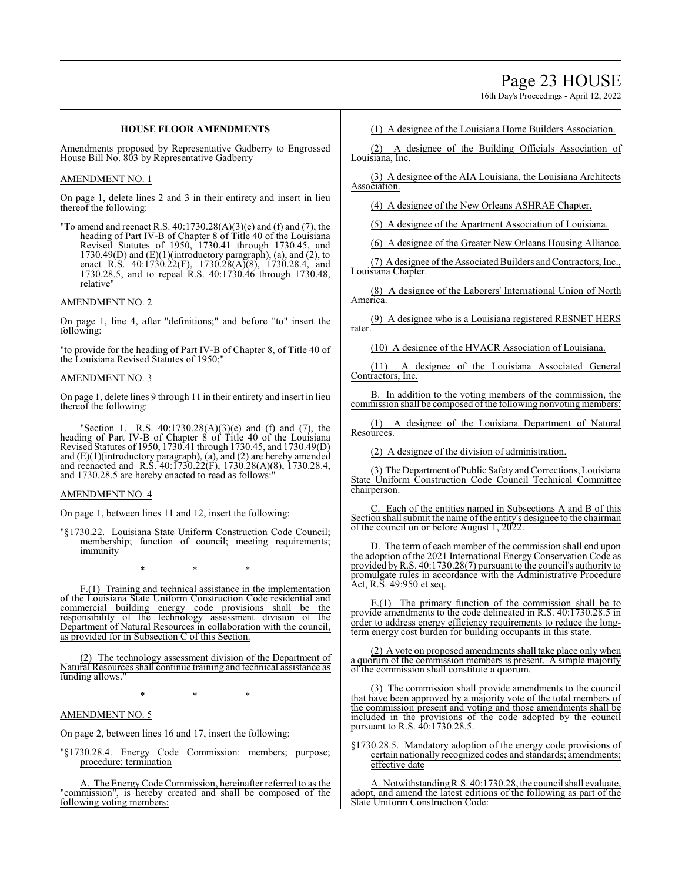# Page 23 HOUSE

16th Day's Proceedings - April 12, 2022

# **HOUSE FLOOR AMENDMENTS**

Amendments proposed by Representative Gadberry to Engrossed House Bill No. 803 by Representative Gadberry

# AMENDMENT NO. 1

On page 1, delete lines 2 and 3 in their entirety and insert in lieu thereof the following:

"To amend and reenact R.S. 40:1730.28(A)(3)(e) and (f) and (7), the heading of Part IV-B of Chapter 8 of Title 40 of the Louisiana Revised Statutes of 1950, 1730.41 through 1730.45, and  $1730.49(D)$  and  $(E)(1)$ (introductory paragraph), (a), and (2), to enact R.S. 40:1730.22(F), 1730.28(A)(8), 1730.28.4, and 1730.28.5, and to repeal R.S. 40:1730.46 through 1730.48, relative"

# AMENDMENT NO. 2

On page 1, line 4, after "definitions;" and before "to" insert the following:

"to provide for the heading of Part IV-B of Chapter 8, of Title 40 of the Louisiana Revised Statutes of 1950;"

# AMENDMENT NO. 3

On page 1, delete lines 9 through 11 in their entirety and insert in lieu thereof the following:

"Section 1. R.S. 40:1730.28(A)(3)(e) and (f) and (7), the heading of Part IV-B of Chapter 8 of Title 40 of the Louisiana Revised Statutes of 1950, 1730.41 through 1730.45, and 1730.49(D) and (E)(1)(introductory paragraph), (a), and (2) are hereby amended and reenacted and R.S. 40:1730.22(F), 1730.28(A)(8), 1730.28.4, and 1730.28.5 are hereby enacted to read as follows:"

# AMENDMENT NO. 4

On page 1, between lines 11 and 12, insert the following:

"§1730.22. Louisiana State Uniform Construction Code Council; membership; function of council; meeting requirements; immunity

\* \* \*

F.(1) Training and technical assistance in the implementation of the Louisiana State Uniform Construction Code residential and commercial building energy code provisions shall be the responsibility of the technology assessment division of the Department of Natural Resources in collaboration with the council, as provided for in Subsection C of this Section.

The technology assessment division of the Department of Natural Resources shall continue training and technical assistance as funding allows.

\* \* \*

# AMENDMENT NO. 5

On page 2, between lines 16 and 17, insert the following:

"§1730.28.4. Energy Code Commission: members; purpose; procedure; termination

A. The EnergyCode Commission, hereinafter referred to as the "commission", is hereby created and shall be composed of the following voting members:

(1) A designee of the Louisiana Home Builders Association.

(2) A designee of the Building Officials Association of Louisiana, Inc.

(3) A designee of the AIA Louisiana, the Louisiana Architects Association.

(4) A designee of the New Orleans ASHRAE Chapter.

(5) A designee of the Apartment Association of Louisiana.

(6) A designee of the Greater New Orleans Housing Alliance.

(7) A designee of the Associated Builders and Contractors, Inc., Louisiana Chapter.

(8) A designee of the Laborers' International Union of North America.

(9) A designee who is a Louisiana registered RESNET HERS rater.

(10) A designee of the HVACR Association of Louisiana.

(11) A designee of the Louisiana Associated General Contractors, Inc.

In addition to the voting members of the commission, the commission shall be composed of the following nonvoting members:

(1) A designee of the Louisiana Department of Natural Resources.

(2) A designee of the division of administration.

(3) The Department of Public Safety and Corrections, Louisiana State Uniform Construction Code Council Technical Committee chairperson.

Each of the entities named in Subsections A and B of this Section shall submit the name of the entity's designee to the chairman of the council on or before August 1, 2022.

D. The term of each member of the commission shall end upon the adoption of the 2021 International Energy Conservation Code as provided byR.S. 40:1730.28(7) pursuant to the council's authority to promulgate rules in accordance with the Administrative Procedure Act, R.S. 49:950 et seq.

E.(1) The primary function of the commission shall be to provide amendments to the code delineated in R.S. 40:1730.28.5 in order to address energy efficiency requirements to reduce the longterm energy cost burden for building occupants in this state.

(2) A vote on proposed amendments shall take place only when a quorum of the commission members is present. A simple majority of the commission shall constitute a quorum.

(3) The commission shall provide amendments to the council that have been approved by a majority vote of the total members of the commission present and voting and those amendments shall be included in the provisions of the code adopted by the council pursuant to R.S. 40:1730.28.5.

§1730.28.5. Mandatory adoption of the energy code provisions of certain nationally recognized codes and standards; amendments; effective date

A. NotwithstandingR.S. 40:1730.28, the council shall evaluate, adopt, and amend the latest editions of the following as part of the State Uniform Construction Code: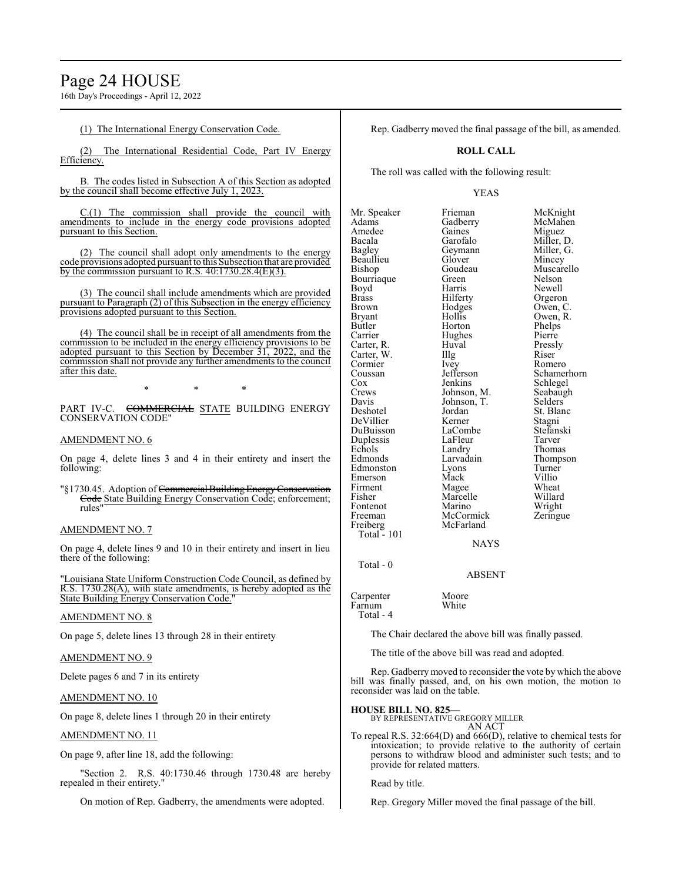16th Day's Proceedings - April 12, 2022

# (1) The International Energy Conservation Code.

The International Residential Code, Part IV Energy Efficiency.

B. The codes listed in Subsection A of this Section as adopted by the council shall become effective July 1, 2023.

 $C(1)$  The commission shall provide the council with amendments to include in the energy code provisions adopted pursuant to this Section.

(2) The council shall adopt only amendments to the energy code provisions adopted pursuant to this Subsection that are provided by the commission pursuant to R.S. 40:1730.28.4(E)(3).

(3) The council shall include amendments which are provided pursuant to Paragraph (2) of this Subsection in the energy efficiency provisions adopted pursuant to this Section.

(4) The council shall be in receipt of all amendments from the commission to be included in the energy efficiency provisions to be adopted pursuant to this Section by December 31, 2022, and the commission shall not provide any further amendments to the council after this date.

\* \* \*

PART IV-C. COMMERCIAL STATE BUILDING ENERGY CONSERVATION CODE"

# AMENDMENT NO. 6

On page 4, delete lines 3 and 4 in their entirety and insert the following:

"§1730.45. Adoption of Commercial Building Energy Conservation Code State Building Energy Conservation Code; enforcement; rules"

# AMENDMENT NO. 7

On page 4, delete lines 9 and 10 in their entirety and insert in lieu there of the following:

'Louisiana State Uniform Construction Code Council, as defined by R.S. 1730.28(A), with state amendments, is hereby adopted as the State Building Energy Conservation Code."

# AMENDMENT NO. 8

On page 5, delete lines 13 through 28 in their entirety

# AMENDMENT NO. 9

Delete pages 6 and 7 in its entirety

# AMENDMENT NO. 10

On page 8, delete lines 1 through 20 in their entirety

# AMENDMENT NO. 11

On page 9, after line 18, add the following:

'Section 2. R.S. 40:1730.46 through 1730.48 are hereby repealed in their entirety."

On motion of Rep. Gadberry, the amendments were adopted.

Rep. Gadberry moved the final passage of the bill, as amended.

# **ROLL CALL**

The roll was called with the following result:

Hughes

# YEAS

Mr. Speaker Frieman McKnight<br>
Adams Gadberry McMahen Amedee Gaines<br>Bacala Garofalo Bacala Garofalo Miller, D. Beaullieu Glover Mincey Bourriaque Green<br>Boyd Harris Boyd Harris Newell<br>Brass Hilferty Orgero Brass Hilferty Orgeron<br>Brown Hodges Owen, C Brown Hodges Owen, C. Bryant Hollis Owen, R.<br>Butler Horton Phelps Butler Horton Phelps Carter, R. Huval Pressly<br>Carter, W. Illg Riser Carter, W. Illg Riser Cormier New York Romero Cormier Ivey<br>Coussan Jefferson Cox Jenkins Schlegel<br>Crews Johnson, M. Seabaugh Crews Johnson, M. Seabaugh<br>
Davis Johnson, T. Selders Davis Johnson, T.<br>Deshotel Jordan DeVillier Kerner Stagni<br>DuBuisson LaCombe Stefanski DuBuisson LaCombe Stefans<br>
Duplessis LaFleur Tarver Duplessis LaFleur<br>Echols Landry Echols Landry Thomas<br>
Edmonds Larvadain Thomas Edmonston Lyons Turner<br>Emerson Mack Villio Emerson Mack Villio<br>Firment Magee Wheat Firment Magee Wheat<br>
Fisher Marcelle Willard Fisher Marcelle<br>Fontenot Marino Fontenot Marino Wright<br>Freeman McCormick Zeringue Freeman McCormick<br>
Freiberg McFarland

Gadberry McMahen<br>Gaines Miguez Geymann Miller, G.<br>Glover Mincev Goudeau Muscarello<br>Green Nelson Coussan Jefferson Schamerhorn<br>
Cox Jenkins Schlegel Jordan St. Blanc<br>Kerner Stagni Larvadain Thompson<br>Lyons Turner

# **NAYS**

McFarland

Total - 0

ABSENT

Carpenter Moore<br>Farnum White Farnum Total - 4

Total - 101

The Chair declared the above bill was finally passed.

The title of the above bill was read and adopted.

Rep. Gadberrymoved to reconsider the vote by which the above bill was finally passed, and, on his own motion, the motion to reconsider was laid on the table.

# **HOUSE BILL NO. 825—**

BY REPRESENTATIVE GREGORY MILLER AN ACT

To repeal R.S. 32:664(D) and 666(D), relative to chemical tests for intoxication; to provide relative to the authority of certain persons to withdraw blood and administer such tests; and to provide for related matters.

Read by title.

Rep. Gregory Miller moved the final passage of the bill.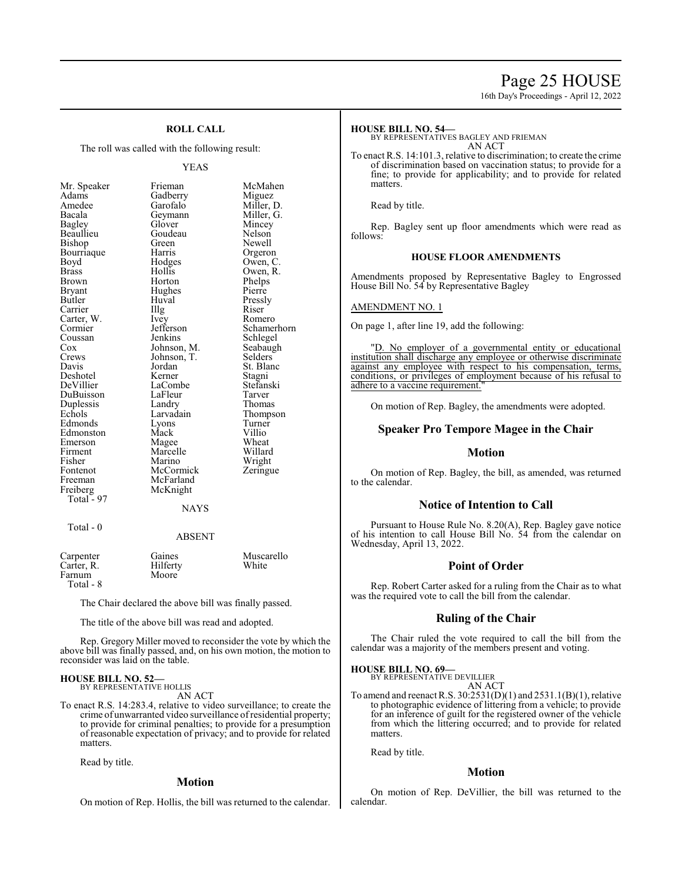# Page 25 HOUSE

16th Day's Proceedings - April 12, 2022

# **ROLL CALL**

The roll was called with the following result:

# YEAS

| Mr. Speaker  | Frieman       | McMahen     |
|--------------|---------------|-------------|
| Adams        | Gadberry      | Miguez      |
| Amedee       | Garofalo      | Miller, D.  |
| Bacala       | Geymann       | Miller, G.  |
| Bagley       | Glover        | Mincey      |
| Beaullieu    | Goudeau       | Nelson      |
| Bishop       | Green         | Newell      |
| Bourriaque   | Harris        | Orgeron     |
| Boyd         | Hodges        | Owen, C.    |
| <b>Brass</b> | Hollis        | Owen, R.    |
| Brown        | Horton        | Phelps      |
| Bryant       | Hughes        | Pierre      |
| Butler       | Huval         | Pressly     |
| Carrier      | Illg          | Riser       |
| Carter, W.   | Ivey          | Romero      |
| Cormier      | Jefferson     | Schamerhorn |
| Coussan      | Jenkins       | Schlegel    |
| Cox          | Johnson, M.   | Seabaugh    |
| Crews        | Johnson, T.   | Selders     |
| Davis        | Jordan        | St. Blanc   |
| Deshotel     | Kerner        | Stagni      |
| DeVillier    | LaCombe       | Stefanski   |
| DuBuisson    | LaFleur       | Tarver      |
| Duplessis    | Landry        | Thomas      |
| Echols       | Larvadain     | Thompson    |
| Edmonds      | Lyons         | Turner      |
| Edmonston    | Mack          | Villio      |
| Emerson      | Magee         | Wheat       |
| Firment      | Marcelle      | Willard     |
| Fisher       | Marino        | Wright      |
| Fontenot     | McCormick     | Zeringue    |
| Freeman      | McFarland     |             |
| Freiberg     | McKnight      |             |
| Total - 97   |               |             |
|              | <b>NAYS</b>   |             |
| Total - 0    |               |             |
|              | <b>ABSENT</b> |             |

| Carpenter<br>Carter, R.<br>Farnum | Gaines<br>Hilferty<br>Moore | Muscarello<br>White |
|-----------------------------------|-----------------------------|---------------------|
| Total - 8                         |                             |                     |

The Chair declared the above bill was finally passed.

The title of the above bill was read and adopted.

Rep. Gregory Miller moved to reconsider the vote by which the above bill was finally passed, and, on his own motion, the motion to reconsider was laid on the table.

### **HOUSE BILL NO. 52—** BY REPRESENTATIVE HOLLIS

AN ACT

To enact R.S. 14:283.4, relative to video surveillance; to create the crime of unwarranted video surveillance ofresidential property; to provide for criminal penalties; to provide for a presumption of reasonable expectation of privacy; and to provide for related matters.

Read by title.

# **Motion**

On motion of Rep. Hollis, the bill was returned to the calendar.

### **HOUSE BILL NO. 54—**

BY REPRESENTATIVES BAGLEY AND FRIEMAN AN ACT

To enact R.S. 14:101.3, relative to discrimination; to create the crime of discrimination based on vaccination status; to provide for a fine; to provide for applicability; and to provide for related matters.

Read by title.

Rep. Bagley sent up floor amendments which were read as follows:

# **HOUSE FLOOR AMENDMENTS**

Amendments proposed by Representative Bagley to Engrossed House Bill No. 54 by Representative Bagley

# AMENDMENT NO. 1

On page 1, after line 19, add the following:

"D. No employer of a governmental entity or educational institution shall discharge any employee or otherwise discriminate against any employee with respect to his compensation, terms, conditions, or privileges of employment because of his refusal to adhere to a vaccine requirement.

On motion of Rep. Bagley, the amendments were adopted.

# **Speaker Pro Tempore Magee in the Chair**

# **Motion**

On motion of Rep. Bagley, the bill, as amended, was returned to the calendar.

# **Notice of Intention to Call**

Pursuant to House Rule No. 8.20(A), Rep. Bagley gave notice of his intention to call House Bill No. 54 from the calendar on Wednesday, April 13, 2022.

# **Point of Order**

Rep. Robert Carter asked for a ruling from the Chair as to what was the required vote to call the bill from the calendar.

# **Ruling of the Chair**

The Chair ruled the vote required to call the bill from the calendar was a majority of the members present and voting.

## **HOUSE BILL NO. 69—**

BY REPRESENTATIVE DEVILLIER AN ACT

To amend and reenact R.S. 30:2531(D)(1) and 2531.1(B)(1), relative to photographic evidence of littering from a vehicle; to provide for an inference of guilt for the registered owner of the vehicle from which the littering occurred; and to provide for related matters.

Read by title.

# **Motion**

On motion of Rep. DeVillier, the bill was returned to the calendar.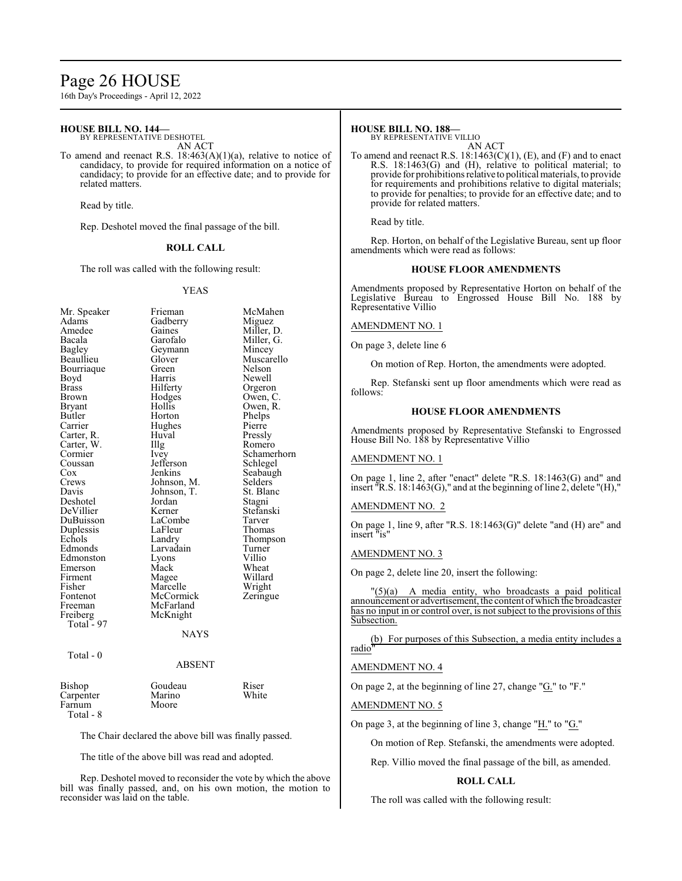# Page 26 HOUSE

16th Day's Proceedings - April 12, 2022

# **HOUSE BILL NO. 144—**

BY REPRESENTATIVE DESHOTEL AN ACT

To amend and reenact R.S. 18:463(A)(1)(a), relative to notice of candidacy, to provide for required information on a notice of candidacy; to provide for an effective date; and to provide for related matters.

Read by title.

Rep. Deshotel moved the final passage of the bill.

# **ROLL CALL**

The roll was called with the following result:

### YEAS

| Mr. Speaker  | Frieman       | McMahen     |
|--------------|---------------|-------------|
| Adams        | Gadberry      | Miguez      |
| Amedee       | Gaines        | Miller, D.  |
| Bacala       | Garofalo      | Miller, G.  |
| Bagley       | Geymann       | Mincey      |
| Beaullieu    | Glover        | Muscarello  |
| Bourriaque   | Green         | Nelson      |
| Boyd         | Harris        | Newell      |
| <b>Brass</b> | Hilferty      | Orgeron     |
| Brown        | Hodges        | Owen, C.    |
| Bryant       | Hollis        | Owen, R.    |
| Butler       | Horton        | Phelps      |
| Carrier      | Hughes        | Pierre      |
| Carter, R.   | Huval         | Pressly     |
| Carter, W.   | Illg          | Romero      |
| Cormier      | Ivey          | Schamerhorn |
| Coussan      | Jefferson     | Schlegel    |
| Cox          | Jenkins       | Seabaugh    |
| Crews        | Johnson, M.   | Selders     |
| Davis        | Johnson, T.   | St. Blanc   |
| Deshotel     | Jordan        | Stagni      |
| DeVillier    | Kerner        | Stefanski   |
| DuBuisson    | LaCombe       | Tarver      |
| Duplessis    | LaFleur       | Thomas      |
| Echols       | Landry        | Thompson    |
| Edmonds      | Larvadain     | Turner      |
| Edmonston    | Lyons         | Villio      |
| Emerson      | Mack          | Wheat       |
| Firment      | Magee         | Willard     |
| Fisher       | Marcelle      | Wright      |
| Fontenot     | McCormick     | Zeringue    |
| Freeman      | McFarland     |             |
| Freiberg     | McKnight      |             |
| Total - 97   |               |             |
|              | NAYS          |             |
| Total - 0    |               |             |
|              | <b>ABSENT</b> |             |

| Bishop    | Goudeau | Riser |
|-----------|---------|-------|
| Carpenter | Marino  | White |
| Farnum    | Moore   |       |
| Total - 8 |         |       |

The Chair declared the above bill was finally passed.

The title of the above bill was read and adopted.

Rep. Deshotel moved to reconsider the vote by which the above bill was finally passed, and, on his own motion, the motion to reconsider was laid on the table.

# **HOUSE BILL NO. 188—**

BY REPRESENTATIVE VILLIO AN ACT

To amend and reenact R.S.  $18:1463(C)(1)$ , (E), and (F) and to enact R.S. 18:1463(G) and (H), relative to political material; to provide for prohibitions relative to political materials, to provide for requirements and prohibitions relative to digital materials; to provide for penalties; to provide for an effective date; and to provide for related matters.

Read by title.

Rep. Horton, on behalf of the Legislative Bureau, sent up floor amendments which were read as follows:

# **HOUSE FLOOR AMENDMENTS**

Amendments proposed by Representative Horton on behalf of the Legislative Bureau to Engrossed House Bill No. 188 by Representative Villio

# AMENDMENT NO. 1

On page 3, delete line 6

On motion of Rep. Horton, the amendments were adopted.

Rep. Stefanski sent up floor amendments which were read as follows:

# **HOUSE FLOOR AMENDMENTS**

Amendments proposed by Representative Stefanski to Engrossed House Bill No. 188 by Representative Villio

# AMENDMENT NO. 1

On page 1, line 2, after "enact" delete "R.S. 18:1463(G) and" and insert "R.S. 18:1463(G)," and at the beginning of line 2, delete "(H),"

# AMENDMENT NO. 2

On page 1, line 9, after "R.S. 18:1463(G)" delete "and (H) are" and insert "is"

# AMENDMENT NO. 3

On page 2, delete line 20, insert the following:

"(5)(a) A media entity, who broadcasts a paid political announcement or advertisement, the content ofwhich the broadcaster has no input in or control over, is not subject to the provisions of this Subsection.

(b) For purposes of this Subsection, a media entity includes a radio"

# AMENDMENT NO. 4

On page 2, at the beginning of line 27, change " $G$ ." to "F."

# AMENDMENT NO. 5

On page 3, at the beginning of line 3, change "H." to "G."

On motion of Rep. Stefanski, the amendments were adopted.

Rep. Villio moved the final passage of the bill, as amended.

# **ROLL CALL**

The roll was called with the following result: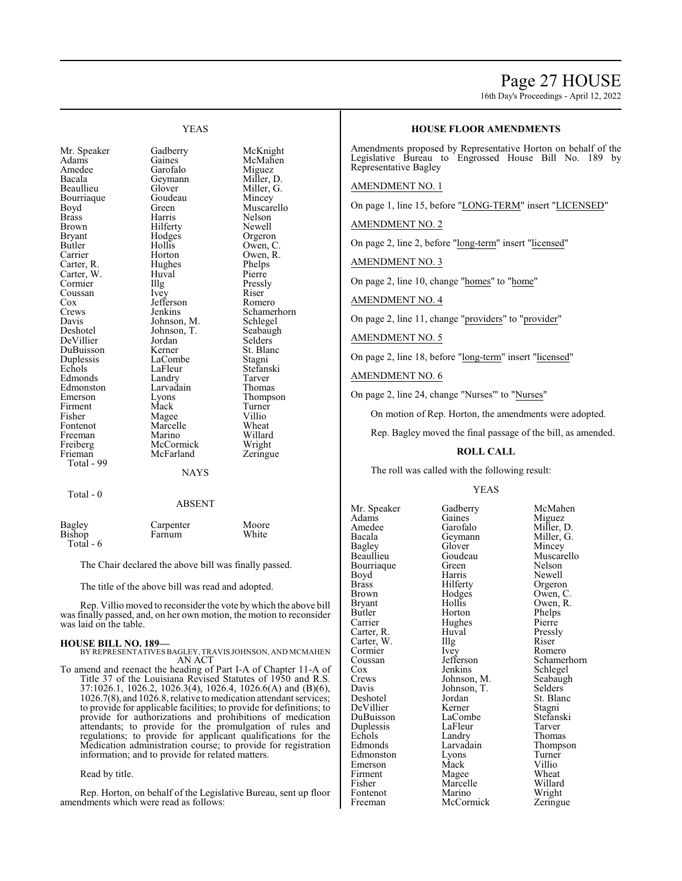# Page 27 HOUSE

16th Day's Proceedings - April 12, 2022

# Mr. Speaker Gadberry McKnight<br>
Adams Gaines McMahen Adams Gaines McMahen<br>Amedee Garofalo Miguez Amedee Garofalo Miguez<br>Bacala Geymann Miller, D. Bacala Geymann<br>Beaullieu Glover Bourriaque Goudeau Mincey<br>Boyd Green Muscar Boyd Green Muscarello<br>Brass Harris Nelson Brass Harris Nelson Brown Hilferty<br>Bryant Hodges Bryant Hodges Orgeron<br>Butler Hollis Owen, C Butler Hollis Owen, C. Carter, R. Hughes Phelps Carter, W. Huval Pierre<br>
Cormier Illg Pressly Cormier Illg Pressl<br>Coussan Ivey Riser Coussan Ivey Riser Cox<br>
Cox Jefferson Romero Cox Jefferson<br>Crews Jenkins Crews Jenkins Schamerhorn<br>
Davis Johnson, M. Schlegel Davis Johnson, M. Schlegel<br>Deshotel Johnson, T. Seabaugh DeVillier Jordan Selders<br>
DuBuisson Kerner St. Blanc DuBuisson Kerner St. Bla<br>
Duplessis LaCombe Stagni Duplessis LaCombe<br>
Echols LaFleur Edmonds Landry Tarver<br>
Edmonston Larvadain Thomas Edmonston Larvada<br>Emerson Lyons Firment Mack Turner Fisher Magee Villio<br>Fontenot Marcelle Wheat Freeman Marino Willard<br>
Freiberg McCormick Wright Freiberg McCormick Wright<br>
Frieman McFarland Zeringue Total - 99

Total - 0

Glover Miller, G.<br>Goudeau Mincey Horton Owen, R.<br>Hughes Phelps Johnson, T. Seabaug<br>Jordan Selders LaFleur Stefanski<br>Landry Tarver Eyons Thompson<br>Mack Turner Marcelle Wheat<br>
Marino Willard McFarland

YEAS

**NAYS** 

# ABSENT

|                  | Carpenter | Moore |
|------------------|-----------|-------|
| Bagley<br>Bishop | Farnum    | White |
| Total $-6$       |           |       |

The Chair declared the above bill was finally passed.

The title of the above bill was read and adopted.

Rep. Villio moved to reconsider the vote by which the above bill was finally passed, and, on her own motion, the motion to reconsider was laid on the table.

### **HOUSE BILL NO. 189—**

BY REPRESENTATIVES BAGLEY, TRAVIS JOHNSON, AND MCMAHEN AN ACT

To amend and reenact the heading of Part I-A of Chapter 11-A of Title 37 of the Louisiana Revised Statutes of 1950 and R.S. 37:1026.1, 1026.2, 1026.3(4), 1026.4, 1026.6(A) and (B)(6), 1026.7(8), and 1026.8, relative to medication attendant services; to provide for applicable facilities; to provide for definitions; to provide for authorizations and prohibitions of medication attendants; to provide for the promulgation of rules and regulations; to provide for applicant qualifications for the Medication administration course; to provide for registration information; and to provide for related matters.

# Read by title.

Rep. Horton, on behalf of the Legislative Bureau, sent up floor amendments which were read as follows:

# **HOUSE FLOOR AMENDMENTS**

Amendments proposed by Representative Horton on behalf of the Legislative Bureau to Engrossed House Bill No. 189 by Representative Bagley

# AMENDMENT NO. 1

On page 1, line 15, before "LONG-TERM" insert "LICENSED"

AMENDMENT NO. 2

On page 2, line 2, before "long-term" insert "licensed"

AMENDMENT NO. 3

On page 2, line 10, change "homes" to "home"

AMENDMENT NO. 4

On page 2, line 11, change "providers" to "provider"

AMENDMENT NO. 5

On page 2, line 18, before "long-term" insert "licensed"

# AMENDMENT NO. 6

On page 2, line 24, change "Nurses'" to "Nurses"

On motion of Rep. Horton, the amendments were adopted.

Rep. Bagley moved the final passage of the bill, as amended.

# **ROLL CALL**

The roll was called with the following result:

# YEAS

Bagley Glover<br>Beaullieu Goudeau Bourriaque Green<br>Boyd Harris Cormier Ivey<br>Coussan Jefferson Davis Johnson, T.<br>Deshotel Jordan Duplessis LaFleur<br>Echols Landry Fontenot

Mr. Speaker Gadberry McMahen<br>Adams Gaines Miguez Adams Gaines Miguez Amedee Garofalo Miller, D.<br>Bacala Geymann Miller, G. Bacala Geymann Miller, G. Goudeau Muscarello<br>Green Nelson Boyd Harris Newell<br>Brass Hilferty Orgeror Brass Hilferty Orgeron<br>Brown Hodges Owen, C Brown Hodges Owen, C.<br>Brvant Hollis Owen, R. Bryant Hollis Owen, R. Butler Horton Phelps Hughes Pierre<br>Huval Pressly Carter, R. Huval Press.<br>Carter, W. Illg Riser Carter, W. Illg Riser<br>Cormier Ivey Romero Cox Jenkins Schlegel<br>Crews Johnson, M. Seabaugh Crews Johnson, M. Seabaughter Seabaughter Seabaughter Seabaughter Seabaughter Seabaughter Seabaughter Seabaughter Seabaughter Seabaughter Seabaughter Seabaughter Seabaughter Seabaughter Seabaughter Seabaughter Seabaughter Jordan St. Blanc<br>
Kerner Stagni DeVillier Kerner Stagni<br>DuBuisson LaCombe Stefanski DuBuisson LaCombe Stefans<br>
Duplessis LaFleur Tarver Echols Landry Thomas<br>
Edmonds Larvadain Thomps Larvadain Thompson<br>Lyons Turner Edmonston Lyons Turner<br>
Emerson Mack Villio Mack Villio<br>
Magee Wheat Firment Magee Wheat<br>
Fisher Marcelle Willard Marcelle Willard<br>
Marino Wright Freeman McCormick Zeringue

Coussan Jefferson Schamerhorn<br>
Cox Jenkins Schlegel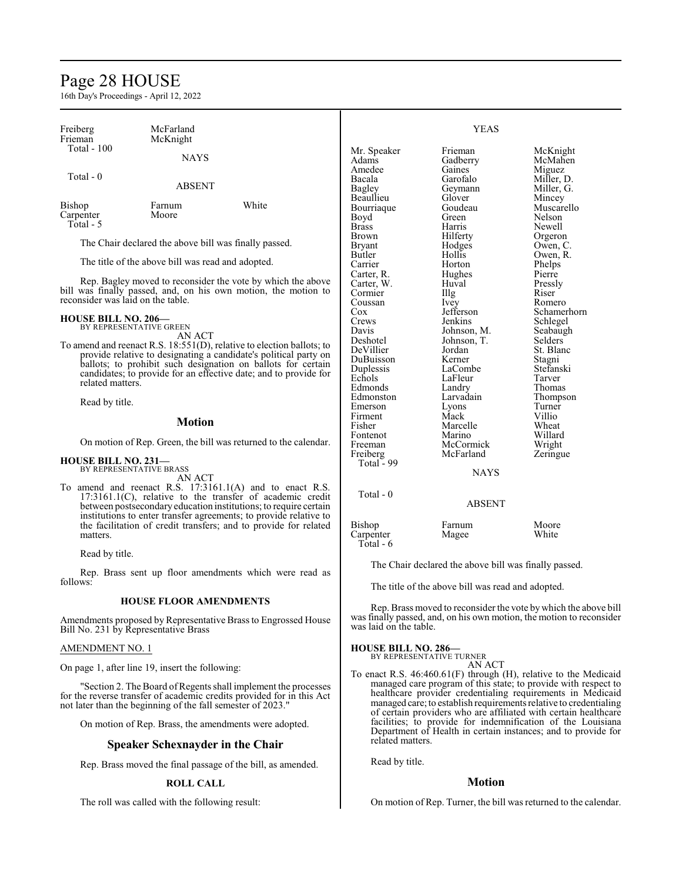# Page 28 HOUSE

16th Day's Proceedings - April 12, 2022

| Freiberg                                                                                                                                     | McFarland                                             |                                                                  |                        | <b>YEAS</b>      |                     |
|----------------------------------------------------------------------------------------------------------------------------------------------|-------------------------------------------------------|------------------------------------------------------------------|------------------------|------------------|---------------------|
| Frieman                                                                                                                                      | McKnight                                              |                                                                  |                        |                  |                     |
| <b>Total - 100</b>                                                                                                                           |                                                       |                                                                  | Mr. Speaker            | Frieman          | McKnight            |
|                                                                                                                                              | <b>NAYS</b>                                           |                                                                  | Adams                  | Gadberry         | McMahen             |
|                                                                                                                                              |                                                       |                                                                  | Amedee                 | Gaines           | Miguez              |
| Total - 0                                                                                                                                    |                                                       |                                                                  | Bacala                 | Garofalo         | Miller, D.          |
|                                                                                                                                              | <b>ABSENT</b>                                         |                                                                  | Bagley                 | Geymann          | Miller, G.          |
|                                                                                                                                              |                                                       |                                                                  | Beaullieu              | Glover           | Mincey              |
| Bishop                                                                                                                                       | Farnum                                                | White                                                            | Bourriaque             | Goudeau          | Muscarello          |
| Carpenter                                                                                                                                    | Moore                                                 |                                                                  | Boyd                   | Green            | Nelson              |
| Total - 5                                                                                                                                    |                                                       |                                                                  | <b>Brass</b>           | Harris           | Newell              |
|                                                                                                                                              |                                                       |                                                                  | <b>Brown</b>           | Hilferty         | Orgeron             |
|                                                                                                                                              | The Chair declared the above bill was finally passed. |                                                                  | <b>Bryant</b>          | Hodges           | Owen, C.            |
|                                                                                                                                              |                                                       |                                                                  | Butler                 | <b>Hollis</b>    | Owen, R.            |
|                                                                                                                                              | The title of the above bill was read and adopted.     |                                                                  | Carrier                | Horton           | Phelps              |
|                                                                                                                                              |                                                       |                                                                  | Carter, R.             | Hughes           | Pierre              |
|                                                                                                                                              |                                                       | Rep. Bagley moved to reconsider the vote by which the above      | Carter, W.             | Huval            | Pressly             |
| bill was finally passed, and, on his own motion, the motion to                                                                               |                                                       |                                                                  | Cormier                | Illg             | Riser               |
| reconsider was laid on the table.                                                                                                            |                                                       |                                                                  | Coussan                | Ivey             | Romero              |
| <b>HOUSE BILL NO. 206-</b>                                                                                                                   |                                                       |                                                                  | $\cos$                 | Jefferson        | Schamerhorn         |
|                                                                                                                                              | BY REPRESENTATIVE GREEN                               |                                                                  | Crews                  | Jenkins          | Schlegel            |
|                                                                                                                                              | AN ACT                                                |                                                                  | Davis                  | Johnson, M.      | Seabaugh            |
| To amend and reenact R.S. $18:551(D)$ , relative to election ballots; to<br>provide relative to designating a candidate's political party on |                                                       |                                                                  | Deshotel               | Johnson, T.      | <b>Selders</b>      |
|                                                                                                                                              |                                                       |                                                                  | DeVillier<br>DuBuisson | Jordan<br>Kerner | St. Blanc           |
|                                                                                                                                              |                                                       | ballots; to prohibit such designation on ballots for certain     |                        | LaCombe          | Stagni<br>Stefanski |
|                                                                                                                                              |                                                       | candidates; to provide for an effective date; and to provide for | Duplessis<br>Echols    | LaFleur          | Tarver              |
| related matters.                                                                                                                             |                                                       |                                                                  | Edmonds                | Landry           | Thomas              |
|                                                                                                                                              |                                                       |                                                                  | Edmonston              | Larvadain        | Thompson            |
| Read by title.                                                                                                                               |                                                       |                                                                  | Emerson                | Lyons            | Turner              |
|                                                                                                                                              | $\blacksquare$                                        |                                                                  | Firment                | Mack             | Villio              |

# **Motion**

On motion of Rep. Green, the bill was returned to the calendar.

# **HOUSE BILL NO. 231—**

BY REPRESENTATIVE BRASS AN ACT

To amend and reenact R.S. 17:3161.1(A) and to enact R.S. 17:3161.1(C), relative to the transfer of academic credit between postsecondary education institutions; to require certain institutions to enter transfer agreements; to provide relative to the facilitation of credit transfers; and to provide for related matters.

Read by title.

Rep. Brass sent up floor amendments which were read as follows:

# **HOUSE FLOOR AMENDMENTS**

Amendments proposed by Representative Brass to Engrossed House Bill No. 231 by Representative Brass

# AMENDMENT NO. 1

On page 1, after line 19, insert the following:

'Section 2. The Board of Regents shall implement the processes for the reverse transfer of academic credits provided for in this Act not later than the beginning of the fall semester of 2023."

On motion of Rep. Brass, the amendments were adopted.

# **Speaker Schexnayder in the Chair**

Rep. Brass moved the final passage of the bill, as amended.

# **ROLL CALL**

The roll was called with the following result:

The title of the above bill was read and adopted.

The Chair declared the above bill was finally passed.

Marcelle Wheat<br>
Marino Willard

NAYS

ABSENT

Firment Mack Villio<br>Fisher Marcelle Wheat

Fontenot Marino Willard<br>Freeman McCormick Wright Freeman McCormick Wright<br>
Freiberg McFarland Zeringue McFarland

Bishop Farnum Moore<br>
Carpenter Magee White

Rep. Brass moved to reconsider the vote by which the above bill was finally passed, and, on his own motion, the motion to reconsider was laid on the table.

# **HOUSE BILL NO. 286—**

Total - 99

Total - 0

Carpenter Total - 6

> BY REPRESENTATIVE TURNER AN ACT

To enact R.S. 46:460.61(F) through (H), relative to the Medicaid managed care program of this state; to provide with respect to healthcare provider credentialing requirements in Medicaid managed care; to establish requirements relative to credentialing of certain providers who are affiliated with certain healthcare facilities; to provide for indemnification of the Louisiana Department of Health in certain instances; and to provide for related matters.

Read by title.

# **Motion**

On motion of Rep. Turner, the bill was returned to the calendar.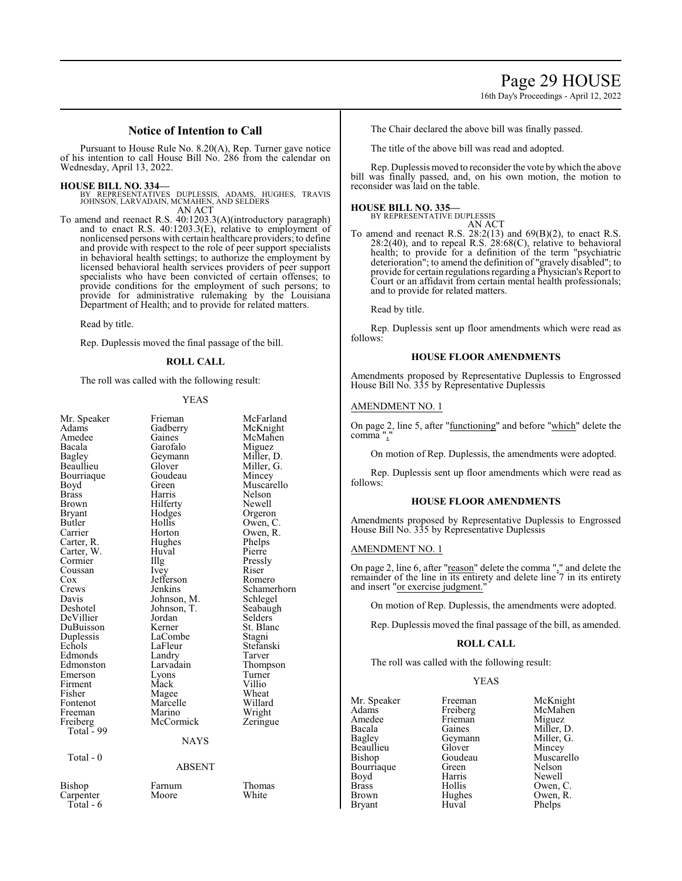16th Day's Proceedings - April 12, 2022

# **Notice of Intention to Call**

Pursuant to House Rule No. 8.20(A), Rep. Turner gave notice of his intention to call House Bill No. 286 from the calendar on Wednesday, April 13, 2022.

# **HOUSE BILL NO. 334—**

BY REPRESENTATIVES DUPLESSIS, ADAMS, HUGHES, TRAVIS JOHNSON, LARVADAIN, MCMAHEN, AND SELDERS AN ACT

To amend and reenact R.S. 40:1203.3(A)(introductory paragraph) and to enact R.S. 40:1203.3(E), relative to employment of nonlicensed persons with certain healthcare providers; to define and provide with respect to the role of peer support specialists in behavioral health settings; to authorize the employment by licensed behavioral health services providers of peer support specialists who have been convicted of certain offenses; to provide conditions for the employment of such persons; to provide for administrative rulemaking by the Louisiana Department of Health; and to provide for related matters.

Read by title.

Rep. Duplessis moved the final passage of the bill.

# **ROLL CALL**

The roll was called with the following result:

# YEAS

| Mr. Speaker<br>Adams | Frieman<br>Gadberry | McFarland<br>McKnight |
|----------------------|---------------------|-----------------------|
| Amedee               | Gaines              | McMahen               |
| Bacala               | Garofalo            | Miguez                |
| <b>Bagley</b>        | Geymann             | Miller, D.            |
| Beaullieu            | Glover              | Miller, G.            |
| Bourriaque           | Goudeau             | Mincey                |
| Boyd                 | Green               | Muscarello            |
| <b>Brass</b>         | Harris              | Nelson                |
| Brown                | Hilferty            | Newell                |
| Bryant               | Hodges              | Orgeron               |
| Butler               | Hollis              | Owen, C.              |
| Carrier              | Horton              | Owen, R.              |
| Carter, R.           | Hughes              | Phelps                |
| Carter, W.           | Huval               | Pierre                |
| Cormier              | Illg                | Pressly               |
| Coussan              | Ivey                | Riser                 |
| Cox                  | Jefferson           | Romero                |
| Crews                | Jenkins             | Schamerhorn           |
| Davis                | Johnson, M.         | Schlegel              |
| Deshotel             | Johnson, T.         | Seabaugh              |
| DeVillier            | Jordan              | Selders               |
| DuBuisson            | Kerner              | St. Blanc             |
| Duplessis            | LaCombe             | Stagni                |
| Echols               | LaFleur             | Stefanski             |
| Edmonds              | Landry              | Tarver                |
| Edmonston            | Larvadain           | Thompson              |
| Emerson              | Lyons               | Turner                |
| Firment              | Mack                | Villio                |
| Fisher               | Magee               | Wheat                 |
| Fontenot             | Marcelle            | Willard               |
| Freeman              | Marino              | Wright                |
| Freiberg             | McCormick           | Zeringue              |
| Total - 99           |                     |                       |
|                      | <b>NAYS</b>         |                       |
| Total - 0            |                     |                       |
|                      | <b>ABSENT</b>       |                       |
| Bishop               | Farnum              | Thomas                |
| Carpenter            | Moore               | White                 |

Total - 6

The Chair declared the above bill was finally passed.

The title of the above bill was read and adopted.

Rep. Duplessis moved to reconsider the vote bywhich the above bill was finally passed, and, on his own motion, the motion to reconsider was laid on the table.

# **HOUSE BILL NO. 335—**

BY REPRESENTATIVE DUPLESSIS AN ACT

To amend and reenact R.S.  $28:2(13)$  and  $69(B)(2)$ , to enact R.S.  $28:2(40)$ , and to repeal R.S.  $28:68(C)$ , relative to behavioral health; to provide for a definition of the term "psychiatric deterioration"; to amend the definition of "gravely disabled"; to provide for certain regulations regarding a Physician's Report to Court or an affidavit from certain mental health professionals; and to provide for related matters.

Read by title.

Rep. Duplessis sent up floor amendments which were read as follows:

# **HOUSE FLOOR AMENDMENTS**

Amendments proposed by Representative Duplessis to Engrossed House Bill No. 335 by Representative Duplessis

### AMENDMENT NO. 1

On page 2, line 5, after "<u>functioning</u>" and before "which" delete the comma",

On motion of Rep. Duplessis, the amendments were adopted.

Rep. Duplessis sent up floor amendments which were read as follows:

# **HOUSE FLOOR AMENDMENTS**

Amendments proposed by Representative Duplessis to Engrossed House Bill No. 335 by Representative Duplessis

# AMENDMENT NO. 1

On page 2, line 6, after "reason" delete the comma "," and delete the remainder of the line in its entirety and delete line 7 in its entirety and insert "or exercise judgment."

On motion of Rep. Duplessis, the amendments were adopted.

Rep. Duplessis moved the final passage of the bill, as amended.

# **ROLL CALL**

The roll was called with the following result:

Huval

# YEAS

Mr. Speaker Freeman McKnight<br>
Adams Freiberg McMahen Adams Freiberg McMahen<br>
Amedee Frieman Miguez Amedee Frieman<br>Bacala Gaines Bacala Gaines Miller, D.<br>Bagley Geymann Miller, G. Beaullieu Glover<br>Bishop Goudeau Bourriaque Green Nelson<br>Boyd Harris Newell Boyd Harris<br>Brass Hollis Brass Hollis Owen, C. Brown Hughes Owen, R.<br>Bryant Huval Phelps

Geymann Miller, I<br>Glover Mincey Goudeau Muscarello<br>Green Nelson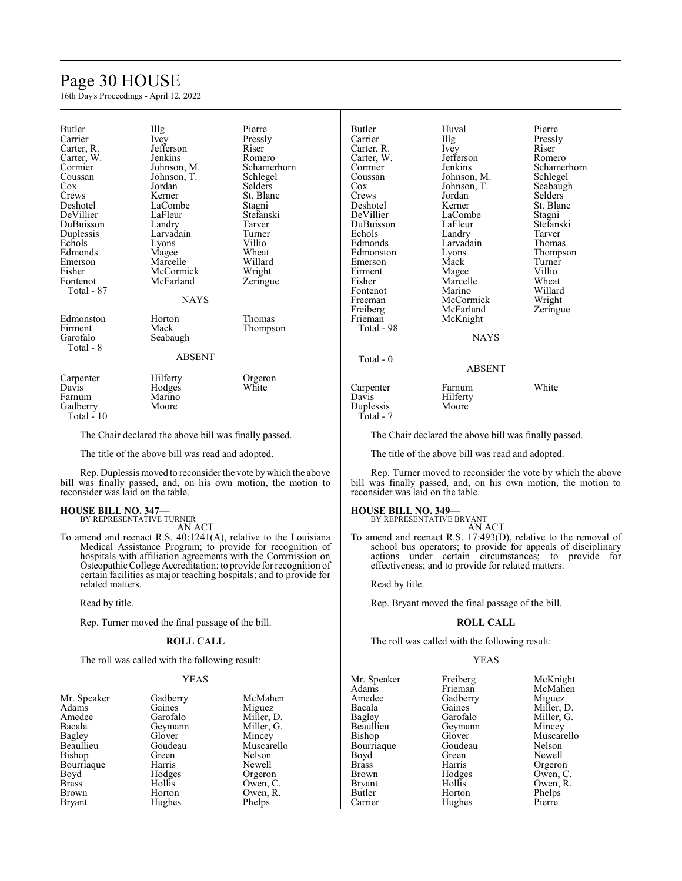# Page 30 HOUSE

16th Day's Proceedings - April 12, 2022

| <b>Butler</b><br>Carrier<br>Carter, R.<br>Carter, W.<br>Cormier<br>Coussan<br>Cox<br>Crews<br>Deshotel<br>DeVillier<br>DuBuisson<br>Duplessis<br>Echols<br>Edmonds<br>Emerson<br>Fisher<br>Fontenot<br>Total - 87<br>Edmonston<br>Firment<br>Garofalo<br>Total - 8 | Illg<br>Ivey<br>Jefferson<br>Jenkins<br>Johnson, M.<br>Johnson, T.<br>Jordan<br>Kerner<br>LaCombe<br>LaFleur<br>Landry<br>Larvadain<br>Lyons<br>Magee<br>Marcelle<br>McCormick<br>McFarland<br><b>NAYS</b><br>Horton<br>Mack<br>Seabaugh | Pierre<br>Pressly<br>Riser<br>Romero<br>Schamerhorn<br>Schlegel<br>Selders<br>St. Blanc<br>Stagni<br>Stefanski<br>Tarver<br>Turner<br>Villio<br>Wheat<br>Willard<br>Wright<br>Zeringue<br>Thomas<br>Thompson | <b>Butler</b><br>Carrier<br>Carter, R.<br>Carter, W.<br>Cormier<br>Coussan<br>Cox<br>Crews<br>Deshotel<br>DeVillier<br>DuBuisson<br>Echols<br>Edmonds<br>Edmonston<br>Emerson<br>Firment<br>Fisher<br>Fontenot<br>Freeman<br>Freiberg<br>Frieman<br>Total - 98 |
|--------------------------------------------------------------------------------------------------------------------------------------------------------------------------------------------------------------------------------------------------------------------|------------------------------------------------------------------------------------------------------------------------------------------------------------------------------------------------------------------------------------------|--------------------------------------------------------------------------------------------------------------------------------------------------------------------------------------------------------------|----------------------------------------------------------------------------------------------------------------------------------------------------------------------------------------------------------------------------------------------------------------|
|                                                                                                                                                                                                                                                                    | <b>ABSENT</b>                                                                                                                                                                                                                            |                                                                                                                                                                                                              | Total $-0$                                                                                                                                                                                                                                                     |
| Carpenter<br>Davis<br>Farnum<br>Gadberry<br>Total - 10                                                                                                                                                                                                             | Hilferty<br>Hodges<br>Marino<br>Moore                                                                                                                                                                                                    | Orgeron<br>White                                                                                                                                                                                             | Carpenter<br>Davis<br>Duplessis<br>Total - 7                                                                                                                                                                                                                   |

The Chair declared the above bill was finally passed.

The title of the above bill was read and adopted.

Rep. Duplessis moved to reconsider the vote bywhich the above bill was finally passed, and, on his own motion, the motion to reconsider was laid on the table.

# **HOUSE BILL NO. 347—** BY REPRESENTATIVE TURNER

AN ACT

To amend and reenact R.S. 40:1241(A), relative to the Louisiana Medical Assistance Program; to provide for recognition of hospitals with affiliation agreements with the Commission on Osteopathic College Accreditation; to provide for recognition of certain facilities as major teaching hospitals; and to provide for related matters.

Read by title.

Rep. Turner moved the final passage of the bill.

# **ROLL CALL**

The roll was called with the following result:

# YEAS

McMahen Miguez Miller, D. Miller, G. Mincey Muscarello Nelson Newell Orgeron Owen, C. Owen, R. Phelps

| Mr. Speaker   | Gadberry |
|---------------|----------|
| Adams         | Gaines   |
| Amedee        | Garofalo |
| Bacala        | Geymann  |
| Bagley        | Glover   |
| Beaullieu     | Goudeau  |
| Bishop        | Green    |
| Bourriaque    | Harris   |
| Boyd          | Hodges   |
| <b>Brass</b>  | Hollis   |
| <b>Brown</b>  | Horton   |
| <b>Bryant</b> | Hughes   |
|               |          |

Huval Pierre<br>Illg Pressl The Pressly<br>
Ivey Riser Carter, R. Ivey Riser Jefferson Romero<br>Jenkins Schame Johnson, M. Johnson, T. Seabaugh<br>Jordan Selders Jordan Selders<br>Kerner St. Blan LaCombe<br>LaFleur Landry Tarver<br>
Larvadain Thomas Larvadain<br>Lyons Eyons Thompson<br>
Mack Turner Emerson Mack Turner Magee Villio<br>
Marcelle Wheat Marcelle Wheat<br>
Marino Willard Marino Willard<br>
McCormick Wright McCormick Wright<br>
McFarland Zeringue McFarland McKnight NAYS ABSENT Farnum White

# Schamerhorn<br>Schlegel St. Blanc<br>Stagni Stefanski<br>Tarver

Hilferty Moore

The Chair declared the above bill was finally passed.

The title of the above bill was read and adopted.

Rep. Turner moved to reconsider the vote by which the above bill was finally passed, and, on his own motion, the motion to reconsider was laid on the table.

# **HOUSE BILL NO. 349—**

BY REPRESENTATIVE BRYANT AN ACT

To amend and reenact R.S. 17:493(D), relative to the removal of school bus operators; to provide for appeals of disciplinary actions under certain circumstances; to provide for effectiveness; and to provide for related matters.

Read by title.

Rep. Bryant moved the final passage of the bill.

# **ROLL CALL**

The roll was called with the following result:

Hughes

# YEAS

Mr. Speaker Freiberg McKnight<br>
Adams Frieman McMahen Adams Frieman McMahen<br>Amedee Gadberry Miguez Amedee Gadberry<br>Bacala Gaines Bacala Gaines Miller, D.<br>Bagley Garofalo Miller, G. Bagley Garofalo Miller, G.<br>Beaullieu Geymann Mincey Beaullieu Geymann<br>Bishop Glover Bourriaque Goude<br>Boyd Green Boyd Green Newell<br>Brass Harris Orgerol Brass Harris Orgeron<br>Brown Hodges Owen, C Brown Hodges Owen, C. Bryant Hollis Owen, R.<br>Butler Horton Phelps

Glover Muscarello<br>Goudeau Nelson Butler Horton Phelps<br>
Carrier Hughes Pierre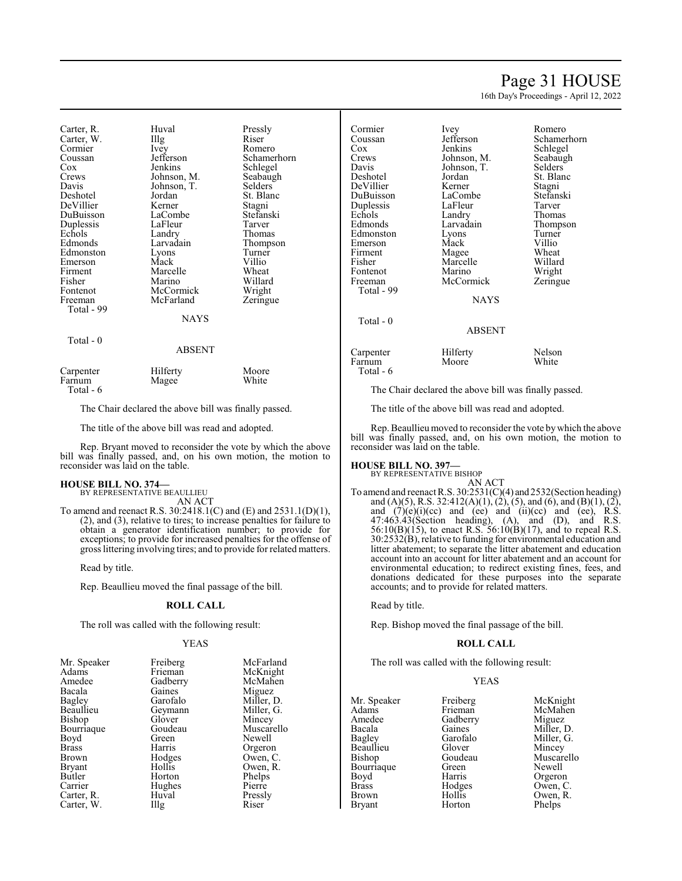# Page 31 HOUSE

16th Day's Proceedings - April 12, 2022

| Carter, R.<br>Carter, W.<br>Cormier<br>Coussan<br>Cox<br>Crews<br>Davis<br>Deshotel<br>DeVillier<br>DuBuisson<br>Duplessis<br>Echols<br>Edmonds<br>Edmonston<br>Emerson<br>Firment<br>Fisher<br>Fontenot<br>Freeman<br>Total - 99<br>Total $-0$ | Huval<br>$\prod$ llg<br>Ivey<br>Jefferson<br>Jenkins<br>Johnson, M.<br>Johnson, T.<br>Jordan<br>Kerner<br>LaCombe<br>LaFleur<br>Landry<br>Larvadain<br>Lyons<br>Mack<br>Marcelle<br>Marino<br>McCormick<br>McFarland<br>NAYS | Pressly<br>Riser<br>Romero<br>Schamerhorn<br>Schlegel<br>Seabaugh<br>Selders<br>St. Blanc<br>Stagni<br>Stefanski<br>Tarver<br>Thomas<br>Thompson<br>Turner<br>Villio<br>Wheat<br>Willard<br>Wright<br>Zeringue |
|-------------------------------------------------------------------------------------------------------------------------------------------------------------------------------------------------------------------------------------------------|------------------------------------------------------------------------------------------------------------------------------------------------------------------------------------------------------------------------------|----------------------------------------------------------------------------------------------------------------------------------------------------------------------------------------------------------------|
|                                                                                                                                                                                                                                                 | ABSENT                                                                                                                                                                                                                       |                                                                                                                                                                                                                |
| Carpenter<br>Farnum<br>Total - 6                                                                                                                                                                                                                | Hilferty<br>Magee                                                                                                                                                                                                            | Moore<br>White                                                                                                                                                                                                 |

The Chair declared the above bill was finally passed.

The title of the above bill was read and adopted.

Rep. Bryant moved to reconsider the vote by which the above bill was finally passed, and, on his own motion, the motion to reconsider was laid on the table.

# **HOUSE BILL NO. 374—**

BY REPRESENTATIVE BEAULLIEU AN ACT

To amend and reenact R.S. 30:2418.1(C) and (E) and 2531.1(D)(1), (2), and (3), relative to tires; to increase penalties for failure to obtain a generator identification number; to provide for exceptions; to provide for increased penalties for the offense of gross littering involving tires; and to provide for related matters.

Read by title.

Rep. Beaullieu moved the final passage of the bill.

# **ROLL CALL**

The roll was called with the following result:

# YEAS

| Mr. Speaker<br>Adams | Freiberg<br>Frieman | McFarland<br>McKnight |
|----------------------|---------------------|-----------------------|
| Amedee               | Gadberry            | McMahen               |
| Bacala               | Gaines              | Miguez                |
| Bagley               | Garofalo            | Miller, D.            |
| Beaullieu            | Geymann             | Miller, G.            |
| Bishop               | Glover              | Mincey                |
| Bourriaque           | Goudeau             | Muscarello            |
| Boyd                 | Green               | Newell                |
| <b>Brass</b>         | Harris              | Orgeron               |
| Brown                | Hodges              | Owen, C.              |
| <b>Bryant</b>        | Hollis              | Owen, R.              |
| Butler               | Horton              | Phelps                |
| Carrier              | Hughes              | Pierre                |
| Carter, R.           | Huval               | Pressly               |
| Carter, W.           | Illg                | Riser                 |

| Cormier    | Ivey        | Romero      |
|------------|-------------|-------------|
| Coussan    | Jefferson   | Schamerhorn |
| Cox        | Jenkins     | Schlegel    |
| Crews      | Johnson, M. | Seabaugh    |
| Davis      | Johnson, T. | Selders     |
| Deshotel   | Jordan      | St. Blanc   |
| DeVillier  | Kerner      | Stagni      |
| DuBuisson  | LaCombe     | Stefanski   |
| Duplessis  | LaFleur     | Tarver      |
| Echols     | Landry      | Thomas      |
| Edmonds    | Larvadain   | Thompson    |
| Edmonston  | Lyons       | Turner      |
| Emerson    | Mack        | Villio      |
| Firment    | Magee       | Wheat       |
| Fisher     | Marcelle    | Willard     |
| Fontenot   | Marino      | Wright      |
| Freeman    | McCormick   | Zeringue    |
| Total - 99 |             |             |
|            | NAYS        |             |
| Total - 0  |             |             |
|            | ABSENT      |             |
| Carpenter  | Hilferty    | Nelson      |
| Farnum     | Moore       | White       |

The Chair declared the above bill was finally passed.

The title of the above bill was read and adopted.

Rep. Beaullieu moved to reconsider the vote bywhich the above bill was finally passed, and, on his own motion, the motion to reconsider was laid on the table.

# **HOUSE BILL NO. 397—**

Total - 6

- BY REPRESENTATIVE BISHOP AN ACT
- To amend and reenact R.S. 30:2531(C)(4) and 2532(Section heading) and (A)(5), R.S. 32:412(A)(1), (2), (5), and (6), and (B)(1), (2), and  $(7)(e)(i)(ce)$  and  $(ee)$  and  $(ii)(ce)$  and  $(ee)$ , R.S. 47:463.43(Section heading), (A), and (D), and R.S. 56:10(B)(15), to enact R.S. 56:10(B)(17), and to repeal R.S. 30:2532(B), relative to funding for environmental education and litter abatement; to separate the litter abatement and education account into an account for litter abatement and an account for environmental education; to redirect existing fines, fees, and donations dedicated for these purposes into the separate accounts; and to provide for related matters.

Read by title.

Rep. Bishop moved the final passage of the bill.

# **ROLL CALL**

The roll was called with the following result:

# YEAS

| Mr. Speaker   | Freiberg | McKnight   |
|---------------|----------|------------|
| Adams         | Frieman  | McMahen    |
| Amedee        | Gadberry | Miguez     |
| Bacala        | Gaines   | Miller, D. |
| Bagley        | Garofalo | Miller, G. |
| Beaullieu     | Glover   | Mincey     |
| Bishop        | Goudeau  | Muscarello |
| Bourriaque    | Green    | Newell     |
| Boyd          | Harris   | Orgeron    |
| <b>Brass</b>  | Hodges   | Owen, C.   |
| <b>Brown</b>  | Hollis   | Owen, R.   |
| <b>Brvant</b> | Horton   | Phelps     |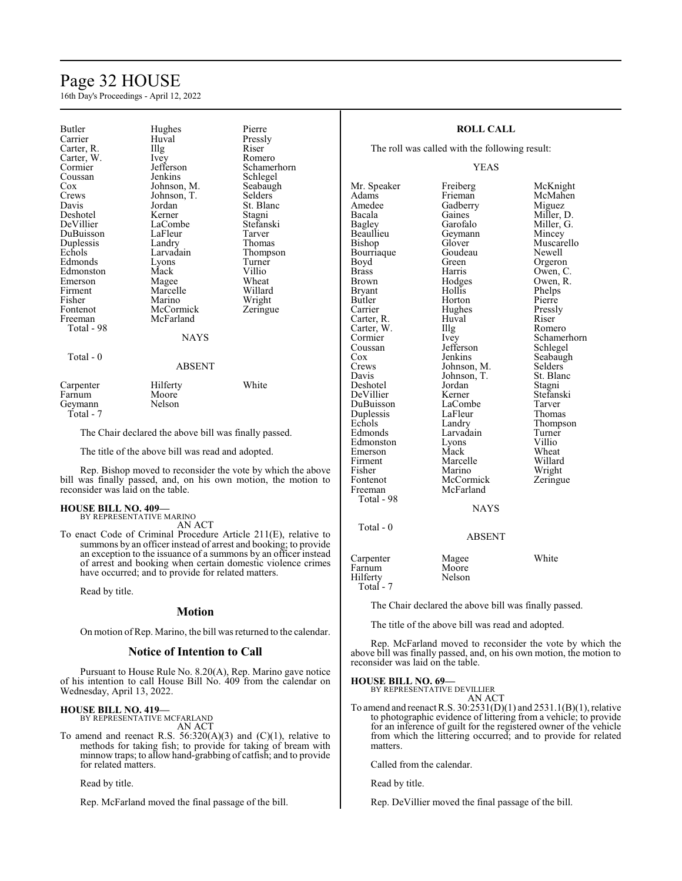# Page 32 HOUSE

16th Day's Proceedings - April 12, 2022

| <b>Butler</b><br>Carrier<br>Carter, R.<br>Carter, W.<br>Cormier<br>Coussan<br>Cox<br>Crews<br>Davis<br>Deshotel<br>DeVillier<br>DuBuisson<br>Duplessis<br>Echols<br>Edmonds<br>Edmonston<br>Emerson<br>Firment<br>Fisher<br>Fontenot<br>Freeman<br>Total - 98<br>Total - 0 | Hughes<br>Huval<br>Illg<br>Ivey<br>Jefferson<br>Jenkins<br>Johnson, M.<br>Johnson, T.<br>Jordan<br>Kerner<br>LaCombe<br>LaFleur<br>Landry<br>Larvadain<br>Lyons<br>Mack<br>Magee<br>Marcelle<br>Marino<br>McCormick<br>McFarland<br><b>NAYS</b> | Pierre<br>Pressly<br>Riser<br>Romero<br>Schamerhorn<br>Schlegel<br>Seabaugh<br>Selders<br>St. Blanc<br>Stagni<br>Stefanski<br>Tarver<br>Thomas<br>Thompson<br>Turner<br>Villio<br>Wheat<br>Willard<br>Wright<br>Zeringue |
|----------------------------------------------------------------------------------------------------------------------------------------------------------------------------------------------------------------------------------------------------------------------------|-------------------------------------------------------------------------------------------------------------------------------------------------------------------------------------------------------------------------------------------------|--------------------------------------------------------------------------------------------------------------------------------------------------------------------------------------------------------------------------|
|                                                                                                                                                                                                                                                                            | ABSENT                                                                                                                                                                                                                                          |                                                                                                                                                                                                                          |
| Carpenter<br>Farnum<br>Geymann                                                                                                                                                                                                                                             | Hilferty<br>Moore<br>Nelson                                                                                                                                                                                                                     | White                                                                                                                                                                                                                    |

Total - 7

The Chair declared the above bill was finally passed.

The title of the above bill was read and adopted.

Rep. Bishop moved to reconsider the vote by which the above bill was finally passed, and, on his own motion, the motion to reconsider was laid on the table.

# **HOUSE BILL NO. 409—**

BY REPRESENTATIVE MARINO AN ACT

To enact Code of Criminal Procedure Article 211(E), relative to summons by an officer instead of arrest and booking; to provide an exception to the issuance of a summons by an officer instead of arrest and booking when certain domestic violence crimes have occurred; and to provide for related matters.

Read by title.

# **Motion**

On motion ofRep. Marino, the bill was returned to the calendar.

# **Notice of Intention to Call**

Pursuant to House Rule No. 8.20(A), Rep. Marino gave notice of his intention to call House Bill No. 409 from the calendar on Wednesday, April 13, 2022.

# **HOUSE BILL NO. 419—**

BY REPRESENTATIVE MCFARLAND AN ACT

To amend and reenact R.S.  $56:320(A)(3)$  and  $(C)(1)$ , relative to methods for taking fish; to provide for taking of bream with minnow traps; to allow hand-grabbing of catfish; and to provide for related matters.

Read by title.

Rep. McFarland moved the final passage of the bill.

# **ROLL CALL**

The roll was called with the following result:

# YEAS

Adams Frieman McMahen<br>Amedee Gadberry Miguez Amedee Gadberry<br>Bacala Gaines Bacala Gaines Miller, D. Bagley Garofalo Miller, G. Bagley Garofalo Miller, G.<br>Beaullieu Geymann Mincey Beaullieu Geymann<br>Bishop Glover Bourriaque Goude<br>Bovd Green Brass Harris Owen, C.<br>Brown Hodges Owen, R. Bryant Hollis Phelps<br>Butler Horton Pierre Butler Horton Pierre<br>Carrier Hughes Pressly Carter, R. Huval Riser Carter, W. Illg<br>Cormier Ivey Cormier Ivey Schamerhorn<br>
Coussan Jefferson Schlegel Coussan Jefferson<br>Cox Jenkins Cox Jenkins Seabaugh<br>Crews Johnson, M. Selders Crews Johnson, M. Selders<br>Davis Johnson, T. St. Blanc Deshotel Jordan Stagni DeVillier Kerner Stefans<br>DuBuisson LaCombe Tarver DuBuisson LaCombe Tarver<br>
Duplessis LaFleur Thomas Duplessis LaFleur<br>Echols Landry Echols Landry Thompson<br>Edmonds Larvadain Turner Edmonston Lyons Villio<br>Emerson Mack Wheat Emerson Mack Wheat<br>Firment Marcelle Willard Firment Marcelle<br>Fisher Marino Fontenot McCormick Zeringue<br>Freeman McFarland Zeringue Total - 98

Total - 0

Mr. Speaker Freiberg McKnight Glover Muscarello<br>Goudeau Newell Hodges Owen, R.<br>Hollis Phelps Hughes Pressl<br>Huval Riser Johnson, T. St. Blanch<br>Jordan Stagni Larvadain Turner<br>Lyons Villio McFarland NAYS

# Orgeron Wright

# ABSENT

| Carpenter | Magee  | White |
|-----------|--------|-------|
| Farnum    | Moore  |       |
| Hilferty  | Nelson |       |
| Total - 7 |        |       |

The Chair declared the above bill was finally passed.

The title of the above bill was read and adopted.

Rep. McFarland moved to reconsider the vote by which the above bill was finally passed, and, on his own motion, the motion to reconsider was laid on the table.

### **HOUSE BILL NO. 69—**

BY REPRESENTATIVE DEVILLIER

AN ACT To amend and reenact R.S. 30:2531(D)(1) and 2531.1(B)(1), relative to photographic evidence of littering from a vehicle; to provide for an inference of guilt for the registered owner of the vehicle from which the littering occurred; and to provide for related matters.

Called from the calendar.

Read by title.

Rep. DeVillier moved the final passage of the bill.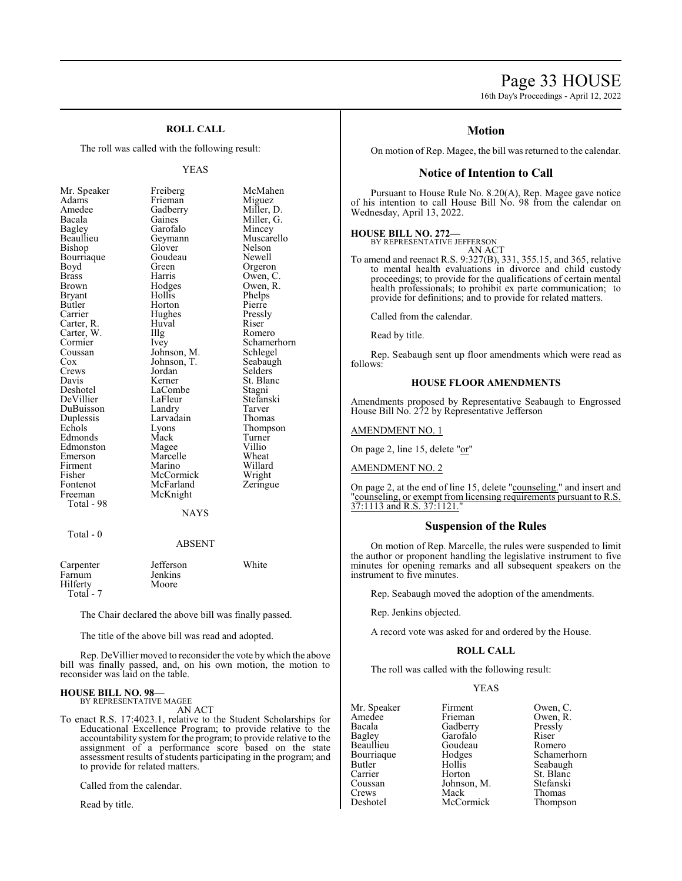# Page 33 HOUSE

16th Day's Proceedings - April 12, 2022

# **ROLL CALL**

The roll was called with the following result:

# YEAS

| Mr. Speaker  | Freiberg      | McMahen     |
|--------------|---------------|-------------|
| Adams        | Frieman       | Miguez      |
| Amedee       | Gadberry      | Miller, D.  |
| Bacala       | Gaines        | Miller, G.  |
| Bagley       | Garofalo      | Mincey      |
| Beaullieu    | Geymann       | Muscarello  |
| Bishop       | Glover        | Nelson      |
| Bourriaque   | Goudeau       | Newell      |
| Boyd         | Green         | Orgeron     |
| <b>Brass</b> | Harris        | Owen, C.    |
| Brown        | Hodges        | Owen, R.    |
| Bryant       | Hollis        | Phelps      |
| Butler       | Horton        | Pierre      |
| Carrier      | Hughes        | Pressly     |
| Carter, R.   | Huval         | Riser       |
| Carter, W.   | Illg          | Romero      |
| Cormier      | Ivey          | Schamerhorn |
| Coussan      | Johnson, M.   | Schlegel    |
| Cox          | Johnson, T.   | Seabaugh    |
| Crews        | Jordan        | Selders     |
| Davis        | Kerner        | St. Blanc   |
| Deshotel     | LaCombe       | Stagni      |
| DeVillier    | LaFleur       | Stefanski   |
| DuBuisson    | Landry        | Tarver      |
| Duplessis    | Larvadain     | Thomas      |
| Echols       | Lyons         | Thompson    |
| Edmonds      | Mack          | Turner      |
| Edmonston    | Magee         | Villio      |
| Emerson      | Marcelle      | Wheat       |
| Firment      | Marino        | Willard     |
| Fisher       | McCormick     | Wright      |
| Fontenot     | McFarland     | Zeringue    |
| Freeman      | McKnight      |             |
| Total - 98   |               |             |
|              | <b>NAYS</b>   |             |
| Total - 0    |               |             |
|              | <b>ABSENT</b> |             |
|              |               |             |

| Carpenter | Jefferson      | White |
|-----------|----------------|-------|
| Farnum    | <b>Jenkins</b> |       |
| Hilferty  | Moore          |       |
| Total - 7 |                |       |

The Chair declared the above bill was finally passed.

The title of the above bill was read and adopted.

Rep. DeVillier moved to reconsider the vote by which the above bill was finally passed, and, on his own motion, the motion to reconsider was laid on the table.

### **HOUSE BILL NO. 98—** BY REPRESENTATIVE MAGEE

AN ACT

To enact R.S. 17:4023.1, relative to the Student Scholarships for Educational Excellence Program; to provide relative to the accountability system for the program; to provide relative to the assignment of a performance score based on the state assessment results of students participating in the program; and to provide for related matters.

Called from the calendar.

Read by title.

# **Motion**

On motion of Rep. Magee, the bill was returned to the calendar.

# **Notice of Intention to Call**

Pursuant to House Rule No. 8.20(A), Rep. Magee gave notice of his intention to call House Bill No. 98 from the calendar on Wednesday, April 13, 2022.

# **HOUSE BILL NO. 272—** BY REPRESENTATIVE JEFFERSON

AN ACT

To amend and reenact R.S. 9:327(B), 331, 355.15, and 365, relative to mental health evaluations in divorce and child custody proceedings; to provide for the qualifications of certain mental health professionals; to prohibit ex parte communication; to provide for definitions; and to provide for related matters.

Called from the calendar.

Read by title.

Rep. Seabaugh sent up floor amendments which were read as follows:

# **HOUSE FLOOR AMENDMENTS**

Amendments proposed by Representative Seabaugh to Engrossed House Bill No. 272 by Representative Jefferson

AMENDMENT NO. 1

On page 2, line 15, delete "or"

AMENDMENT NO. 2

On page 2, at the end of line 15, delete "counseling." and insert and "counseling, or exempt from licensing requirements pursuant to R.S. 37:1113 and R.S. 37:1121."

# **Suspension of the Rules**

On motion of Rep. Marcelle, the rules were suspended to limit the author or proponent handling the legislative instrument to five minutes for opening remarks and all subsequent speakers on the instrument to five minutes.

Rep. Seabaugh moved the adoption of the amendments.

Rep. Jenkins objected.

A record vote was asked for and ordered by the House.

### **ROLL CALL**

The roll was called with the following result:

# YEAS

| Firment     | Owen, C.           |
|-------------|--------------------|
| Frieman     | Owen, R.           |
|             | Pressly            |
| Garofalo    | Riser              |
| Goudeau     | Romero             |
|             | Schamerhorn        |
| Hollis      | Seabaugh           |
| Horton      | St. Blanc          |
| Johnson, M. | Stefanski          |
| Mack        | Thomas             |
| McCormick   | Thompson           |
|             | Gadberry<br>Hodges |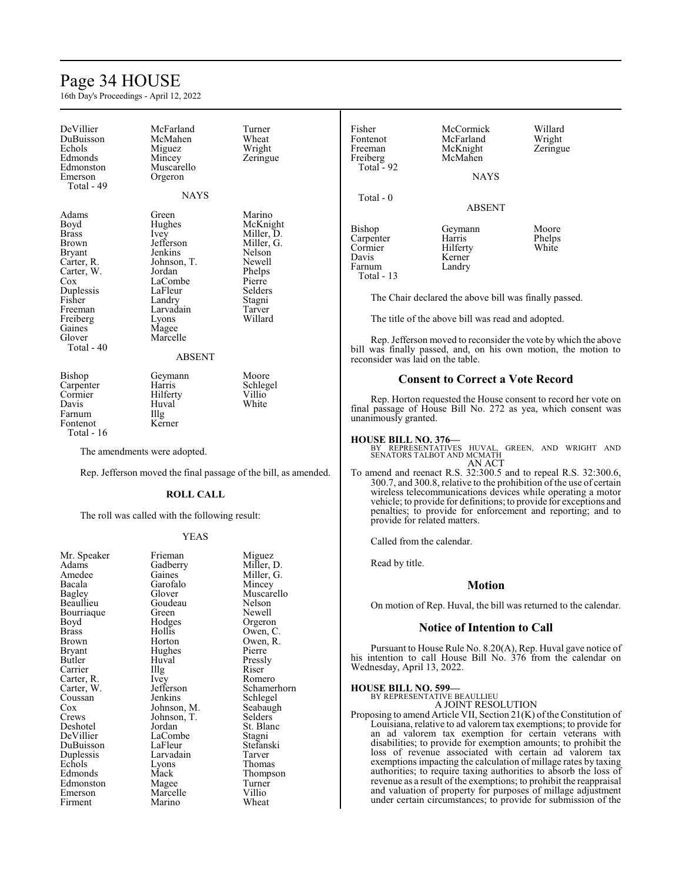# Page 34 HOUSE

16th Day's Proceedings - April 12, 2022

| DeVillier<br>DuBuisson<br>Echols<br>Edmonds<br>Edmonston<br>Emerson<br>Total - 49                                                                            | McFarland<br>McMahen<br>Miguez<br>Mincey<br>Muscarello<br>Orgeron<br><b>NAYS</b>                                                                                     | Turner<br>Wheat<br>Wright<br>Zeringue                                                                                            |
|--------------------------------------------------------------------------------------------------------------------------------------------------------------|----------------------------------------------------------------------------------------------------------------------------------------------------------------------|----------------------------------------------------------------------------------------------------------------------------------|
|                                                                                                                                                              |                                                                                                                                                                      |                                                                                                                                  |
| Adams<br>Boyd<br>Brass<br>Brown<br>Bryant<br>Carter, R.<br>Carter, W.<br>Cox<br>Duplessis<br>Fisher<br>Freeman<br>Freiberg<br>Gaines<br>Glover<br>Total - 40 | Green<br>Hughes<br>Ivey<br>Jefferson<br>Jenkins<br>Johnson, T.<br>Jordan<br>LaCombe<br>LaFleur<br>Landry<br>Larvadain<br>Lyons<br>Magee<br>Marcelle<br><b>ABSENT</b> | Marino<br>McKnight<br>Miller, D.<br>Miller, G.<br>Nelson<br>Newell<br>Phelps<br>Pierre<br>Selders<br>Stagni<br>Tarver<br>Willard |
|                                                                                                                                                              |                                                                                                                                                                      |                                                                                                                                  |
| Bishop<br>Carpenter<br>Cormier<br>Davis<br>Farnum<br>Fontenot<br>Total - 16                                                                                  | Geymann<br>Harris<br>Hilferty<br>Huval<br>Illg<br>Kerner                                                                                                             | Moore<br>Schlegel<br>Villio<br>White                                                                                             |

The amendments were adopted.

Rep. Jefferson moved the final passage of the bill, as amended.

# **ROLL CALL**

The roll was called with the following result:

# YEAS

| Mr. Speaker   | Frieman     | Miguez      |
|---------------|-------------|-------------|
| Adams         | Gadberry    | Miller, D.  |
| Amedee        | Gaines      | Miller, G.  |
| Bacala        | Garofalo    | Mincey      |
| <b>Bagley</b> | Glover      | Muscarello  |
| Beaullieu     | Goudeau     | Nelson      |
| Bourriaque    | Green       | Newell      |
| Boyd          | Hodges      | Orgeron     |
| Brass         | Hollis      | Owen, C.    |
| Brown         | Horton      | Owen, R.    |
| Bryant        | Hughes      | Pierre      |
| Butler        | Huval       | Pressly     |
| Carrier       | Illg        | Riser       |
| Carter, R.    | Ivey        | Romero      |
| Carter, W.    | Jefferson   | Schamerhorn |
| Coussan       | Jenkins     | Schlegel    |
| Cox           | Johnson, M. | Seabaugh    |
| Crews         | Johnson, T. | Selders     |
| Deshotel      | Jordan      | St. Blanc   |
| DeVillier     | LaCombe     | Stagni      |
| DuBuisson     | LaFleur     | Stefanski   |
| Duplessis     | Larvadain   | Tarver      |
| Echols        | Lyons       | Thomas      |
| Edmonds       | Mack        | Thompson    |
| Edmonston     | Magee       | Turner      |
| Emerson       | Marcelle    | Villio      |
| Firment       | Marino      | Wheat       |
|               |             |             |

| Fisher<br>Fontenot<br>Freeman<br>Freiberg<br>Total - 92 | McCormick<br>McFarland<br>McKnight<br>McMahen<br><b>NAYS</b> | Willard<br>Wright<br>Zeringue |
|---------------------------------------------------------|--------------------------------------------------------------|-------------------------------|
| Total - 0                                               | <b>ABSENT</b>                                                |                               |
| Bishop<br>Carpenter<br>Cormier<br>Davis<br>Farnum       | Geymann<br>Harris<br>Hilferty<br>Kerner<br>Landry            | Moore<br>Phelps<br>White      |

The Chair declared the above bill was finally passed.

The title of the above bill was read and adopted.

Rep. Jefferson moved to reconsider the vote by which the above bill was finally passed, and, on his own motion, the motion to reconsider was laid on the table.

# **Consent to Correct a Vote Record**

Rep. Horton requested the House consent to record her vote on final passage of House Bill No. 272 as yea, which consent was unanimously granted.

Farnum Total - 13

**HOUSE BILL NO. 376—** BY REPRESENTATIVES HUVAL, GREEN, AND WRIGHT AND SENATORS TALBOT AND MCMATH AN ACT

To amend and reenact R.S. 32:300.5 and to repeal R.S. 32:300.6, 300.7, and 300.8, relative to the prohibition of the use of certain wireless telecommunications devices while operating a motor vehicle; to provide for definitions; to provide for exceptions and penalties; to provide for enforcement and reporting; and to provide for related matters.

Called from the calendar.

Read by title.

# **Motion**

On motion of Rep. Huval, the bill was returned to the calendar.

### **Notice of Intention to Call**

Pursuant to House Rule No. 8.20(A), Rep. Huval gave notice of his intention to call House Bill No. 376 from the calendar on Wednesday, April 13, 2022.

# **HOUSE BILL NO. 599—** BY REPRESENTATIVE BEAULLIEU

A JOINT RESOLUTION

Proposing to amend Article VII, Section  $21(K)$  of the Constitution of Louisiana, relative to ad valorem tax exemptions; to provide for an ad valorem tax exemption for certain veterans with disabilities; to provide for exemption amounts; to prohibit the loss of revenue associated with certain ad valorem tax exemptions impacting the calculation of millage rates by taxing authorities; to require taxing authorities to absorb the loss of revenue as a result of the exemptions; to prohibit the reappraisal and valuation of property for purposes of millage adjustment under certain circumstances; to provide for submission of the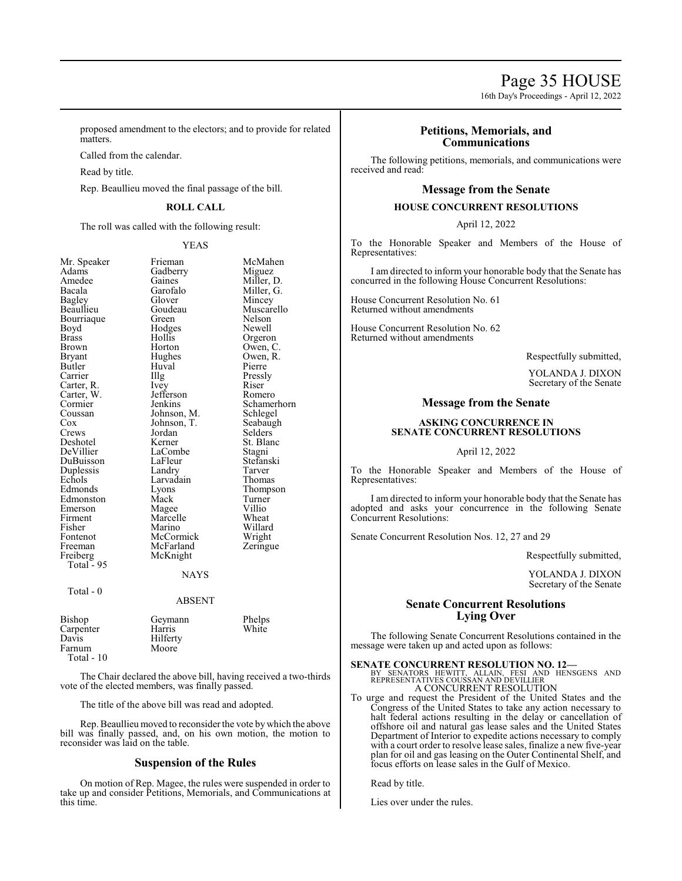16th Day's Proceedings - April 12, 2022

proposed amendment to the electors; and to provide for related matters.

Called from the calendar.

Read by title.

Rep. Beaullieu moved the final passage of the bill.

# **ROLL CALL**

The roll was called with the following result:

YEAS

| Mr. Speaker   | Frieman       | McMahen     |
|---------------|---------------|-------------|
| Adams         | Gadberry      | Miguez      |
| Amedee        | Gaines        | Miller, D.  |
| Bacala        | Garofalo      | Miller, G.  |
| <b>Bagley</b> | Glover        | Mincey      |
| Beaullieu     | Goudeau       | Muscarello  |
| Bourriaque    | Green         | Nelson      |
| Boyd          | Hodges        | Newell      |
| Brass         | Hollis        | Orgeron     |
| Brown         | Horton        | Owen, C.    |
| Bryant        | Hughes        | Owen, R.    |
| Butler        | Huval         | Pierre      |
| Carrier       | Illg          | Pressly     |
| Carter, R.    | Ivey          | Riser       |
| Carter, W.    | Jefferson     | Romero      |
| Cormier       | Jenkins       | Schamerhorn |
| Coussan       | Johnson, M.   | Schlegel    |
| Cox           | Johnson, T.   | Seabaugh    |
| Crews         | Jordan        | Selders     |
| Deshotel      | Kerner        | St. Blanc   |
| DeVillier     | LaCombe       | Stagni      |
| DuBuisson     | LaFleur       | Stefanski   |
| Duplessis     | Landry        | Tarver      |
| Echols        | Larvadain     | Thomas      |
| Edmonds       | Lyons         | Thompson    |
| Edmonston     | Mack          | Turner      |
| Emerson       | Magee         | Villio      |
| Firment       | Marcelle      | Wheat       |
| Fisher        | Marino        | Willard     |
| Fontenot      | McCormick     | Wright      |
| Freeman       | McFarland     | Zeringue    |
| Freiberg      | McKnight      |             |
| Total - 95    |               |             |
|               | <b>NAYS</b>   |             |
|               |               |             |
| Total - 0     |               |             |
|               | <b>ABSENT</b> |             |
| Bishop        | Geymann       | Phelps      |
| Carpenter     | Harris        | White       |
| Davis         | Hilferty      |             |
| Farnum        | Moore         |             |
| Total - 10    |               |             |
|               |               |             |

The Chair declared the above bill, having received a two-thirds vote of the elected members, was finally passed.

The title of the above bill was read and adopted.

Rep. Beaullieu moved to reconsider the vote by which the above bill was finally passed, and, on his own motion, the motion to reconsider was laid on the table.

# **Suspension of the Rules**

On motion of Rep. Magee, the rules were suspended in order to take up and consider Petitions, Memorials, and Communications at this time.

# **Petitions, Memorials, and Communications**

The following petitions, memorials, and communications were received and read:

# **Message from the Senate**

# **HOUSE CONCURRENT RESOLUTIONS**

April 12, 2022

To the Honorable Speaker and Members of the House of Representatives:

I am directed to inform your honorable body that the Senate has concurred in the following House Concurrent Resolutions:

House Concurrent Resolution No. 61 Returned without amendments

House Concurrent Resolution No. 62 Returned without amendments

Respectfully submitted,

YOLANDA J. DIXON Secretary of the Senate

# **Message from the Senate**

# **ASKING CONCURRENCE IN SENATE CONCURRENT RESOLUTIONS**

April 12, 2022

To the Honorable Speaker and Members of the House of Representatives:

I am directed to inform your honorable body that the Senate has adopted and asks your concurrence in the following Senate Concurrent Resolutions:

Senate Concurrent Resolution Nos. 12, 27 and 29

Respectfully submitted,

YOLANDA J. DIXON Secretary of the Senate

# **Senate Concurrent Resolutions Lying Over**

The following Senate Concurrent Resolutions contained in the message were taken up and acted upon as follows:

# **SENATE CONCURRENT RESOLUTION NO. 12—**

- BY SENATORS HEWITT, ALLAIN, FESI AND HENSGENS AND REPRESENTATIVES COUSSAN AND DEVILLIER A CONCURRENT RESOLUTION
- To urge and request the President of the United States and the Congress of the United States to take any action necessary to halt federal actions resulting in the delay or cancellation of offshore oil and natural gas lease sales and the United States Department of Interior to expedite actions necessary to comply with a court order to resolve lease sales, finalize a new five-year plan for oil and gas leasing on the Outer Continental Shelf, and focus efforts on lease sales in the Gulf of Mexico.

Read by title.

Lies over under the rules.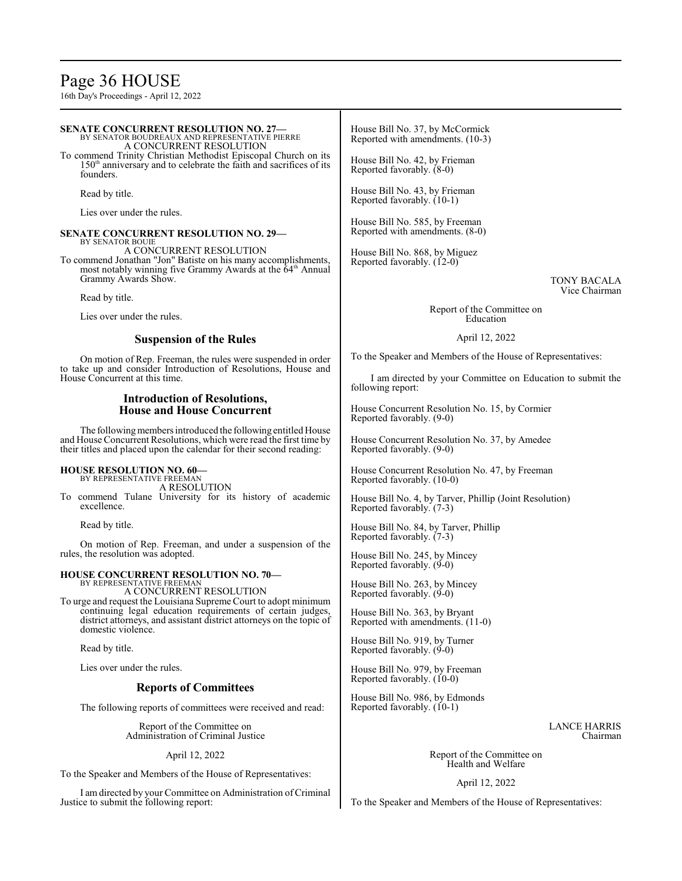# Page 36 HOUSE

16th Day's Proceedings - April 12, 2022

# **SENATE CONCURRENT RESOLUTION NO. 27—** BY SENATOR BOUDREAUX AND REPRESENTATIVE PIERRE

A CONCURRENT RESOLUTION

To commend Trinity Christian Methodist Episcopal Church on its 150<sup>th</sup> anniversary and to celebrate the faith and sacrifices of its founders.

Read by title.

Lies over under the rules.

# **SENATE CONCURRENT RESOLUTION NO. 29—** BY SENATOR BOUIE

A CONCURRENT RESOLUTION

To commend Jonathan "Jon" Batiste on his many accomplishments, most notably winning five Grammy Awards at the 64<sup>th</sup> Annual Grammy Awards Show.

Read by title.

Lies over under the rules.

# **Suspension of the Rules**

On motion of Rep. Freeman, the rules were suspended in order to take up and consider Introduction of Resolutions, House and House Concurrent at this time.

# **Introduction of Resolutions, House and House Concurrent**

The following members introduced the following entitled House and House Concurrent Resolutions, which were read the first time by their titles and placed upon the calendar for their second reading:

# **HOUSE RESOLUTION NO. 60—**

BY REPRESENTATIVE FREEMAN A RESOLUTION

To commend Tulane University for its history of academic excellence.

Read by title.

On motion of Rep. Freeman, and under a suspension of the rules, the resolution was adopted.

### **HOUSE CONCURRENT RESOLUTION NO. 70—** BY REPRESENTATIVE FREEMAN

A CONCURRENT RESOLUTION

To urge and request the Louisiana Supreme Court to adopt minimum continuing legal education requirements of certain judges, district attorneys, and assistant district attorneys on the topic of domestic violence.

Read by title.

Lies over under the rules.

# **Reports of Committees**

The following reports of committees were received and read:

Report of the Committee on Administration of Criminal Justice

April 12, 2022

To the Speaker and Members of the House of Representatives:

I amdirected by your Committee on Administration ofCriminal Justice to submit the following report:

House Bill No. 37, by McCormick Reported with amendments. (10-3)

House Bill No. 42, by Frieman Reported favorably. (8-0)

House Bill No. 43, by Frieman Reported favorably. (10-1)

House Bill No. 585, by Freeman Reported with amendments. (8-0)

House Bill No. 868, by Miguez Reported favorably. (12-0)

> TONY BACALA Vice Chairman

Report of the Committee on Education

April 12, 2022

To the Speaker and Members of the House of Representatives:

I am directed by your Committee on Education to submit the following report:

House Concurrent Resolution No. 15, by Cormier Reported favorably. (9-0)

House Concurrent Resolution No. 37, by Amedee Reported favorably. (9-0)

House Concurrent Resolution No. 47, by Freeman Reported favorably. (10-0)

House Bill No. 4, by Tarver, Phillip (Joint Resolution) Reported favorably. (7-3)

House Bill No. 84, by Tarver, Phillip Reported favorably. (7-3)

House Bill No. 245, by Mincey Reported favorably. (9-0)

House Bill No. 263, by Mincey Reported favorably.  $(9-0)$ 

House Bill No. 363, by Bryant Reported with amendments. (11-0)

House Bill No. 919, by Turner Reported favorably. (9-0)

House Bill No. 979, by Freeman Reported favorably. (10-0)

House Bill No. 986, by Edmonds Reported favorably. (10-1)

> LANCE HARRIS Chairman

Report of the Committee on Health and Welfare

April 12, 2022

To the Speaker and Members of the House of Representatives: